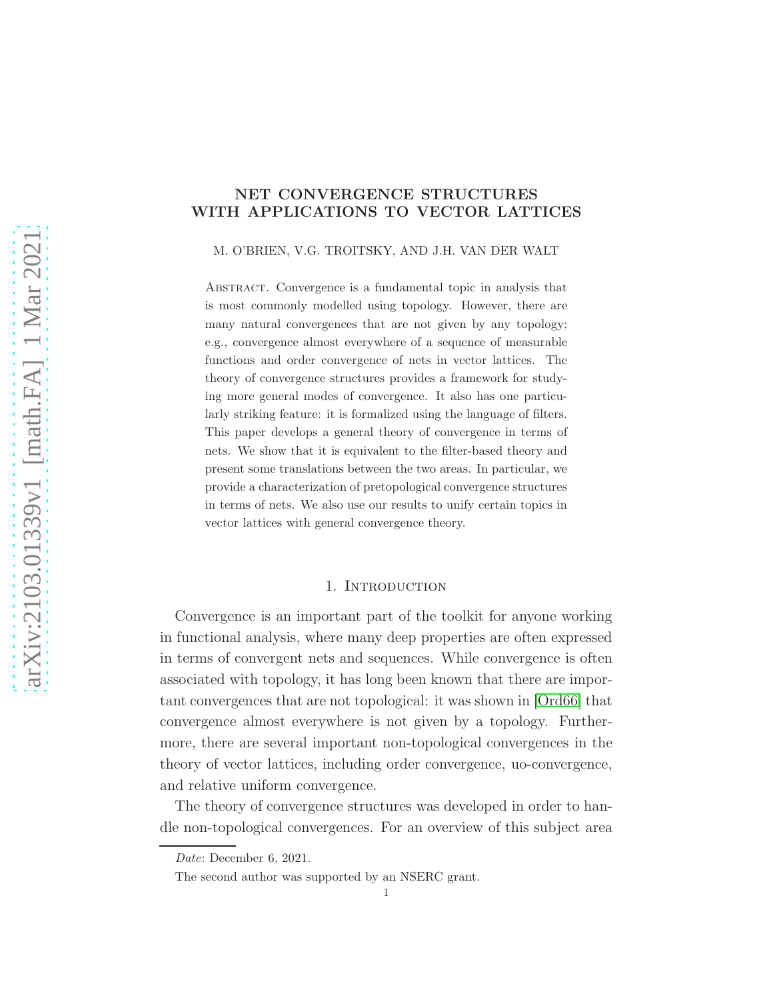# NET CONVERGENCE STRUCTURES WITH APPLICATIONS TO VECTOR LATTICES

M. O'BRIEN, V.G. TROITSKY, AND J.H. VAN DER WALT

Abstract. Convergence is a fundamental topic in analysis that is most commonly modelled using topology. However, there are many natural convergences that are not given by any topology; e.g., convergence almost everywhere of a sequence of measurable functions and order convergence of nets in vector lattices. The theory of convergence structures provides a framework for studying more general modes of convergence. It also has one particularly striking feature: it is formalized using the language of filters. This paper develops a general theory of convergence in terms of nets. We show that it is equivalent to the filter-based theory and present some translations between the two areas. In particular, we provide a characterization of pretopological convergence structures in terms of nets. We also use our results to unify certain topics in vector lattices with general convergence theory.

## 1. INTRODUCTION

Convergence is an important part of the toolkit for anyone working in functional analysis, where many deep properties are often expressed in terms of convergent nets and sequences. While convergence is often associated with topology, it has long been known that there are important convergences that are not topological: it was shown in [\[Ord66\]](#page-49-0) that convergence almost everywhere is not given by a topology. Furthermore, there are several important non-topological convergences in the theory of vector lattices, including order convergence, uo-convergence, and relative uniform convergence.

The theory of convergence structures was developed in order to handle non-topological convergences. For an overview of this subject area

Date: December 6, 2021.

The second author was supported by an NSERC grant.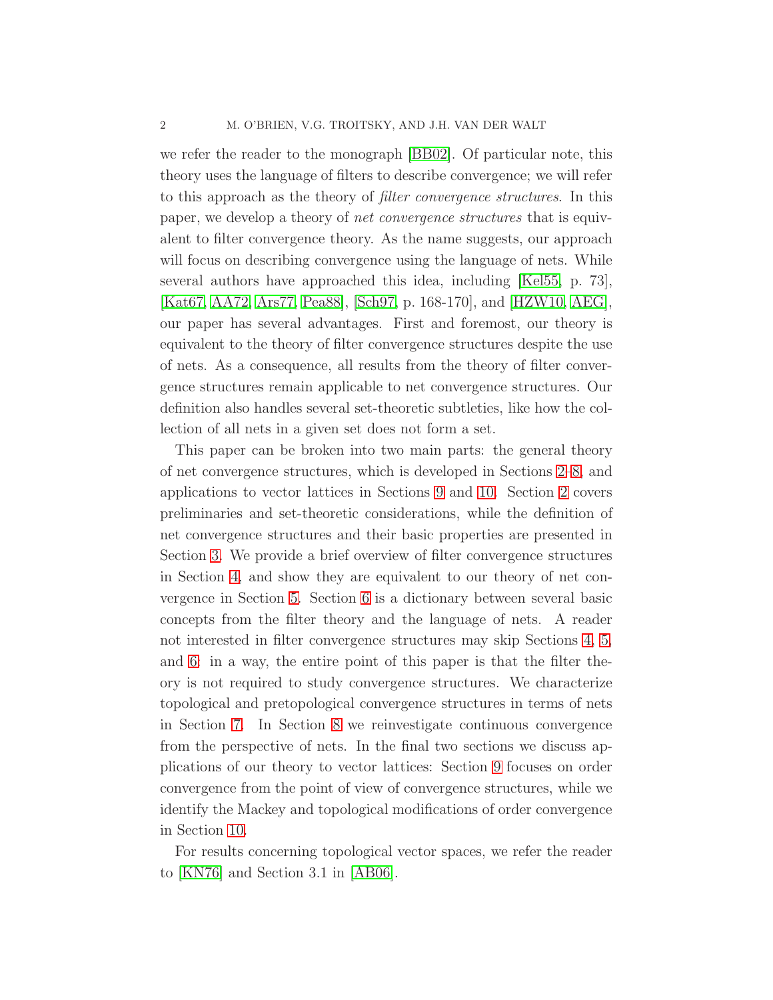we refer the reader to the monograph [\[BB02\]](#page-48-0). Of particular note, this theory uses the language of filters to describe convergence; we will refer to this approach as the theory of filter convergence structures. In this paper, we develop a theory of net convergence structures that is equivalent to filter convergence theory. As the name suggests, our approach will focus on describing convergence using the language of nets. While several authors have approached this idea, including [\[Kel55,](#page-48-1) p. 73], [\[Kat67,](#page-48-2) [AA72,](#page-48-3) [Ars77,](#page-48-4) [Pea88\]](#page-49-1), [\[Sch97,](#page-49-2) p. 168-170], and [\[HZW10,](#page-48-5) [AEG\]](#page-48-6), our paper has several advantages. First and foremost, our theory is equivalent to the theory of filter convergence structures despite the use of nets. As a consequence, all results from the theory of filter convergence structures remain applicable to net convergence structures. Our definition also handles several set-theoretic subtleties, like how the collection of all nets in a given set does not form a set.

This paper can be broken into two main parts: the general theory of net convergence structures, which is developed in Sections [2](#page-2-0)[–8,](#page-28-0) and applications to vector lattices in Sections [9](#page-35-0) and [10.](#page-42-0) Section [2](#page-2-0) covers preliminaries and set-theoretic considerations, while the definition of net convergence structures and their basic properties are presented in Section [3.](#page-6-0) We provide a brief overview of filter convergence structures in Section [4,](#page-14-0) and show they are equivalent to our theory of net convergence in Section [5.](#page-17-0) Section [6](#page-20-0) is a dictionary between several basic concepts from the filter theory and the language of nets. A reader not interested in filter convergence structures may skip Sections [4,](#page-14-0) [5,](#page-17-0) and [6:](#page-20-0) in a way, the entire point of this paper is that the filter theory is not required to study convergence structures. We characterize topological and pretopological convergence structures in terms of nets in Section [7.](#page-24-0) In Section [8](#page-28-0) we reinvestigate continuous convergence from the perspective of nets. In the final two sections we discuss applications of our theory to vector lattices: Section [9](#page-35-0) focuses on order convergence from the point of view of convergence structures, while we identify the Mackey and topological modifications of order convergence in Section [10.](#page-42-0)

For results concerning topological vector spaces, we refer the reader to [\[KN76\]](#page-48-7) and Section 3.1 in [\[AB06\]](#page-48-8).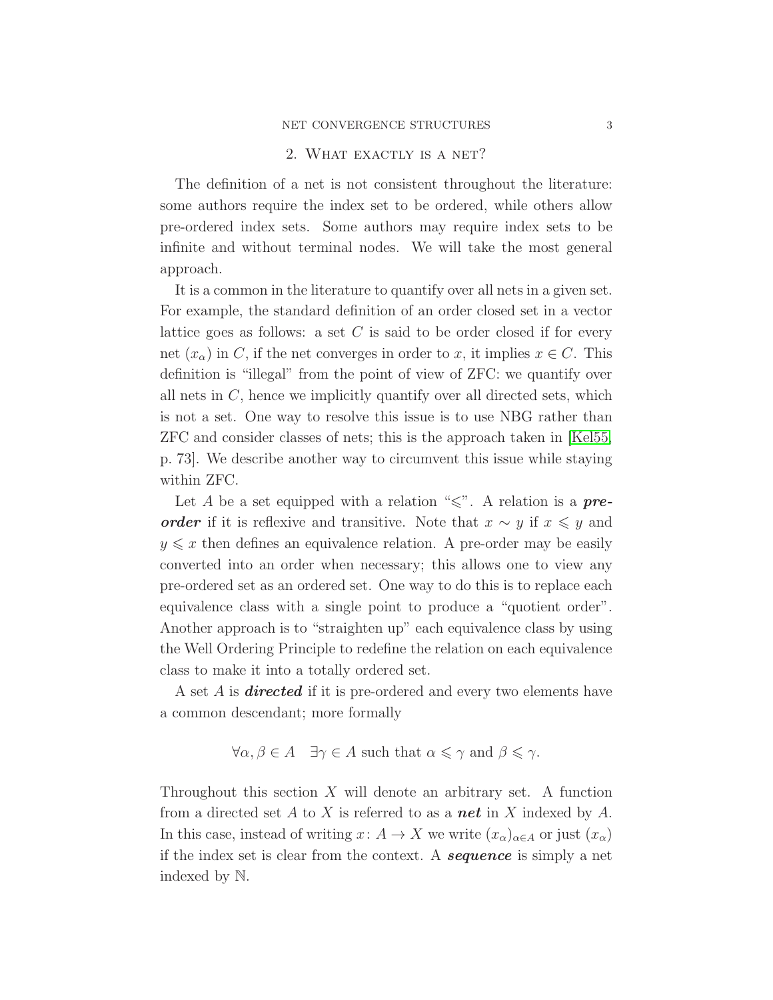### NET CONVERGENCE STRUCTURES 3

## 2. WHAT EXACTLY IS A NET?

<span id="page-2-0"></span>The definition of a net is not consistent throughout the literature: some authors require the index set to be ordered, while others allow pre-ordered index sets. Some authors may require index sets to be infinite and without terminal nodes. We will take the most general approach.

It is a common in the literature to quantify over all nets in a given set. For example, the standard definition of an order closed set in a vector lattice goes as follows: a set  $C$  is said to be order closed if for every net  $(x_{\alpha})$  in C, if the net converges in order to x, it implies  $x \in C$ . This definition is "illegal" from the point of view of ZFC: we quantify over all nets in  $C$ , hence we implicitly quantify over all directed sets, which is not a set. One way to resolve this issue is to use NBG rather than ZFC and consider classes of nets; this is the approach taken in [\[Kel55,](#page-48-1) p. 73]. We describe another way to circumvent this issue while staying within ZFC.

Let A be a set equipped with a relation " $\leq$ ". A relation is a **pre**order if it is reflexive and transitive. Note that  $x \sim y$  if  $x \leq y$  and  $y \leq x$  then defines an equivalence relation. A pre-order may be easily converted into an order when necessary; this allows one to view any pre-ordered set as an ordered set. One way to do this is to replace each equivalence class with a single point to produce a "quotient order". Another approach is to "straighten up" each equivalence class by using the Well Ordering Principle to redefine the relation on each equivalence class to make it into a totally ordered set.

A set  $A$  is **directed** if it is pre-ordered and every two elements have a common descendant; more formally

$$
\forall \alpha, \beta \in A \quad \exists \gamma \in A \text{ such that } \alpha \leq \gamma \text{ and } \beta \leq \gamma.
$$

Throughout this section  $X$  will denote an arbitrary set. A function from a directed set A to X is referred to as a **net** in X indexed by A. In this case, instead of writing  $x: A \to X$  we write  $(x_{\alpha})_{\alpha \in A}$  or just  $(x_{\alpha})$ if the index set is clear from the context. A **sequence** is simply a net indexed by N.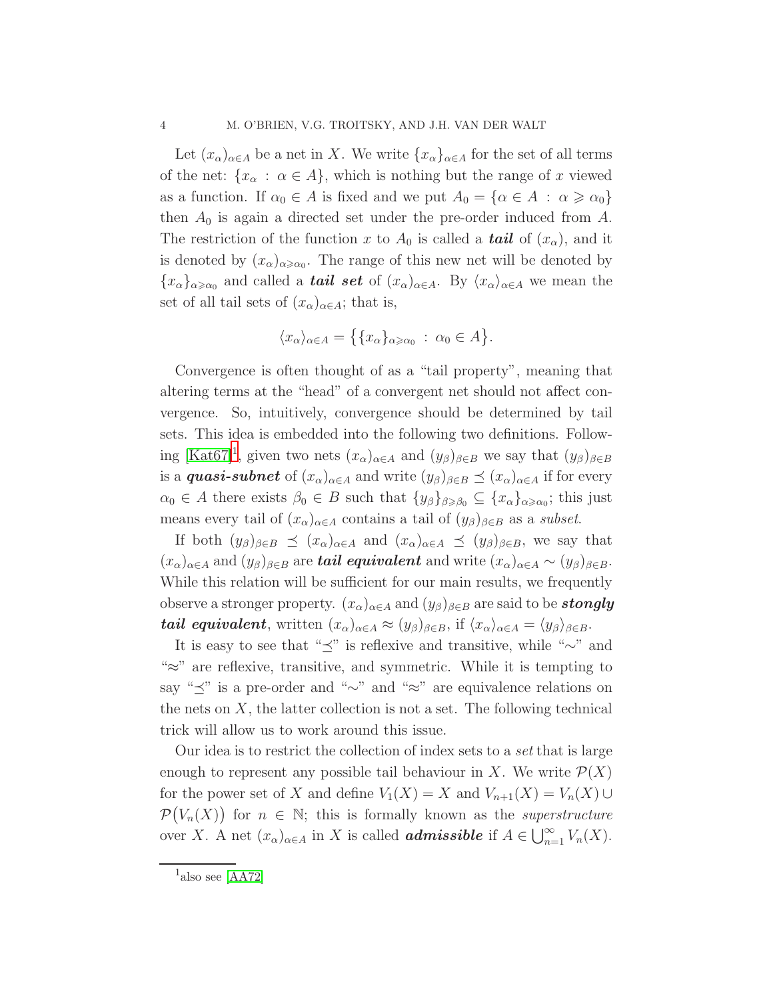Let  $(x_{\alpha})_{\alpha\in A}$  be a net in X. We write  $\{x_{\alpha}\}_{\alpha\in A}$  for the set of all terms of the net:  $\{x_\alpha : \alpha \in A\}$ , which is nothing but the range of x viewed as a function. If  $\alpha_0 \in A$  is fixed and we put  $A_0 = {\alpha \in A : \alpha \geq \alpha_0}$ then  $A_0$  is again a directed set under the pre-order induced from A. The restriction of the function x to  $A_0$  is called a **tail** of  $(x_\alpha)$ , and it is denoted by  $(x_{\alpha})_{\alpha \geq \alpha_0}$ . The range of this new net will be denoted by  ${x_{\alpha}}_{\alpha\geqslant\alpha_0}$  and called a **tail set** of  $(x_{\alpha})_{\alpha\in A}$ . By  $\langle x_{\alpha}\rangle_{\alpha\in A}$  we mean the set of all tail sets of  $(x_{\alpha})_{\alpha \in A}$ ; that is,

$$
\langle x_{\alpha}\rangle_{\alpha\in A} = \{ \{x_{\alpha}\}_{\alpha\geqslant \alpha_0} \; : \; \alpha_0 \in A \}.
$$

Convergence is often thought of as a "tail property", meaning that altering terms at the "head" of a convergent net should not affect convergence. So, intuitively, convergence should be determined by tail sets. This idea is embedded into the following two definitions. Follow-ing [\[Kat67\]](#page-48-2)<sup>[1](#page-3-0)</sup>, given two nets  $(x_\alpha)_{\alpha \in A}$  and  $(y_\beta)_{\beta \in B}$  we say that  $(y_\beta)_{\beta \in B}$ is a **quasi-subnet** of  $(x_\alpha)_{\alpha \in A}$  and write  $(y_\beta)_{\beta \in B} \preceq (x_\alpha)_{\alpha \in A}$  if for every  $\alpha_0 \in A$  there exists  $\beta_0 \in B$  such that  $\{y_\beta\}_{\beta \geq \beta_0} \subseteq \{x_\alpha\}_{\alpha \geq \alpha_0};$  this just means every tail of  $(x_{\alpha})_{\alpha \in A}$  contains a tail of  $(y_{\beta})_{\beta \in B}$  as a subset.

If both  $(y_\beta)_{\beta \in B} \preceq (x_\alpha)_{\alpha \in A}$  and  $(x_\alpha)_{\alpha \in A} \preceq (y_\beta)_{\beta \in B}$ , we say that  $(x_{\alpha})_{\alpha\in A}$  and  $(y_{\beta})_{\beta\in B}$  are **tail equivalent** and write  $(x_{\alpha})_{\alpha\in A} \sim (y_{\beta})_{\beta\in B}$ . While this relation will be sufficient for our main results, we frequently observe a stronger property.  $(x_{\alpha})_{\alpha \in A}$  and  $(y_{\beta})_{\beta \in B}$  are said to be **stongly tail equivalent**, written  $(x_{\alpha})_{\alpha \in A} \approx (y_{\beta})_{\beta \in B}$ , if  $\langle x_{\alpha} \rangle_{\alpha \in A} = \langle y_{\beta} \rangle_{\beta \in B}$ .

It is easy to see that " $\preceq$ " is reflexive and transitive, while "∼" and "≈" are reflexive, transitive, and symmetric. While it is tempting to say "≺" is a pre-order and "∼" and "≈" are equivalence relations on the nets on  $X$ , the latter collection is not a set. The following technical trick will allow us to work around this issue.

Our idea is to restrict the collection of index sets to a set that is large enough to represent any possible tail behaviour in X. We write  $\mathcal{P}(X)$ for the power set of X and define  $V_1(X) = X$  and  $V_{n+1}(X) = V_n(X) \cup$  $\mathcal{P}(V_n(X))$  for  $n \in \mathbb{N}$ ; this is formally known as the *superstructure* over X. A net  $(x_{\alpha})_{\alpha \in A}$  in X is called **admissible** if  $A \in \bigcup_{n=1}^{\infty} V_n(X)$ .

<span id="page-3-0"></span> $1<sup>1</sup>$ also see [\[AA72\]](#page-48-3)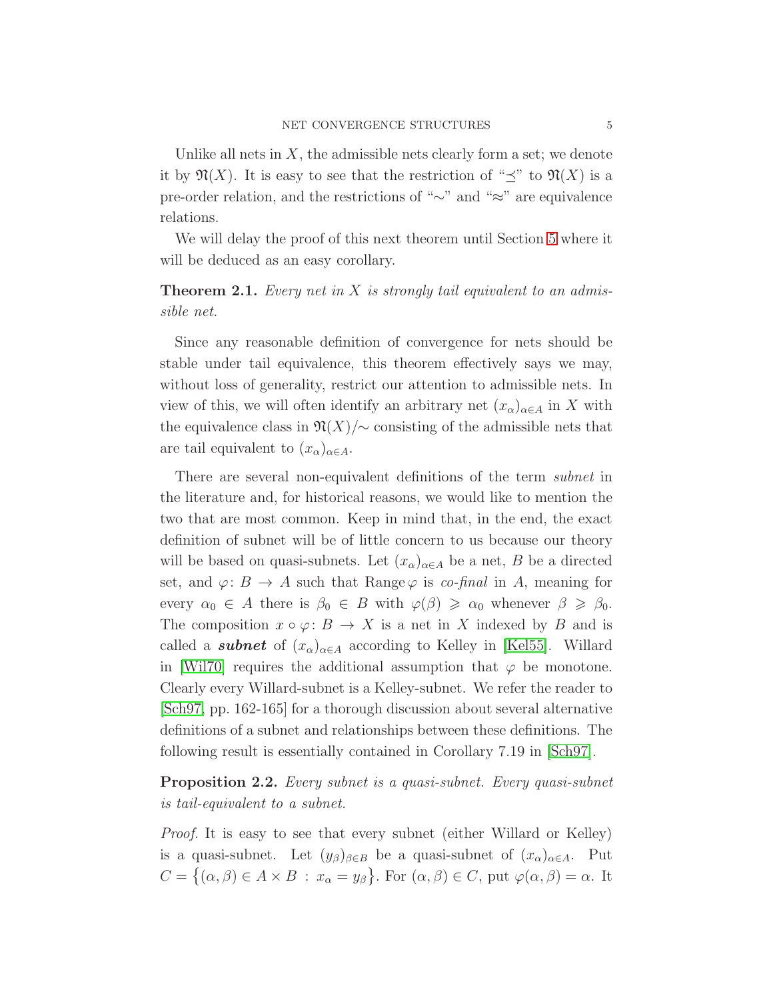Unlike all nets in  $X$ , the admissible nets clearly form a set; we denote it by  $\mathfrak{N}(X)$ . It is easy to see that the restriction of " $\prec$ " to  $\mathfrak{N}(X)$  is a pre-order relation, and the restrictions of "∼" and "≈" are equivalence relations.

<span id="page-4-1"></span>We will delay the proof of this next theorem until Section [5](#page-17-0) where it will be deduced as an easy corollary.

**Theorem 2.1.** Every net in  $X$  is strongly tail equivalent to an admissible net.

Since any reasonable definition of convergence for nets should be stable under tail equivalence, this theorem effectively says we may, without loss of generality, restrict our attention to admissible nets. In view of this, we will often identify an arbitrary net  $(x_{\alpha})_{\alpha \in A}$  in X with the equivalence class in  $\mathfrak{N}(X)/\sim$  consisting of the admissible nets that are tail equivalent to  $(x_{\alpha})_{\alpha \in A}$ .

There are several non-equivalent definitions of the term subnet in the literature and, for historical reasons, we would like to mention the two that are most common. Keep in mind that, in the end, the exact definition of subnet will be of little concern to us because our theory will be based on quasi-subnets. Let  $(x_{\alpha})_{\alpha \in A}$  be a net, B be a directed set, and  $\varphi: B \to A$  such that Range  $\varphi$  is co-final in A, meaning for every  $\alpha_0 \in A$  there is  $\beta_0 \in B$  with  $\varphi(\beta) \geq \alpha_0$  whenever  $\beta \geq \beta_0$ . The composition  $x \circ \varphi : B \to X$  is a net in X indexed by B and is called a **subnet** of  $(x_{\alpha})_{\alpha \in A}$  according to Kelley in [\[Kel55\]](#page-48-1). Willard in [\[Wil70\]](#page-49-3) requires the additional assumption that  $\varphi$  be monotone. Clearly every Willard-subnet is a Kelley-subnet. We refer the reader to [\[Sch97,](#page-49-2) pp. 162-165] for a thorough discussion about several alternative definitions of a subnet and relationships between these definitions. The following result is essentially contained in Corollary 7.19 in [\[Sch97\]](#page-49-2).

<span id="page-4-0"></span>**Proposition 2.2.** Every subnet is a quasi-subnet. Every quasi-subnet is tail-equivalent to a subnet.

Proof. It is easy to see that every subnet (either Willard or Kelley) is a quasi-subnet. Let  $(y_\beta)_{\beta \in B}$  be a quasi-subnet of  $(x_\alpha)_{\alpha \in A}$ . Put  $C = \{(\alpha, \beta) \in A \times B : x_{\alpha} = y_{\beta}\}.$  For  $(\alpha, \beta) \in C$ , put  $\varphi(\alpha, \beta) = \alpha$ . It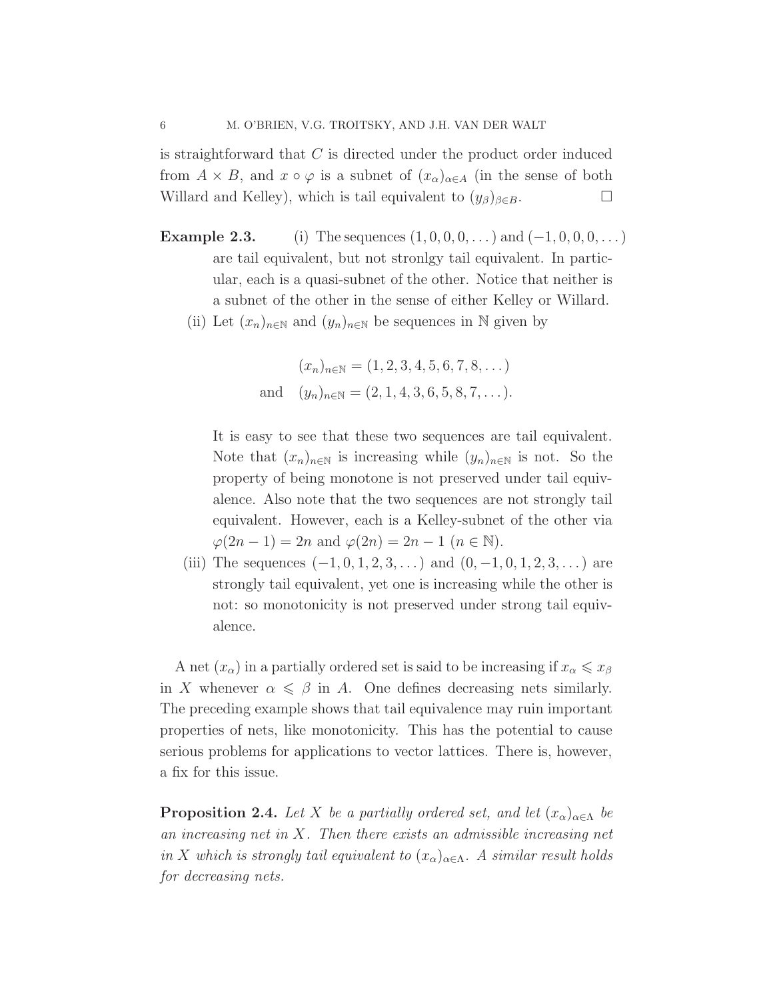is straightforward that  $C$  is directed under the product order induced from  $A \times B$ , and  $x \circ \varphi$  is a subnet of  $(x_{\alpha})_{\alpha \in A}$  (in the sense of both Willard and Kelley), which is tail equivalent to  $(y_{\beta})_{\beta \in B}$ .

- **Example 2.3.** (i) The sequences  $(1, 0, 0, 0, ...)$  and  $(-1, 0, 0, 0, ...)$ are tail equivalent, but not stronlgy tail equivalent. In particular, each is a quasi-subnet of the other. Notice that neither is a subnet of the other in the sense of either Kelley or Willard.
	- (ii) Let  $(x_n)_{n\in\mathbb{N}}$  and  $(y_n)_{n\in\mathbb{N}}$  be sequences in N given by

$$
(x_n)_{n \in \mathbb{N}} = (1, 2, 3, 4, 5, 6, 7, 8, \dots)
$$
  
and 
$$
(y_n)_{n \in \mathbb{N}} = (2, 1, 4, 3, 6, 5, 8, 7, \dots).
$$

It is easy to see that these two sequences are tail equivalent. Note that  $(x_n)_{n\in\mathbb{N}}$  is increasing while  $(y_n)_{n\in\mathbb{N}}$  is not. So the property of being monotone is not preserved under tail equivalence. Also note that the two sequences are not strongly tail equivalent. However, each is a Kelley-subnet of the other via  $\varphi(2n-1) = 2n$  and  $\varphi(2n) = 2n - 1$   $(n \in \mathbb{N}).$ 

(iii) The sequences  $(-1, 0, 1, 2, 3, ...)$  and  $(0, -1, 0, 1, 2, 3, ...)$  are strongly tail equivalent, yet one is increasing while the other is not: so monotonicity is not preserved under strong tail equivalence.

A net  $(x_{\alpha})$  in a partially ordered set is said to be increasing if  $x_{\alpha} \leqslant x_{\beta}$ in X whenever  $\alpha \leq \beta$  in A. One defines decreasing nets similarly. The preceding example shows that tail equivalence may ruin important properties of nets, like monotonicity. This has the potential to cause serious problems for applications to vector lattices. There is, however, a fix for this issue.

**Proposition 2.4.** Let X be a partially ordered set, and let  $(x_{\alpha})_{\alpha \in \Lambda}$  be an increasing net in  $X$ . Then there exists an admissible increasing net in X which is strongly tail equivalent to  $(x_{\alpha})_{\alpha \in \Lambda}$ . A similar result holds for decreasing nets.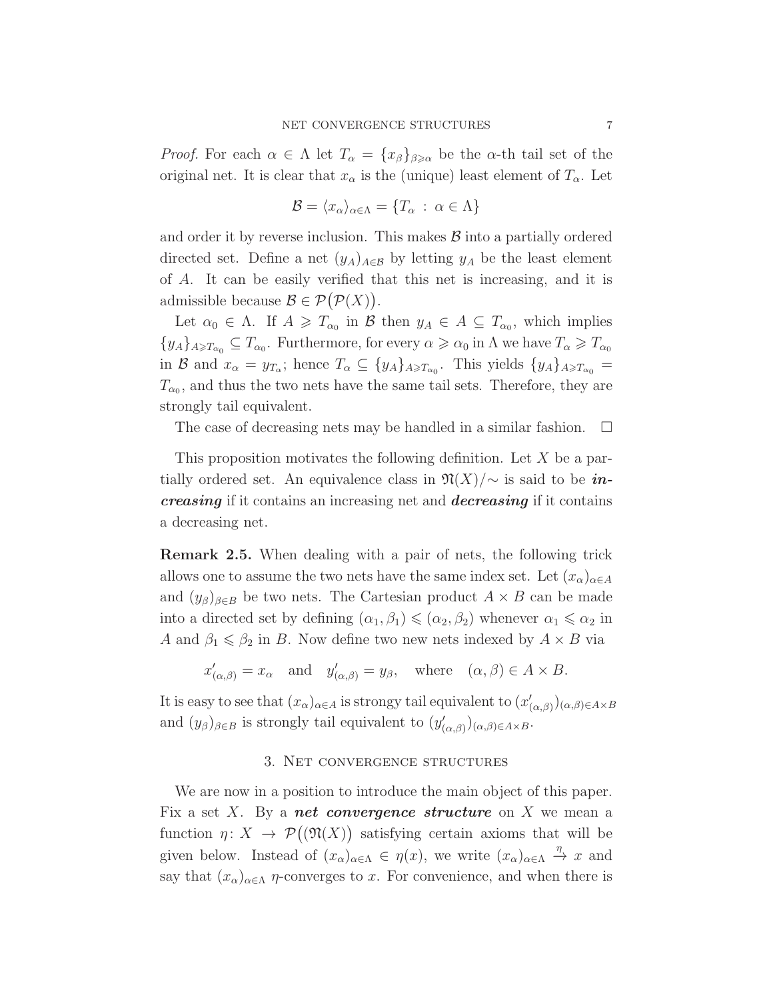*Proof.* For each  $\alpha \in \Lambda$  let  $T_{\alpha} = \{x_{\beta}\}_{\beta \geqslant \alpha}$  be the  $\alpha$ -th tail set of the original net. It is clear that  $x_{\alpha}$  is the (unique) least element of  $T_{\alpha}$ . Let

$$
\mathcal{B} = \langle x_{\alpha} \rangle_{\alpha \in \Lambda} = \{ T_{\alpha} \, : \, \alpha \in \Lambda \}
$$

and order it by reverse inclusion. This makes  $\beta$  into a partially ordered directed set. Define a net  $(y_A)_{A \in \mathcal{B}}$  by letting  $y_A$  be the least element of A. It can be easily verified that this net is increasing, and it is admissible because  $\mathcal{B} \in \mathcal{P}(\mathcal{P}(X)).$ 

Let  $\alpha_0 \in \Lambda$ . If  $A \geq T_{\alpha_0}$  in  $\mathcal{B}$  then  $y_A \in A \subseteq T_{\alpha_0}$ , which implies  $\{y_A\}_{A\geq T_{\alpha_0}}\subseteq T_{\alpha_0}$ . Furthermore, for every  $\alpha\geqslant\alpha_0$  in  $\Lambda$  we have  $T_\alpha\geqslant T_{\alpha_0}$ in B and  $x_{\alpha} = y_{T_{\alpha}}$ ; hence  $T_{\alpha} \subseteq \{y_A\}_{A \ge T_{\alpha_0}}$ . This yields  $\{y_A\}_{A \ge T_{\alpha_0}} =$  $T_{\alpha_0}$ , and thus the two nets have the same tail sets. Therefore, they are strongly tail equivalent.

The case of decreasing nets may be handled in a similar fashion.  $\Box$ 

This proposition motivates the following definition. Let X be a partially ordered set. An equivalence class in  $\mathfrak{N}(X)/\sim$  is said to be *in*creasing if it contains an increasing net and decreasing if it contains a decreasing net.

<span id="page-6-1"></span>Remark 2.5. When dealing with a pair of nets, the following trick allows one to assume the two nets have the same index set. Let  $(x_{\alpha})_{\alpha \in A}$ and  $(y_\beta)_{\beta \in B}$  be two nets. The Cartesian product  $A \times B$  can be made into a directed set by defining  $(\alpha_1, \beta_1) \leq (\alpha_2, \beta_2)$  whenever  $\alpha_1 \leq \alpha_2$  in A and  $\beta_1 \leq \beta_2$  in B. Now define two new nets indexed by  $A \times B$  via

 $x'_{(\alpha,\beta)} = x_\alpha$  and  $y'_{(\alpha,\beta)} = y_\beta$ , where  $(\alpha,\beta) \in A \times B$ .

<span id="page-6-0"></span>It is easy to see that  $(x_\alpha)_{\alpha \in A}$  is strongy tail equivalent to  $(x'_\alpha)$  $(\alpha,\beta)(\alpha,\beta) \in A \times B$ and  $(y_\beta)_{\beta \in B}$  is strongly tail equivalent to  $(y'_\beta)$  $(\alpha,\beta)(\alpha,\beta) \in A \times B$ .

### 3. Net convergence structures

We are now in a position to introduce the main object of this paper. Fix a set X. By a **net convergence structure** on X we mean a function  $\eta: X \to \mathcal{P}((\mathfrak{N}(X))$  satisfying certain axioms that will be given below. Instead of  $(x_\alpha)_{\alpha \in \Lambda} \in \eta(x)$ , we write  $(x_\alpha)_{\alpha \in \Lambda} \stackrel{\eta}{\to} x$  and say that  $(x_{\alpha})_{\alpha \in \Lambda}$  *η*-converges to x. For convenience, and when there is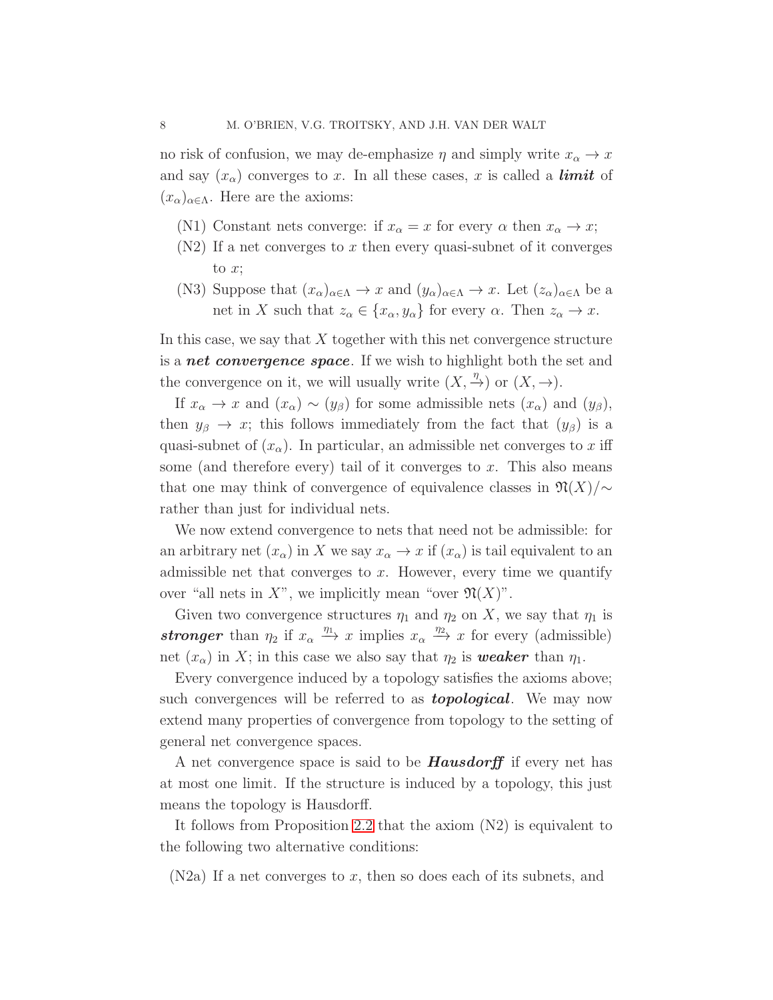no risk of confusion, we may de-emphasize  $\eta$  and simply write  $x_{\alpha} \to x$ and say  $(x_{\alpha})$  converges to x. In all these cases, x is called a **limit** of  $(x_{\alpha})_{\alpha\in\Lambda}$ . Here are the axioms:

- (N1) Constant nets converge: if  $x_{\alpha} = x$  for every  $\alpha$  then  $x_{\alpha} \to x$ ;
- $(N2)$  If a net converges to x then every quasi-subnet of it converges to  $x$ ;
- (N3) Suppose that  $(x_{\alpha})_{\alpha \in \Lambda} \to x$  and  $(y_{\alpha})_{\alpha \in \Lambda} \to x$ . Let  $(z_{\alpha})_{\alpha \in \Lambda}$  be a net in X such that  $z_{\alpha} \in \{x_{\alpha}, y_{\alpha}\}\)$  for every  $\alpha$ . Then  $z_{\alpha} \to x$ .

In this case, we say that  $X$  together with this net convergence structure is a **net convergence space**. If we wish to highlight both the set and the convergence on it, we will usually write  $(X, \frac{\eta}{\gamma})$  or  $(X, \rightarrow)$ .

If  $x_{\alpha} \to x$  and  $(x_{\alpha}) \sim (y_{\beta})$  for some admissible nets  $(x_{\alpha})$  and  $(y_{\beta})$ , then  $y_\beta \to x$ ; this follows immediately from the fact that  $(y_\beta)$  is a quasi-subnet of  $(x_\alpha)$ . In particular, an admissible net converges to x iff some (and therefore every) tail of it converges to  $x$ . This also means that one may think of convergence of equivalence classes in  $\mathfrak{N}(X)/\sim$ rather than just for individual nets.

We now extend convergence to nets that need not be admissible: for an arbitrary net  $(x_{\alpha})$  in X we say  $x_{\alpha} \to x$  if  $(x_{\alpha})$  is tail equivalent to an admissible net that converges to  $x$ . However, every time we quantify over "all nets in X", we implicitly mean "over  $\mathfrak{N}(X)$ ".

Given two convergence structures  $\eta_1$  and  $\eta_2$  on X, we say that  $\eta_1$  is stronger than  $\eta_2$  if  $x_\alpha \stackrel{\eta_1}{\longrightarrow} x$  implies  $x_\alpha \stackrel{\eta_2}{\longrightarrow} x$  for every (admissible) net  $(x_{\alpha})$  in X; in this case we also say that  $\eta_2$  is **weaker** than  $\eta_1$ .

Every convergence induced by a topology satisfies the axioms above; such convergences will be referred to as **topological**. We may now extend many properties of convergence from topology to the setting of general net convergence spaces.

A net convergence space is said to be **Hausdorff** if every net has at most one limit. If the structure is induced by a topology, this just means the topology is Hausdorff.

It follows from Proposition [2.2](#page-4-0) that the axiom (N2) is equivalent to the following two alternative conditions:

 $(N2a)$  If a net converges to x, then so does each of its subnets, and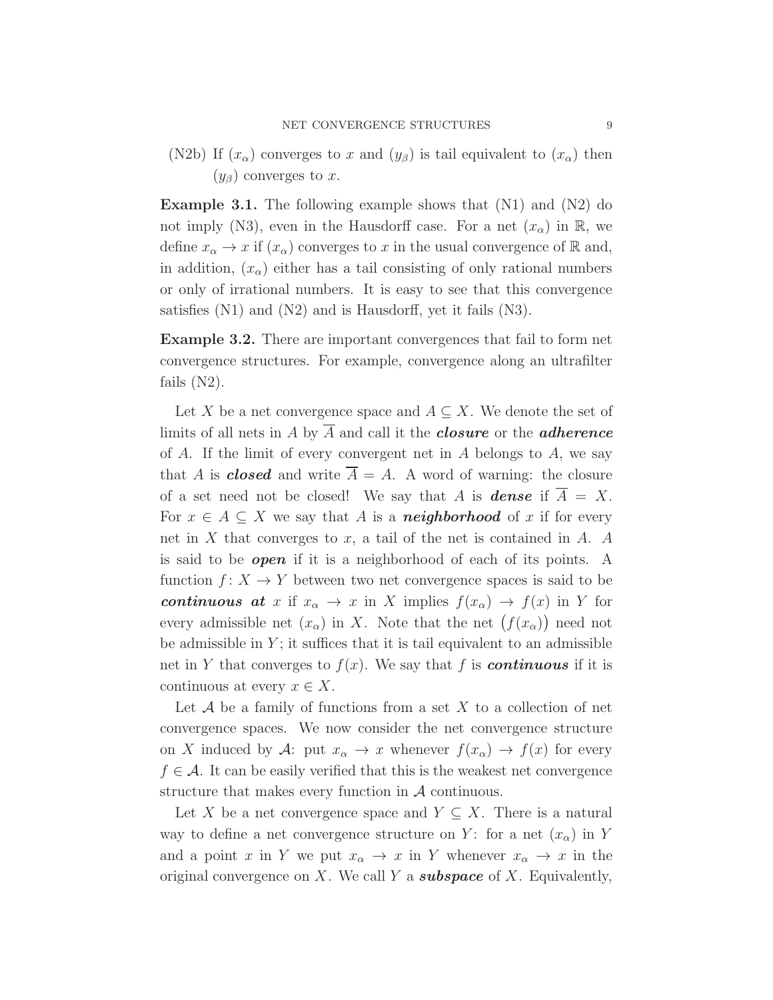<span id="page-8-0"></span>(N2b) If  $(x_\alpha)$  converges to x and  $(y_\beta)$  is tail equivalent to  $(x_\alpha)$  then  $(y_\beta)$  converges to x.

**Example 3.1.** The following example shows that  $(N1)$  and  $(N2)$  do not imply (N3), even in the Hausdorff case. For a net  $(x_{\alpha})$  in R, we define  $x_{\alpha} \to x$  if  $(x_{\alpha})$  converges to x in the usual convergence of R and, in addition,  $(x_{\alpha})$  either has a tail consisting of only rational numbers or only of irrational numbers. It is easy to see that this convergence satisfies (N1) and (N2) and is Hausdorff, yet it fails (N3).

Example 3.2. There are important convergences that fail to form net convergence structures. For example, convergence along an ultrafilter fails  $(N2)$ .

Let X be a net convergence space and  $A \subseteq X$ . We denote the set of limits of all nets in A by  $\overline{A}$  and call it the **closure** or the **adherence** of  $A$ . If the limit of every convergent net in  $A$  belongs to  $A$ , we say that A is **closed** and write  $\overline{A} = A$ . A word of warning: the closure of a set need not be closed! We say that A is **dense** if  $\overline{A} = X$ . For  $x \in A \subseteq X$  we say that A is a **neighborhood** of x if for every net in  $X$  that converges to  $x$ , a tail of the net is contained in  $A$ .  $A$ is said to be **open** if it is a neighborhood of each of its points. A function  $f: X \to Y$  between two net convergence spaces is said to be continuous at x if  $x_{\alpha} \to x$  in X implies  $f(x_{\alpha}) \to f(x)$  in Y for every admissible net  $(x_{\alpha})$  in X. Note that the net  $(f(x_{\alpha}))$  need not be admissible in  $Y$ ; it suffices that it is tail equivalent to an admissible net in Y that converges to  $f(x)$ . We say that f is **continuous** if it is continuous at every  $x \in X$ .

Let  $A$  be a family of functions from a set  $X$  to a collection of net convergence spaces. We now consider the net convergence structure on X induced by A: put  $x_{\alpha} \to x$  whenever  $f(x_{\alpha}) \to f(x)$  for every  $f \in \mathcal{A}$ . It can be easily verified that this is the weakest net convergence structure that makes every function in  $A$  continuous.

Let X be a net convergence space and  $Y \subseteq X$ . There is a natural way to define a net convergence structure on Y: for a net  $(x_{\alpha})$  in Y and a point x in Y we put  $x_{\alpha} \to x$  in Y whenever  $x_{\alpha} \to x$  in the original convergence on X. We call Y a **subspace** of X. Equivalently,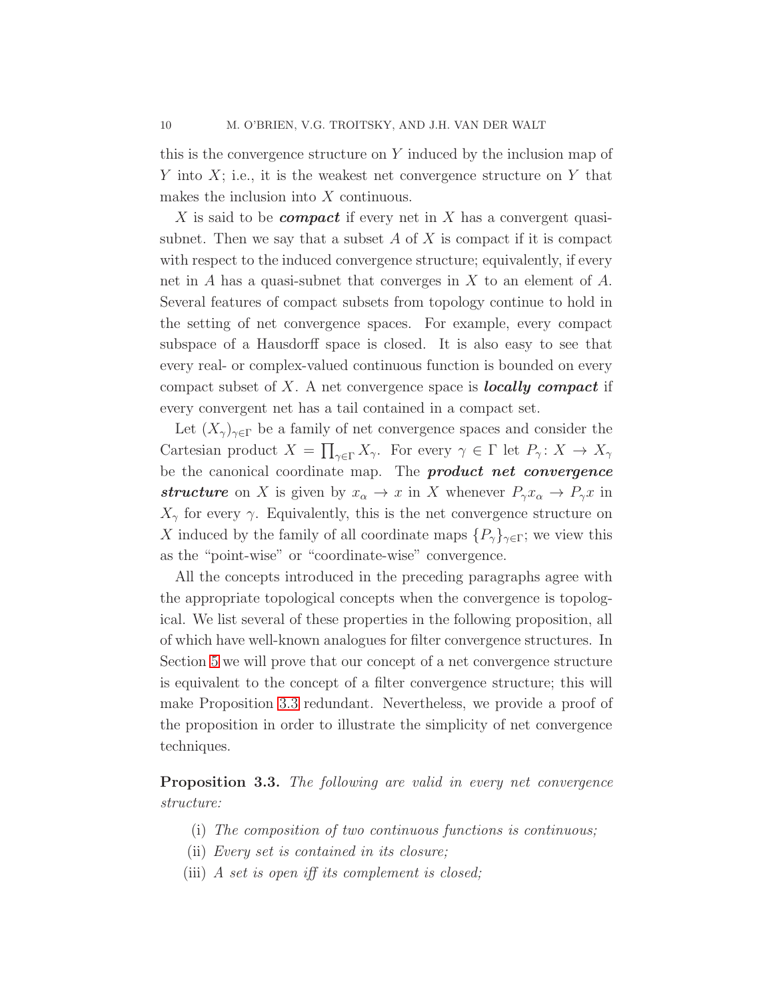this is the convergence structure on Y induced by the inclusion map of Y into  $X$ ; i.e., it is the weakest net convergence structure on Y that makes the inclusion into X continuous.

X is said to be *compact* if every net in X has a convergent quasisubnet. Then we say that a subset  $A$  of  $X$  is compact if it is compact with respect to the induced convergence structure; equivalently, if every net in A has a quasi-subnet that converges in X to an element of A. Several features of compact subsets from topology continue to hold in the setting of net convergence spaces. For example, every compact subspace of a Hausdorff space is closed. It is also easy to see that every real- or complex-valued continuous function is bounded on every compact subset of  $X$ . A net convergence space is **locally compact** if every convergent net has a tail contained in a compact set.

Let  $(X_{\gamma})_{\gamma \in \Gamma}$  be a family of net convergence spaces and consider the Cartesian product  $X = \prod_{\gamma \in \Gamma} X_{\gamma}$ . For every  $\gamma \in \Gamma$  let  $P_{\gamma}: X \to X_{\gamma}$ be the canonical coordinate map. The **product net convergence** structure on X is given by  $x_{\alpha} \to x$  in X whenever  $P_{\gamma}x_{\alpha} \to P_{\gamma}x$  in  $X_{\gamma}$  for every  $\gamma$ . Equivalently, this is the net convergence structure on X induced by the family of all coordinate maps  $\{P_\gamma\}_{\gamma \in \Gamma}$ ; we view this as the "point-wise" or "coordinate-wise" convergence.

All the concepts introduced in the preceding paragraphs agree with the appropriate topological concepts when the convergence is topological. We list several of these properties in the following proposition, all of which have well-known analogues for filter convergence structures. In Section [5](#page-17-0) we will prove that our concept of a net convergence structure is equivalent to the concept of a filter convergence structure; this will make Proposition [3.3](#page-9-0) redundant. Nevertheless, we provide a proof of the proposition in order to illustrate the simplicity of net convergence techniques.

<span id="page-9-1"></span><span id="page-9-0"></span>Proposition 3.3. The following are valid in every net convergence structure:

- <span id="page-9-2"></span>(i) The composition of two continuous functions is continuous;
- <span id="page-9-4"></span>(ii) Every set is contained in its closure;
- <span id="page-9-3"></span>(iii) A set is open iff its complement is closed;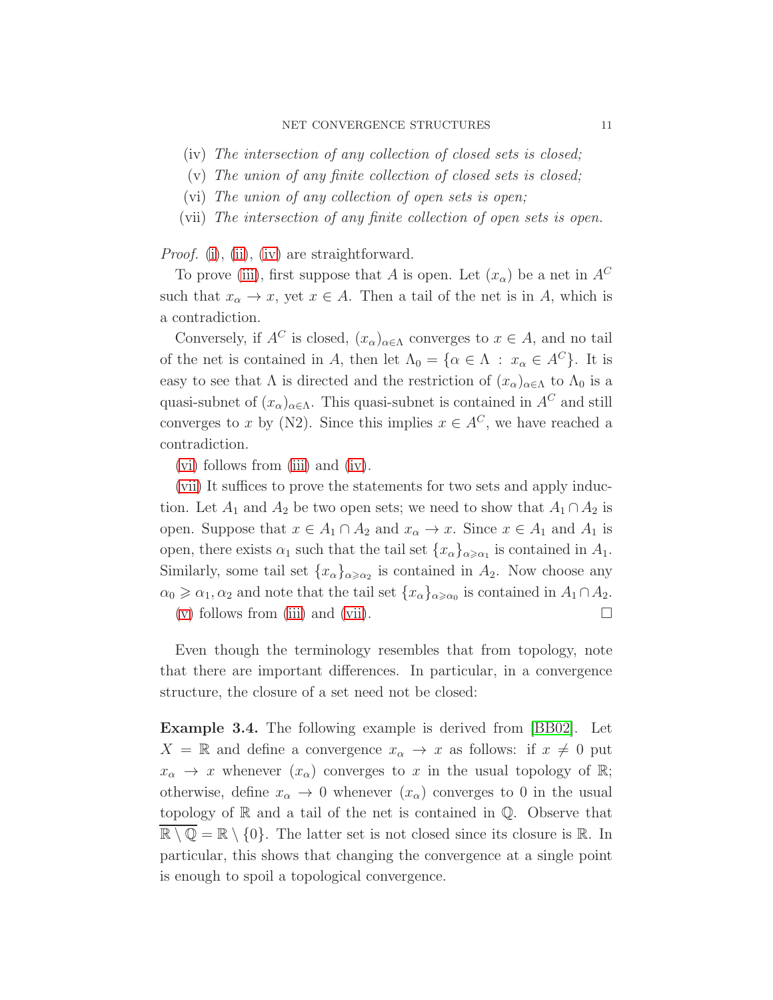- <span id="page-10-2"></span>(iv) The intersection of any collection of closed sets is closed;
- <span id="page-10-0"></span>(v) The union of any finite collection of closed sets is closed;
- <span id="page-10-1"></span>(vi) The union of any collection of open sets is open;
- (vii) The intersection of any finite collection of open sets is open.

Proof. [\(i\)](#page-9-1), [\(ii\)](#page-9-2), [\(iv\)](#page-9-3) are straightforward.

To prove [\(iii\)](#page-9-4), first suppose that A is open. Let  $(x_{\alpha})$  be a net in  $A^C$ such that  $x_{\alpha} \to x$ , yet  $x \in A$ . Then a tail of the net is in A, which is a contradiction.

Conversely, if  $A^C$  is closed,  $(x_\alpha)_{\alpha \in \Lambda}$  converges to  $x \in A$ , and no tail of the net is contained in A, then let  $\Lambda_0 = {\alpha \in \Lambda : x_\alpha \in A^C}$ . It is easy to see that  $\Lambda$  is directed and the restriction of  $(x_{\alpha})_{\alpha \in \Lambda}$  to  $\Lambda_0$  is a quasi-subnet of  $(x_{\alpha})_{\alpha \in \Lambda}$ . This quasi-subnet is contained in  $A^C$  and still converges to x by (N2). Since this implies  $x \in A^C$ , we have reached a contradiction.

[\(vi\)](#page-10-0) follows from [\(iii\)](#page-9-4) and [\(iv\)](#page-9-3).

[\(vii\)](#page-10-1) It suffices to prove the statements for two sets and apply induction. Let  $A_1$  and  $A_2$  be two open sets; we need to show that  $A_1 \cap A_2$  is open. Suppose that  $x \in A_1 \cap A_2$  and  $x_\alpha \to x$ . Since  $x \in A_1$  and  $A_1$  is open, there exists  $\alpha_1$  such that the tail set  $\{x_\alpha\}_{\alpha \geq \alpha_1}$  is contained in  $A_1$ . Similarly, some tail set  $\{x_{\alpha}\}_{{\alpha \geq \alpha_2}}$  is contained in  $A_2$ . Now choose any  $\alpha_0 \geq \alpha_1, \alpha_2$  and note that the tail set  $\{x_\alpha\}_{\alpha \geq \alpha_0}$  is contained in  $A_1 \cap A_2$ . [\(v\)](#page-10-2) follows from [\(iii\)](#page-9-4) and [\(vii\)](#page-10-1).  $\Box$ 

Even though the terminology resembles that from topology, note that there are important differences. In particular, in a convergence structure, the closure of a set need not be closed:

Example 3.4. The following example is derived from [\[BB02\]](#page-48-0). Let  $X = \mathbb{R}$  and define a convergence  $x_{\alpha} \to x$  as follows: if  $x \neq 0$  put  $x_{\alpha} \to x$  whenever  $(x_{\alpha})$  converges to x in the usual topology of  $\mathbb{R}$ ; otherwise, define  $x_{\alpha} \to 0$  whenever  $(x_{\alpha})$  converges to 0 in the usual topology of  $\mathbb R$  and a tail of the net is contained in  $\mathbb Q$ . Observe that  $\overline{\mathbb{R} \setminus \mathbb{Q}} = \mathbb{R} \setminus \{0\}.$  The latter set is not closed since its closure is  $\mathbb{R}$ . In particular, this shows that changing the convergence at a single point is enough to spoil a topological convergence.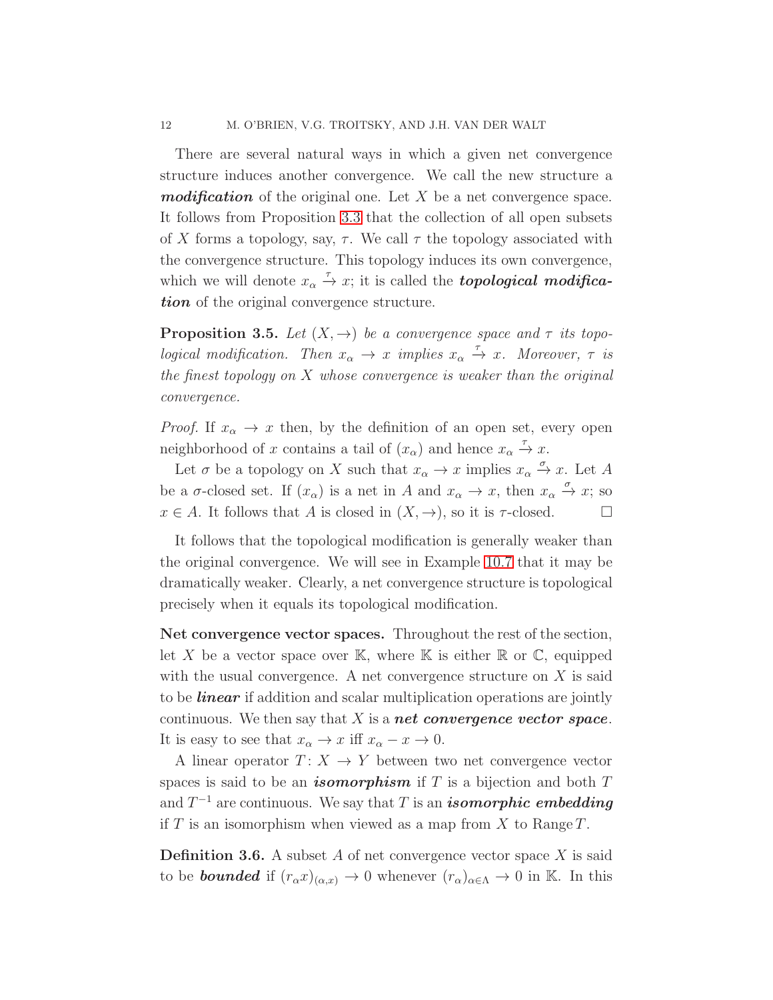There are several natural ways in which a given net convergence structure induces another convergence. We call the new structure a  **of the original one. Let X be a net convergence space.** It follows from Proposition [3.3](#page-9-0) that the collection of all open subsets of X forms a topology, say,  $\tau$ . We call  $\tau$  the topology associated with the convergence structure. This topology induces its own convergence, which we will denote  $x_{\alpha} \stackrel{\tau}{\rightarrow} x$ ; it is called the **topological modifica**tion of the original convergence structure.

<span id="page-11-1"></span>**Proposition 3.5.** Let  $(X, \rightarrow)$  be a convergence space and  $\tau$  its topological modification. Then  $x_{\alpha} \to x$  implies  $x_{\alpha} \to x$ . Moreover,  $\tau$  is the finest topology on  $X$  whose convergence is weaker than the original convergence.

*Proof.* If  $x_{\alpha} \to x$  then, by the definition of an open set, every open neighborhood of x contains a tail of  $(x_{\alpha})$  and hence  $x_{\alpha} \stackrel{\tau}{\rightarrow} x$ .

Let  $\sigma$  be a topology on X such that  $x_{\alpha} \to x$  implies  $x_{\alpha} \xrightarrow{\sigma} x$ . Let A be a  $\sigma$ -closed set. If  $(x_{\alpha})$  is a net in A and  $x_{\alpha} \to x$ , then  $x_{\alpha} \xrightarrow{\sigma} x$ ; so  $x \in A$ . It follows that A is closed in  $(X, \rightarrow)$ , so it is  $\tau$ -closed.

It follows that the topological modification is generally weaker than the original convergence. We will see in Example [10.7](#page-44-0) that it may be dramatically weaker. Clearly, a net convergence structure is topological precisely when it equals its topological modification.

Net convergence vector spaces. Throughout the rest of the section, let X be a vector space over K, where K is either  $\mathbb R$  or  $\mathbb C$ , equipped with the usual convergence. A net convergence structure on  $X$  is said to be **linear** if addition and scalar multiplication operations are jointly continuous. We then say that  $X$  is a **net convergence vector space**. It is easy to see that  $x_{\alpha} \to x$  iff  $x_{\alpha} - x \to 0$ .

A linear operator  $T: X \rightarrow Y$  between two net convergence vector spaces is said to be an *isomorphism* if  $T$  is a bijection and both  $T$ and  $T^{-1}$  are continuous. We say that T is an *isomorphic embedding* if T is an isomorphism when viewed as a map from X to Range  $T$ .

<span id="page-11-0"></span>**Definition 3.6.** A subset  $A$  of net convergence vector space  $X$  is said to be **bounded** if  $(r_\alpha x)_{(\alpha,x)} \to 0$  whenever  $(r_\alpha)_{\alpha \in \Lambda} \to 0$  in K. In this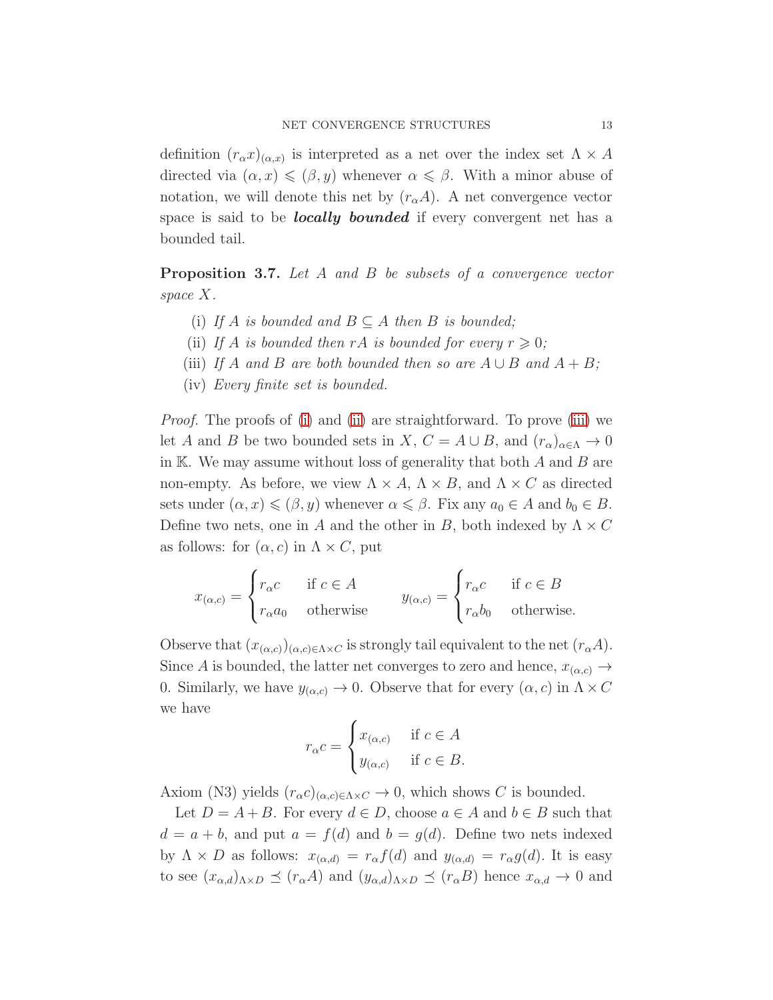definition  $(r_\alpha x)_{(\alpha,x)}$  is interpreted as a net over the index set  $\Lambda \times A$ directed via  $(\alpha, x) \leqslant (\beta, y)$  whenever  $\alpha \leqslant \beta$ . With a minor abuse of notation, we will denote this net by  $(r_{\alpha}A)$ . A net convergence vector space is said to be *locally* bounded if every convergent net has a bounded tail.

<span id="page-12-0"></span>**Proposition 3.7.** Let A and B be subsets of a convergence vector space X.

- <span id="page-12-1"></span>(i) If A is bounded and  $B \subseteq A$  then B is bounded;
- <span id="page-12-2"></span>(ii) If A is bounded then rA is bounded for every  $r \geq 0$ ;
- <span id="page-12-3"></span>(iii) If A and B are both bounded then so are  $A \cup B$  and  $A + B$ ;
- (iv) Every finite set is bounded.

Proof. The proofs of [\(i\)](#page-12-0) and [\(ii\)](#page-12-1) are straightforward. To prove [\(iii\)](#page-12-2) we let A and B be two bounded sets in X,  $C = A \cup B$ , and  $(r_\alpha)_{\alpha \in \Lambda} \to 0$ in K. We may assume without loss of generality that both  $A$  and  $B$  are non-empty. As before, we view  $\Lambda \times A$ ,  $\Lambda \times B$ , and  $\Lambda \times C$  as directed sets under  $(\alpha, x) \leqslant (\beta, y)$  whenever  $\alpha \leqslant \beta$ . Fix any  $a_0 \in A$  and  $b_0 \in B$ . Define two nets, one in A and the other in B, both indexed by  $\Lambda \times C$ as follows: for  $(\alpha, c)$  in  $\Lambda \times C$ , put

$$
x_{(\alpha,c)} = \begin{cases} r_{\alpha}c & \text{if } c \in A \\ r_{\alpha}a_0 & \text{otherwise} \end{cases} \qquad y_{(\alpha,c)} = \begin{cases} r_{\alpha}c & \text{if } c \in B \\ r_{\alpha}b_0 & \text{otherwise.} \end{cases}
$$

Observe that  $(x_{(\alpha,c)})_{(\alpha,c)\in\Lambda\times C}$  is strongly tail equivalent to the net  $(r_{\alpha}A)$ . Since A is bounded, the latter net converges to zero and hence,  $x_{(\alpha,c)} \rightarrow$ 0. Similarly, we have  $y_{(\alpha,c)} \to 0$ . Observe that for every  $(\alpha, c)$  in  $\Lambda \times C$ we have

$$
r_{\alpha}c = \begin{cases} x_{(\alpha,c)} & \text{if } c \in A \\ y_{(\alpha,c)} & \text{if } c \in B. \end{cases}
$$

Axiom (N3) yields  $(r_{\alpha}c)_{(\alpha,c)\in\Lambda\times C}\to 0$ , which shows C is bounded.

Let  $D = A + B$ . For every  $d \in D$ , choose  $a \in A$  and  $b \in B$  such that  $d = a + b$ , and put  $a = f(d)$  and  $b = g(d)$ . Define two nets indexed by  $\Lambda \times D$  as follows:  $x_{(\alpha,d)} = r_{\alpha} f(d)$  and  $y_{(\alpha,d)} = r_{\alpha} g(d)$ . It is easy to see  $(x_{\alpha,d})_{\alpha \times D} \preceq (r_{\alpha}A)$  and  $(y_{\alpha,d})_{\alpha \times D} \preceq (r_{\alpha}B)$  hence  $x_{\alpha,d} \to 0$  and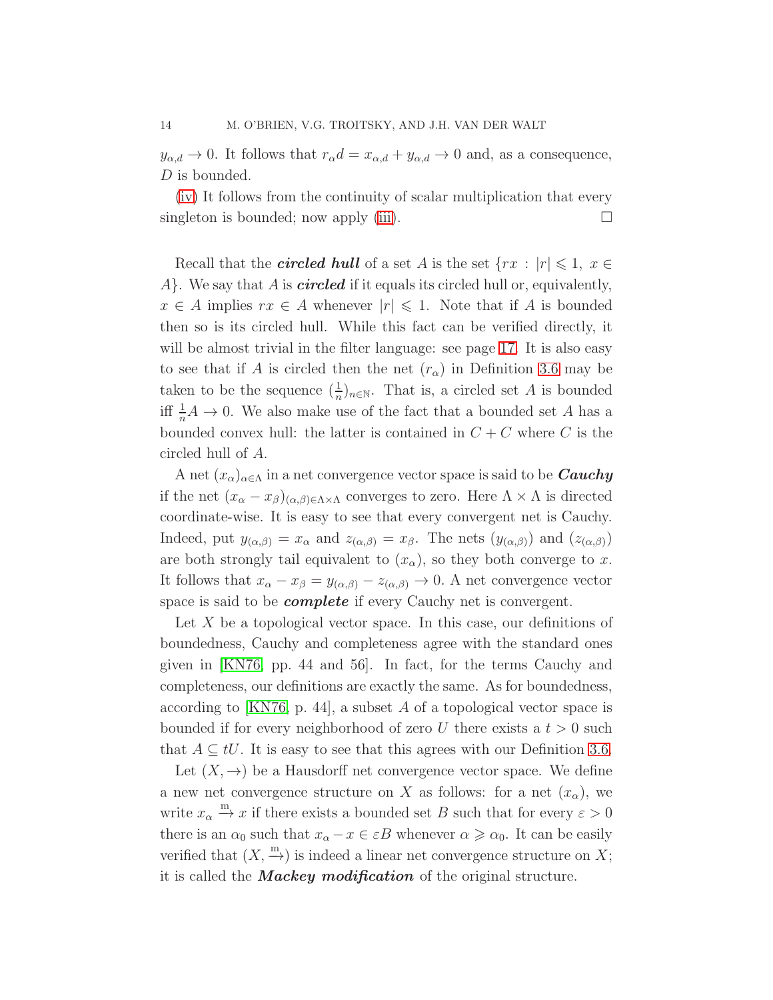$y_{\alpha,d} \to 0$ . It follows that  $r_{\alpha}d = x_{\alpha,d} + y_{\alpha,d} \to 0$  and, as a consequence, D is bounded.

[\(iv\)](#page-12-3) It follows from the continuity of scalar multiplication that every singleton is bounded; now apply [\(iii\)](#page-12-2).  $\square$ 

Recall that the *circled hull* of a set A is the set  $\{rx : |r| \leq 1, x \in$  $A$ . We say that A is *circled* if it equals its circled hull or, equivalently,  $x \in A$  implies  $rx \in A$  whenever  $|r| \leq 1$ . Note that if A is bounded then so is its circled hull. While this fact can be verified directly, it will be almost trivial in the filter language: see page [17.](#page-14-0) It is also easy to see that if A is circled then the net  $(r_{\alpha})$  in Definition [3.6](#page-11-0) may be taken to be the sequence  $(\frac{1}{n})_{n\in\mathbb{N}}$ . That is, a circled set A is bounded iff  $\frac{1}{n}A \to 0$ . We also make use of the fact that a bounded set A has a bounded convex hull: the latter is contained in  $C + C$  where C is the circled hull of A.

A net  $(x_{\alpha})_{\alpha\in\Lambda}$  in a net convergence vector space is said to be  $\it Cauchy$ if the net  $(x_{\alpha}-x_{\beta})_{(\alpha,\beta)\in\Lambda\times\Lambda}$  converges to zero. Here  $\Lambda\times\Lambda$  is directed coordinate-wise. It is easy to see that every convergent net is Cauchy. Indeed, put  $y_{(\alpha,\beta)} = x_\alpha$  and  $z_{(\alpha,\beta)} = x_\beta$ . The nets  $(y_{(\alpha,\beta)})$  and  $(z_{(\alpha,\beta)})$ are both strongly tail equivalent to  $(x_{\alpha})$ , so they both converge to x. It follows that  $x_{\alpha} - x_{\beta} = y_{(\alpha,\beta)} - z_{(\alpha,\beta)} \to 0$ . A net convergence vector space is said to be *complete* if every Cauchy net is convergent.

Let  $X$  be a topological vector space. In this case, our definitions of boundedness, Cauchy and completeness agree with the standard ones given in [\[KN76,](#page-48-7) pp. 44 and 56]. In fact, for the terms Cauchy and completeness, our definitions are exactly the same. As for boundedness, according to [\[KN76,](#page-48-7) p. 44], a subset  $A$  of a topological vector space is bounded if for every neighborhood of zero U there exists a  $t > 0$  such that  $A \subseteq tU$ . It is easy to see that this agrees with our Definition [3.6.](#page-11-0)

Let  $(X, \rightarrow)$  be a Hausdorff net convergence vector space. We define a new net convergence structure on X as follows: for a net  $(x_{\alpha})$ , we write  $x_{\alpha} \stackrel{\text{m}}{\rightarrow} x$  if there exists a bounded set B such that for every  $\varepsilon > 0$ there is an  $\alpha_0$  such that  $x_\alpha - x \in \varepsilon B$  whenever  $\alpha \geq \alpha_0$ . It can be easily verified that  $(X, \stackrel{m}{\rightarrow})$  is indeed a linear net convergence structure on X; it is called the **Mackey modification** of the original structure.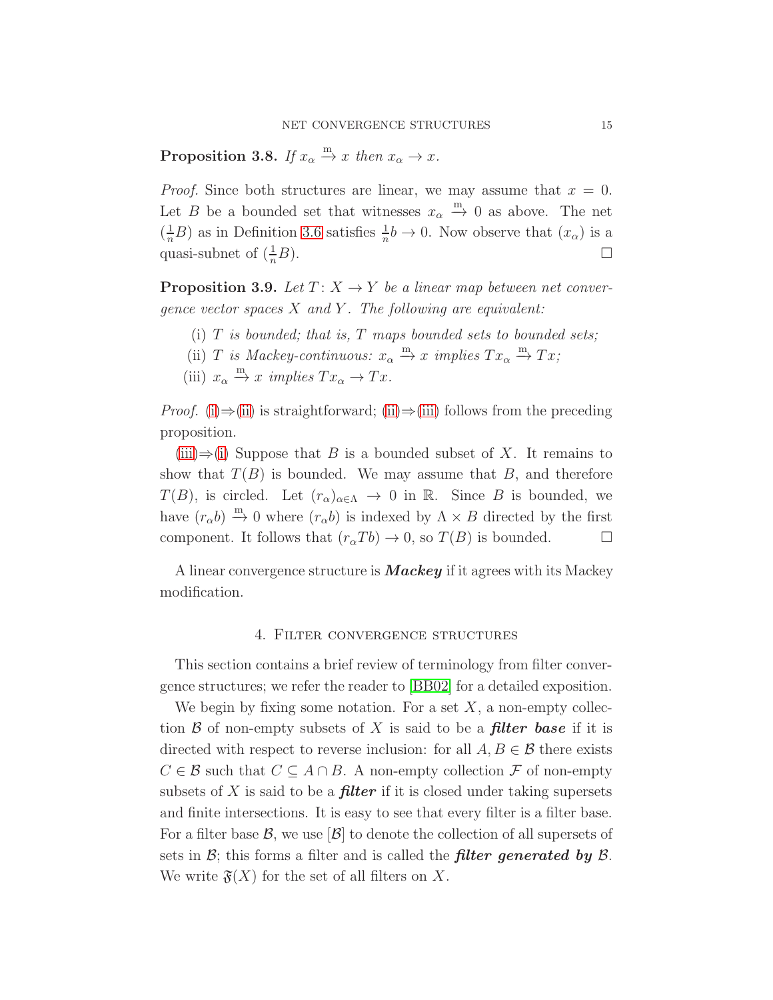**Proposition 3.8.** If  $x_{\alpha} \stackrel{m}{\rightarrow} x$  then  $x_{\alpha} \rightarrow x$ .

*Proof.* Since both structures are linear, we may assume that  $x = 0$ . Let B be a bounded set that witnesses  $x_{\alpha} \stackrel{m}{\rightarrow} 0$  as above. The net  $\left(\frac{1}{n}B\right)$  as in Definition [3.6](#page-11-0) satisfies  $\frac{1}{n}b \to 0$ . Now observe that  $(x_{\alpha})$  is a quasi-subnet of  $(\frac{1}{n}B)$ .  $\frac{1}{n}B$ ).

<span id="page-14-4"></span><span id="page-14-1"></span>**Proposition 3.9.** Let  $T: X \rightarrow Y$  be a linear map between net convergence vector spaces  $X$  and  $Y$ . The following are equivalent:

- <span id="page-14-2"></span>(i)  $T$  is bounded; that is,  $T$  maps bounded sets to bounded sets;
- <span id="page-14-3"></span>(ii) T is Mackey-continuous:  $x_{\alpha} \stackrel{m}{\rightarrow} x$  implies  $Tx_{\alpha} \stackrel{m}{\rightarrow} Tx;$
- (iii)  $x_{\alpha} \stackrel{\text{m}}{\rightarrow} x \ \text{implies} \ Tx_{\alpha} \rightarrow Tx.$

*Proof.* [\(i\)](#page-14-1) $\Rightarrow$ [\(ii\)](#page-14-2) is straightforward; [\(ii\)](#page-14-2) $\Rightarrow$ [\(iii\)](#page-14-3) follows from the preceding proposition.

 $(iii) \Rightarrow (i)$  $(iii) \Rightarrow (i)$  $(iii) \Rightarrow (i)$  Suppose that B is a bounded subset of X. It remains to show that  $T(B)$  is bounded. We may assume that B, and therefore  $T(B)$ , is circled. Let  $(r_{\alpha})_{\alpha \in \Lambda} \to 0$  in R. Since B is bounded, we have  $(r_{\alpha}b) \stackrel{m}{\rightarrow} 0$  where  $(r_{\alpha}b)$  is indexed by  $\Lambda \times B$  directed by the first component. It follows that  $(r_{\alpha}Tb) \rightarrow 0$ , so  $T(B)$  is bounded.

<span id="page-14-0"></span>A linear convergence structure is **Mackey** if it agrees with its Mackey modification.

#### 4. Filter convergence structures

This section contains a brief review of terminology from filter convergence structures; we refer the reader to [\[BB02\]](#page-48-0) for a detailed exposition.

We begin by fixing some notation. For a set  $X$ , a non-empty collection  $\beta$  of non-empty subsets of X is said to be a **filter base** if it is directed with respect to reverse inclusion: for all  $A, B \in \mathcal{B}$  there exists  $C \in \mathcal{B}$  such that  $C \subseteq A \cap B$ . A non-empty collection  $\mathcal F$  of non-empty subsets of X is said to be a **filter** if it is closed under taking supersets and finite intersections. It is easy to see that every filter is a filter base. For a filter base  $\mathcal{B}$ , we use  $|\mathcal{B}|$  to denote the collection of all supersets of sets in  $\mathcal{B}$ ; this forms a filter and is called the **filter generated by**  $\mathcal{B}$ . We write  $\mathfrak{F}(X)$  for the set of all filters on X.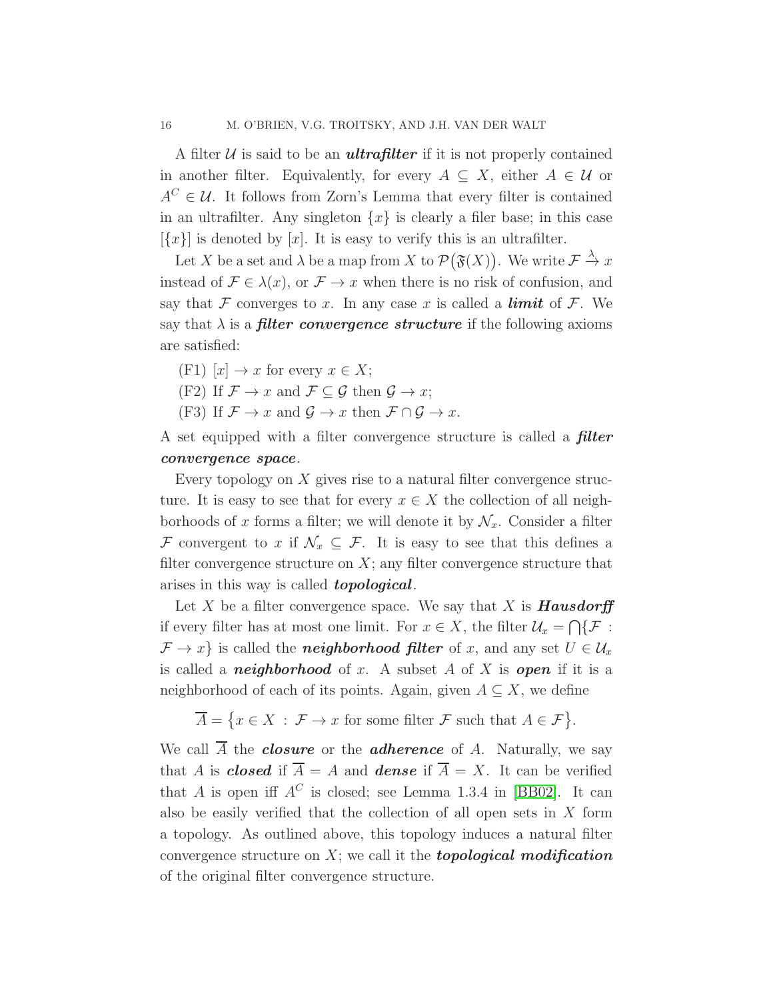A filter  $U$  is said to be an **ultrafilter** if it is not properly contained in another filter. Equivalently, for every  $A \subseteq X$ , either  $A \in \mathcal{U}$  or  $A^C \in \mathcal{U}$ . It follows from Zorn's Lemma that every filter is contained in an ultrafilter. Any singleton  $\{x\}$  is clearly a filer base; in this case  $[\{x\}]$  is denoted by  $[x]$ . It is easy to verify this is an ultrafilter.

Let X be a set and  $\lambda$  be a map from X to  $\mathcal{P}(\mathfrak{F}(X))$ . We write  $\mathcal{F} \stackrel{\lambda}{\to} x$ instead of  $\mathcal{F} \in \lambda(x)$ , or  $\mathcal{F} \to x$  when there is no risk of confusion, and say that F converges to x. In any case x is called a **limit** of F. We say that  $\lambda$  is a *filter convergence structure* if the following axioms are satisfied:

 $(F1)$   $[x] \rightarrow x$  for every  $x \in X$ ;

(F2) If  $\mathcal{F} \to x$  and  $\mathcal{F} \subseteq \mathcal{G}$  then  $\mathcal{G} \to x$ ;

(F3) If  $\mathcal{F} \to x$  and  $\mathcal{G} \to x$  then  $\mathcal{F} \cap \mathcal{G} \to x$ .

A set equipped with a filter convergence structure is called a **filter** convergence space.

Every topology on  $X$  gives rise to a natural filter convergence structure. It is easy to see that for every  $x \in X$  the collection of all neighborhoods of x forms a filter; we will denote it by  $\mathcal{N}_x$ . Consider a filter F convergent to x if  $\mathcal{N}_x \subseteq \mathcal{F}$ . It is easy to see that this defines a filter convergence structure on  $X$ ; any filter convergence structure that arises in this way is called **topological**.

Let X be a filter convergence space. We say that X is **Hausdorff** if every filter has at most one limit. For  $x \in X$ , the filter  $\mathcal{U}_x = \bigcap \{ \mathcal{F} :$  $\mathcal{F} \to x$  is called the **neighborhood filter** of x, and any set  $U \in \mathcal{U}_x$ is called a **neighborhood** of x. A subset A of X is **open** if it is a neighborhood of each of its points. Again, given  $A \subseteq X$ , we define

$$
\overline{A} = \{ x \in X : \mathcal{F} \to x \text{ for some filter } \mathcal{F} \text{ such that } A \in \mathcal{F} \}.
$$

We call  $\overline{A}$  the *closure* or the *adherence* of A. Naturally, we say that A is **closed** if  $\overline{A} = A$  and **dense** if  $\overline{A} = X$ . It can be verified that A is open iff  $A^C$  is closed; see Lemma 1.3.4 in [\[BB02\]](#page-48-0). It can also be easily verified that the collection of all open sets in  $X$  form a topology. As outlined above, this topology induces a natural filter convergence structure on  $X$ ; we call it the **topological modification** of the original filter convergence structure.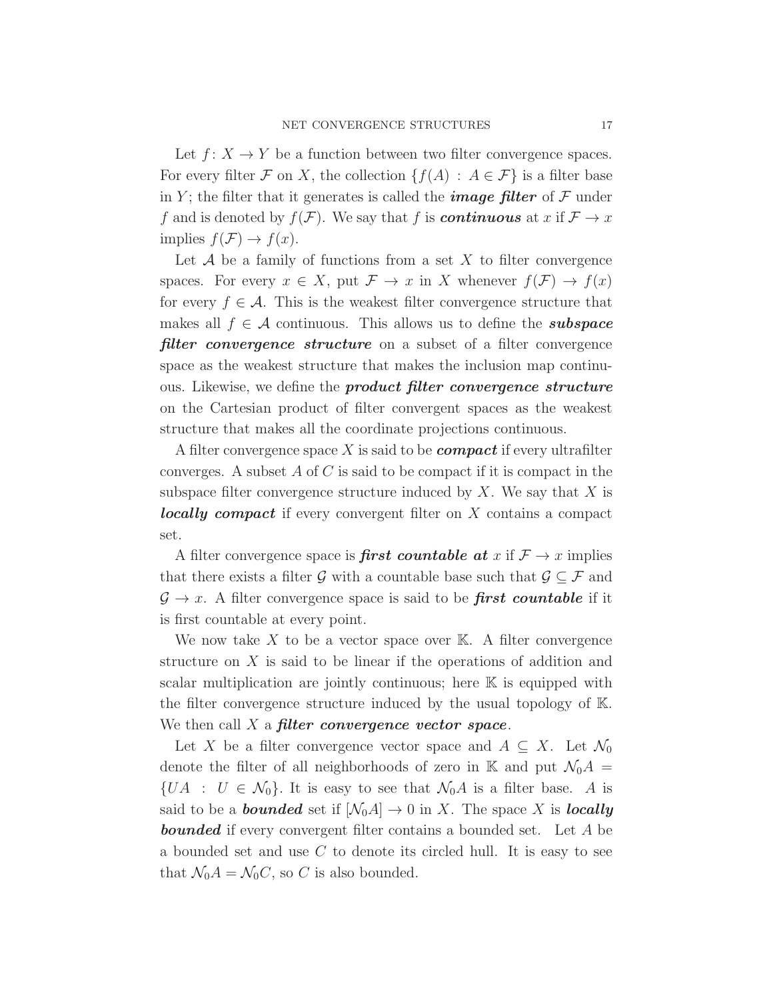Let  $f: X \to Y$  be a function between two filter convergence spaces. For every filter F on X, the collection  $\{f(A) : A \in \mathcal{F}\}\$ is a filter base in Y; the filter that it generates is called the **image filter** of  $\mathcal F$  under f and is denoted by  $f(\mathcal{F})$ . We say that f is **continuous** at x if  $\mathcal{F} \to x$ implies  $f(\mathcal{F}) \to f(x)$ .

Let  $A$  be a family of functions from a set X to filter convergence spaces. For every  $x \in X$ , put  $\mathcal{F} \to x$  in X whenever  $f(\mathcal{F}) \to f(x)$ for every  $f \in \mathcal{A}$ . This is the weakest filter convergence structure that makes all  $f \in \mathcal{A}$  continuous. This allows us to define the *subspace* **filter convergence structure** on a subset of a filter convergence space as the weakest structure that makes the inclusion map continuous. Likewise, we define the **product filter convergence structure** on the Cartesian product of filter convergent spaces as the weakest structure that makes all the coordinate projections continuous.

A filter convergence space X is said to be *compact* if every ultrafilter converges. A subset  $A$  of  $C$  is said to be compact if it is compact in the subspace filter convergence structure induced by  $X$ . We say that  $X$  is **locally compact** if every convergent filter on X contains a compact set.

A filter convergence space is **first countable at**  $x$  if  $\mathcal{F} \to x$  implies that there exists a filter G with a countable base such that  $\mathcal{G} \subset \mathcal{F}$  and  $\mathcal{G} \to x$ . A filter convergence space is said to be **first countable** if it is first countable at every point.

We now take  $X$  to be a vector space over  $K$ . A filter convergence structure on  $X$  is said to be linear if the operations of addition and scalar multiplication are jointly continuous; here  $K$  is equipped with the filter convergence structure induced by the usual topology of K. We then call  $X$  a filter convergence vector space.

Let X be a filter convergence vector space and  $A \subseteq X$ . Let  $\mathcal{N}_0$ denote the filter of all neighborhoods of zero in K and put  $\mathcal{N}_0A =$  $\{UA : U \in \mathcal{N}_0\}.$  It is easy to see that  $\mathcal{N}_0A$  is a filter base. A is said to be a **bounded** set if  $[\mathcal{N}_0A] \to 0$  in X. The space X is **locally bounded** if every convergent filter contains a bounded set. Let A be a bounded set and use  $C$  to denote its circled hull. It is easy to see that  $\mathcal{N}_0 A = \mathcal{N}_0 C$ , so C is also bounded.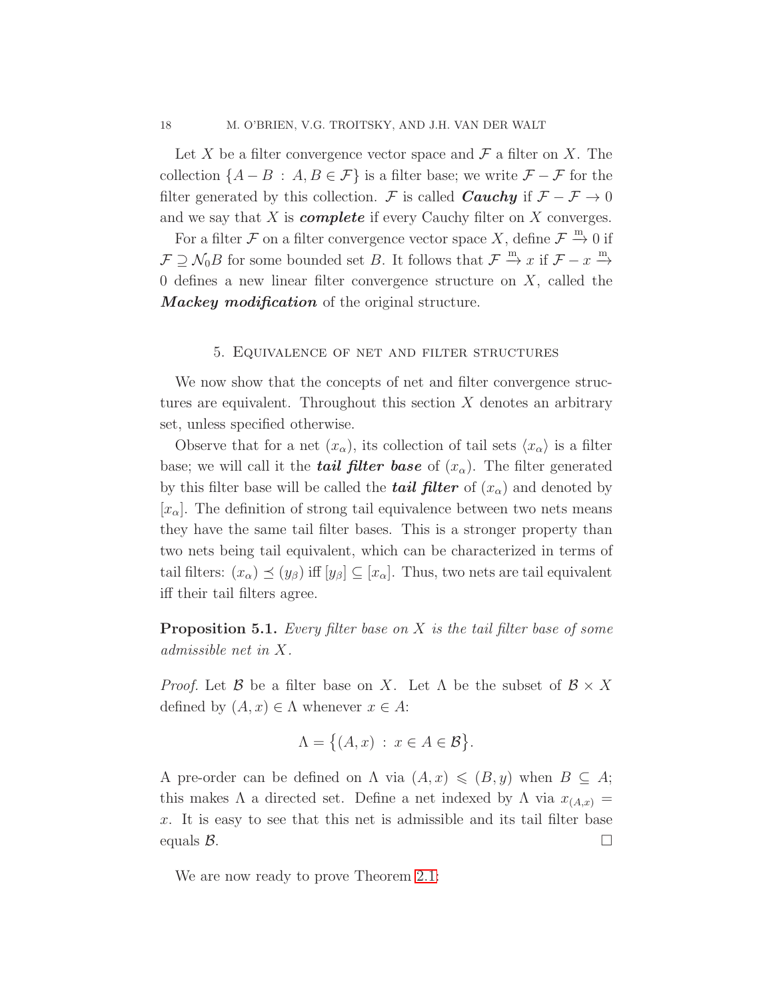Let X be a filter convergence vector space and  $\mathcal F$  a filter on X. The collection  $\{A - B : A, B \in \mathcal{F}\}\$ is a filter base; we write  $\mathcal{F} - \mathcal{F}$  for the filter generated by this collection. F is called **Cauchy** if  $\mathcal{F} - \mathcal{F} \to 0$ and we say that  $X$  is *complete* if every Cauchy filter on  $X$  converges.

For a filter  $\mathcal F$  on a filter convergence vector space X, define  $\mathcal F \stackrel{m}{\to} 0$  if  $\mathcal{F} \supseteq \mathcal{N}_0 B$  for some bounded set B. It follows that  $\mathcal{F} \stackrel{m}{\rightarrow} x$  if  $\mathcal{F} - x \stackrel{m}{\rightarrow} x$ 0 defines a new linear filter convergence structure on  $X$ , called the **Mackey modification** of the original structure.

## 5. Equivalence of net and filter structures

<span id="page-17-0"></span>We now show that the concepts of net and filter convergence structures are equivalent. Throughout this section  $X$  denotes an arbitrary set, unless specified otherwise.

Observe that for a net  $(x_{\alpha})$ , its collection of tail sets  $\langle x_{\alpha} \rangle$  is a filter base; we will call it the *tail filter base* of  $(x_{\alpha})$ . The filter generated by this filter base will be called the *tail filter* of  $(x_{\alpha})$  and denoted by  $[x_{\alpha}]$ . The definition of strong tail equivalence between two nets means they have the same tail filter bases. This is a stronger property than two nets being tail equivalent, which can be characterized in terms of tail filters:  $(x_{\alpha}) \preceq (y_{\beta})$  iff  $[y_{\beta}] \subseteq [x_{\alpha}]$ . Thus, two nets are tail equivalent iff their tail filters agree.

<span id="page-17-1"></span>**Proposition 5.1.** Every filter base on  $X$  is the tail filter base of some admissible net in X.

*Proof.* Let  $\mathcal{B}$  be a filter base on X. Let  $\Lambda$  be the subset of  $\mathcal{B} \times X$ defined by  $(A, x) \in \Lambda$  whenever  $x \in A$ :

$$
\Lambda = \big\{ (A, x) : x \in A \in \mathcal{B} \big\}.
$$

A pre-order can be defined on  $\Lambda$  via  $(A, x) \leq B, y$ ) when  $B \subseteq A$ ; this makes  $\Lambda$  a directed set. Define a net indexed by  $\Lambda$  via  $x_{(A,x)} =$ x. It is easy to see that this net is admissible and its tail filter base equals  $\mathcal{B}$ .

We are now ready to prove Theorem [2.1:](#page-4-1)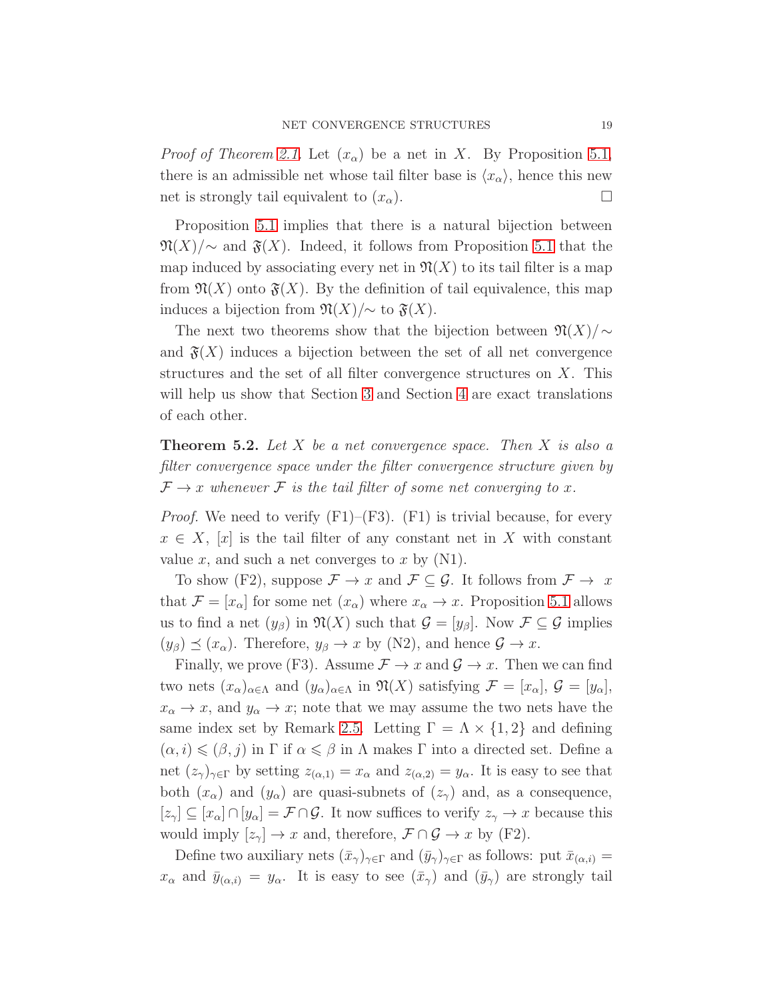*Proof of Theorem [2.1.](#page-4-1)* Let  $(x_{\alpha})$  be a net in X. By Proposition [5.1,](#page-17-1) there is an admissible net whose tail filter base is  $\langle x_{\alpha} \rangle$ , hence this new net is strongly tail equivalent to  $(x_{\alpha})$ .

Proposition [5.1](#page-17-1) implies that there is a natural bijection between  $\mathfrak{N}(X)/\sim$  and  $\mathfrak{F}(X)$ . Indeed, it follows from Proposition [5.1](#page-17-1) that the map induced by associating every net in  $\mathfrak{N}(X)$  to its tail filter is a map from  $\mathfrak{N}(X)$  onto  $\mathfrak{F}(X)$ . By the definition of tail equivalence, this map induces a bijection from  $\mathfrak{N}(X)/\sim$  to  $\mathfrak{F}(X)$ .

The next two theorems show that the bijection between  $\mathfrak{N}(X)/\sim$ and  $\mathfrak{F}(X)$  induces a bijection between the set of all net convergence structures and the set of all filter convergence structures on  $X$ . This will help us show that Section [3](#page-6-0) and Section [4](#page-14-0) are exact translations of each other.

<span id="page-18-0"></span>**Theorem 5.2.** Let X be a net convergence space. Then X is also a filter convergence space under the filter convergence structure given by  $\mathcal{F} \to x$  whenever  $\mathcal{F}$  is the tail filter of some net converging to x.

*Proof.* We need to verify  $(F1)$ – $(F3)$ .  $(F1)$  is trivial because, for every  $x \in X$ , [x] is the tail filter of any constant net in X with constant value x, and such a net converges to x by  $(N1)$ .

To show (F2), suppose  $\mathcal{F} \to x$  and  $\mathcal{F} \subseteq \mathcal{G}$ . It follows from  $\mathcal{F} \to x$ that  $\mathcal{F} = [x_\alpha]$  for some net  $(x_\alpha)$  where  $x_\alpha \to x$ . Proposition [5.1](#page-17-1) allows us to find a net  $(y_\beta)$  in  $\mathfrak{N}(X)$  such that  $\mathcal{G} = [y_\beta]$ . Now  $\mathcal{F} \subseteq \mathcal{G}$  implies  $(y_\beta) \preceq (x_\alpha)$ . Therefore,  $y_\beta \to x$  by (N2), and hence  $\mathcal{G} \to x$ .

Finally, we prove (F3). Assume  $\mathcal{F} \to x$  and  $\mathcal{G} \to x$ . Then we can find two nets  $(x_{\alpha})_{\alpha\in\Lambda}$  and  $(y_{\alpha})_{\alpha\in\Lambda}$  in  $\mathfrak{N}(X)$  satisfying  $\mathcal{F}=[x_{\alpha}],$   $\mathcal{G}=[y_{\alpha}],$  $x_{\alpha} \to x$ , and  $y_{\alpha} \to x$ ; note that we may assume the two nets have the same index set by Remark [2.5.](#page-6-1) Letting  $\Gamma = \Lambda \times \{1, 2\}$  and defining  $(\alpha, i) \leq (\beta, j)$  in  $\Gamma$  if  $\alpha \leq \beta$  in  $\Lambda$  makes  $\Gamma$  into a directed set. Define a net  $(z_{\gamma})_{\gamma \in \Gamma}$  by setting  $z_{(\alpha,1)} = x_{\alpha}$  and  $z_{(\alpha,2)} = y_{\alpha}$ . It is easy to see that both  $(x_{\alpha})$  and  $(y_{\alpha})$  are quasi-subnets of  $(z_{\gamma})$  and, as a consequence,  $[z_{\gamma}] \subseteq [x_{\alpha}] \cap [y_{\alpha}] = \mathcal{F} \cap \mathcal{G}$ . It now suffices to verify  $z_{\gamma} \to x$  because this would imply  $[z_{\gamma}] \to x$  and, therefore,  $\mathcal{F} \cap \mathcal{G} \to x$  by (F2).

Define two auxiliary nets  $(\bar{x}_{\gamma})_{\gamma \in \Gamma}$  and  $(\bar{y}_{\gamma})_{\gamma \in \Gamma}$  as follows: put  $\bar{x}_{(\alpha,i)} =$  $x_{\alpha}$  and  $\bar{y}_{(\alpha,i)} = y_{\alpha}$ . It is easy to see  $(\bar{x}_{\gamma})$  and  $(\bar{y}_{\gamma})$  are strongly tail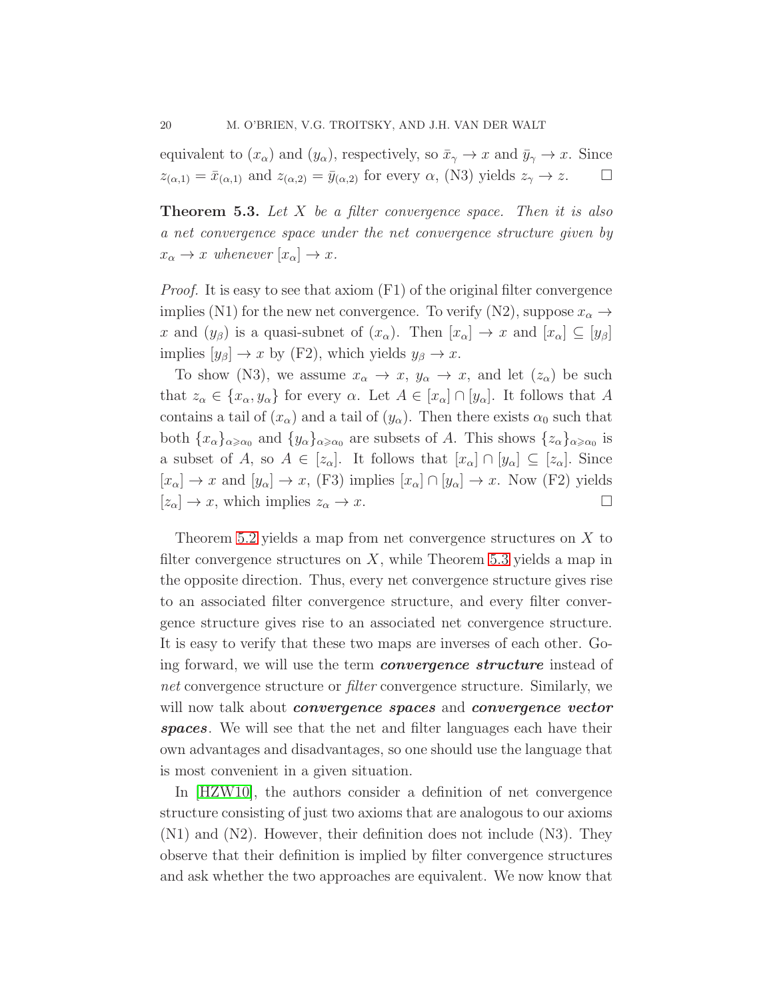equivalent to  $(x_{\alpha})$  and  $(y_{\alpha})$ , respectively, so  $\bar{x}_{\gamma} \to x$  and  $\bar{y}_{\gamma} \to x$ . Since  $z_{(\alpha,1)} = \bar{x}_{(\alpha,1)}$  and  $z_{(\alpha,2)} = \bar{y}_{(\alpha,2)}$  for every  $\alpha$ , (N3) yields  $z_{\gamma} \to z$ .

<span id="page-19-0"></span>**Theorem 5.3.** Let  $X$  be a filter convergence space. Then it is also a net convergence space under the net convergence structure given by  $x_{\alpha} \to x$  whenever  $[x_{\alpha}] \to x$ .

Proof. It is easy to see that axiom (F1) of the original filter convergence implies (N1) for the new net convergence. To verify (N2), suppose  $x_{\alpha} \rightarrow$ x and  $(y_\beta)$  is a quasi-subnet of  $(x_\alpha)$ . Then  $[x_\alpha] \to x$  and  $[x_\alpha] \subseteq [y_\beta]$ implies  $[y_\beta] \to x$  by (F2), which yields  $y_\beta \to x$ .

To show (N3), we assume  $x_{\alpha} \to x$ ,  $y_{\alpha} \to x$ , and let  $(z_{\alpha})$  be such that  $z_{\alpha} \in \{x_{\alpha}, y_{\alpha}\}\$ for every  $\alpha$ . Let  $A \in [x_{\alpha}] \cap [y_{\alpha}]$ . It follows that A contains a tail of  $(x_{\alpha})$  and a tail of  $(y_{\alpha})$ . Then there exists  $\alpha_0$  such that both  $\{x_{\alpha}\}_{{\alpha \geq \alpha_0}}$  and  $\{y_{\alpha}\}_{{\alpha \geq \alpha_0}}$  are subsets of A. This shows  $\{z_{\alpha}\}_{{\alpha \geq \alpha_0}}$  is a subset of A, so  $A \in [z_\alpha]$ . It follows that  $[x_\alpha] \cap [y_\alpha] \subseteq [z_\alpha]$ . Since  $[x_\alpha] \to x$  and  $[y_\alpha] \to x$ , (F3) implies  $[x_\alpha] \cap [y_\alpha] \to x$ . Now (F2) yields  $[z_{\alpha}] \to x$ , which implies  $z_{\alpha} \to x$ .

Theorem [5.2](#page-18-0) yields a map from net convergence structures on X to filter convergence structures on  $X$ , while Theorem [5.3](#page-19-0) yields a map in the opposite direction. Thus, every net convergence structure gives rise to an associated filter convergence structure, and every filter convergence structure gives rise to an associated net convergence structure. It is easy to verify that these two maps are inverses of each other. Going forward, we will use the term **convergence structure** instead of net convergence structure or *filter* convergence structure. Similarly, we will now talk about *convergence spaces* and *convergence vector* spaces. We will see that the net and filter languages each have their own advantages and disadvantages, so one should use the language that is most convenient in a given situation.

In [\[HZW10\]](#page-48-5), the authors consider a definition of net convergence structure consisting of just two axioms that are analogous to our axioms (N1) and (N2). However, their definition does not include (N3). They observe that their definition is implied by filter convergence structures and ask whether the two approaches are equivalent. We now know that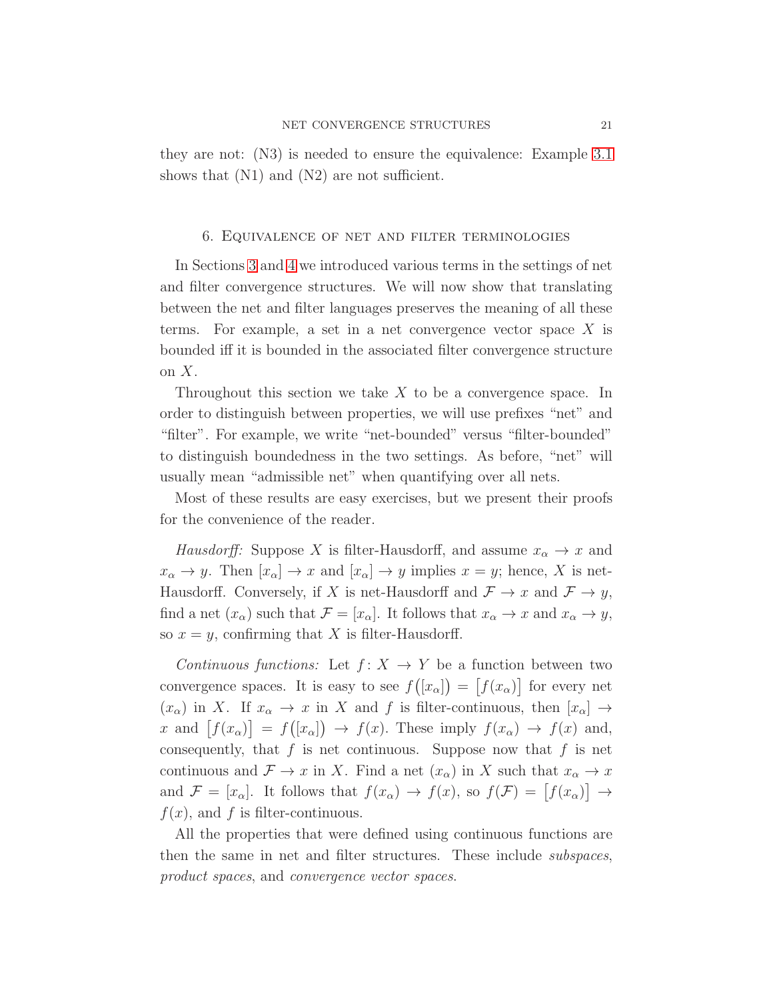they are not: (N3) is needed to ensure the equivalence: Example [3.1](#page-8-0) shows that  $(N1)$  and  $(N2)$  are not sufficient.

### <span id="page-20-0"></span>6. Equivalence of net and filter terminologies

In Sections [3](#page-6-0) and [4](#page-14-0) we introduced various terms in the settings of net and filter convergence structures. We will now show that translating between the net and filter languages preserves the meaning of all these terms. For example, a set in a net convergence vector space  $X$  is bounded iff it is bounded in the associated filter convergence structure on  $X$ .

Throughout this section we take  $X$  to be a convergence space. In order to distinguish between properties, we will use prefixes "net" and "filter". For example, we write "net-bounded" versus "filter-bounded" to distinguish boundedness in the two settings. As before, "net" will usually mean "admissible net" when quantifying over all nets.

Most of these results are easy exercises, but we present their proofs for the convenience of the reader.

Hausdorff: Suppose X is filter-Hausdorff, and assume  $x_{\alpha} \to x$  and  $x_{\alpha} \to y$ . Then  $[x_{\alpha}] \to x$  and  $[x_{\alpha}] \to y$  implies  $x = y$ ; hence, X is net-Hausdorff. Conversely, if X is net-Hausdorff and  $\mathcal{F} \to x$  and  $\mathcal{F} \to y$ , find a net  $(x_{\alpha})$  such that  $\mathcal{F} = [x_{\alpha}]$ . It follows that  $x_{\alpha} \to x$  and  $x_{\alpha} \to y$ , so  $x = y$ , confirming that X is filter-Hausdorff.

Continuous functions: Let  $f: X \to Y$  be a function between two convergence spaces. It is easy to see  $f([x_\alpha]) = [f(x_\alpha)]$  for every net  $(x_{\alpha})$  in X. If  $x_{\alpha} \to x$  in X and f is filter-continuous, then  $[x_{\alpha}] \to$ x and  $[f(x_\alpha)] = f([x_\alpha]) \to f(x)$ . These imply  $f(x_\alpha) \to f(x)$  and, consequently, that  $f$  is net continuous. Suppose now that  $f$  is net continuous and  $\mathcal{F} \to x$  in X. Find a net  $(x_{\alpha})$  in X such that  $x_{\alpha} \to x$ and  $\mathcal{F} = [x_\alpha]$ . It follows that  $f(x_\alpha) \to f(x)$ , so  $f(\mathcal{F}) = [f(x_\alpha)] \to$  $f(x)$ , and f is filter-continuous.

All the properties that were defined using continuous functions are then the same in net and filter structures. These include subspaces, product spaces, and convergence vector spaces.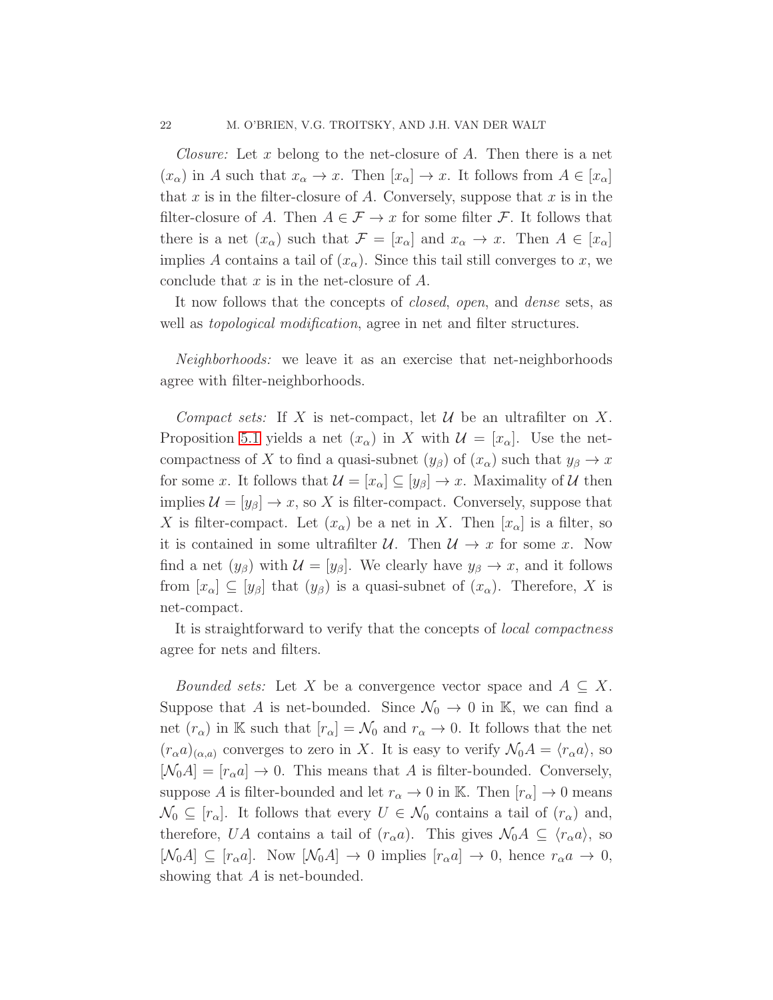*Closure:* Let x belong to the net-closure of A. Then there is a net  $(x_{\alpha})$  in A such that  $x_{\alpha} \to x$ . Then  $[x_{\alpha}] \to x$ . It follows from  $A \in [x_{\alpha}]$ that x is in the filter-closure of A. Conversely, suppose that x is in the filter-closure of A. Then  $A \in \mathcal{F} \to x$  for some filter  $\mathcal{F}$ . It follows that there is a net  $(x_{\alpha})$  such that  $\mathcal{F} = [x_{\alpha}]$  and  $x_{\alpha} \to x$ . Then  $A \in [x_{\alpha}]$ implies A contains a tail of  $(x_\alpha)$ . Since this tail still converges to x, we conclude that  $x$  is in the net-closure of  $A$ .

It now follows that the concepts of *closed, open,* and *dense* sets, as well as *topological modification*, agree in net and filter structures.

Neighborhoods: we leave it as an exercise that net-neighborhoods agree with filter-neighborhoods.

Compact sets: If X is net-compact, let  $\mathcal U$  be an ultrafilter on X. Proposition [5.1](#page-17-1) yields a net  $(x_\alpha)$  in X with  $\mathcal{U} = [x_\alpha]$ . Use the netcompactness of X to find a quasi-subnet  $(y_\beta)$  of  $(x_\alpha)$  such that  $y_\beta \to x$ for some x. It follows that  $\mathcal{U} = [x_{\alpha}] \subseteq [y_{\beta}] \rightarrow x$ . Maximality of  $\mathcal{U}$  then implies  $\mathcal{U} = [y_\beta] \to x$ , so X is filter-compact. Conversely, suppose that X is filter-compact. Let  $(x_{\alpha})$  be a net in X. Then  $[x_{\alpha}]$  is a filter, so it is contained in some ultrafilter  $\mathcal{U}$ . Then  $\mathcal{U} \to x$  for some x. Now find a net  $(y_\beta)$  with  $\mathcal{U} = [y_\beta]$ . We clearly have  $y_\beta \to x$ , and it follows from  $[x_\alpha] \subseteq [y_\beta]$  that  $(y_\beta)$  is a quasi-subnet of  $(x_\alpha)$ . Therefore, X is net-compact.

It is straightforward to verify that the concepts of *local compactness* agree for nets and filters.

*Bounded sets:* Let X be a convergence vector space and  $A \subseteq X$ . Suppose that A is net-bounded. Since  $\mathcal{N}_0 \to 0$  in K, we can find a net  $(r_{\alpha})$  in K such that  $[r_{\alpha}] = \mathcal{N}_0$  and  $r_{\alpha} \to 0$ . It follows that the net  $(r_{\alpha}a)_{(\alpha,a)}$  converges to zero in X. It is easy to verify  $\mathcal{N}_0A = \langle r_{\alpha}a \rangle$ , so  $[\mathcal{N}_0 A] = [r_\alpha a] \rightarrow 0$ . This means that A is filter-bounded. Conversely, suppose A is filter-bounded and let  $r_{\alpha} \to 0$  in K. Then  $[r_{\alpha}] \to 0$  means  $\mathcal{N}_0 \subseteq [r_\alpha]$ . It follows that every  $U \in \mathcal{N}_0$  contains a tail of  $(r_\alpha)$  and, therefore, UA contains a tail of  $(r_{\alpha}a)$ . This gives  $\mathcal{N}_0A \subseteq \langle r_{\alpha}a \rangle$ , so  $[\mathcal{N}_0A] \subseteq [r_\alpha a]$ . Now  $[\mathcal{N}_0A] \to 0$  implies  $[r_\alpha a] \to 0$ , hence  $r_\alpha a \to 0$ , showing that A is net-bounded.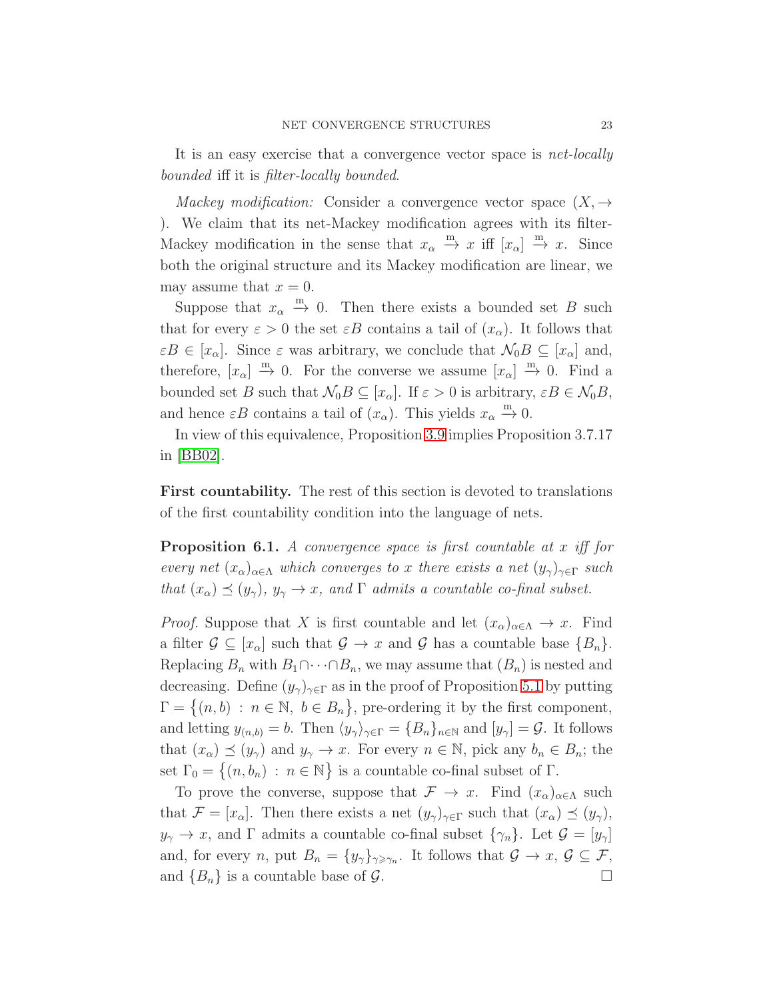It is an easy exercise that a convergence vector space is *net-locally* bounded iff it is filter-locally bounded.

Mackey modification: Consider a convergence vector space  $(X, \rightarrow$ ). We claim that its net-Mackey modification agrees with its filter-Mackey modification in the sense that  $x_{\alpha} \stackrel{m}{\rightarrow} x$  iff  $[x_{\alpha}] \stackrel{m}{\rightarrow} x$ . Since both the original structure and its Mackey modification are linear, we may assume that  $x = 0$ .

Suppose that  $x_{\alpha} \stackrel{m}{\rightarrow} 0$ . Then there exists a bounded set B such that for every  $\varepsilon > 0$  the set  $\varepsilon B$  contains a tail of  $(x_\alpha)$ . It follows that  $\varepsilon B \in [x_\alpha]$ . Since  $\varepsilon$  was arbitrary, we conclude that  $\mathcal{N}_0B \subseteq [x_\alpha]$  and, therefore,  $[x_{\alpha}] \stackrel{m}{\rightarrow} 0$ . For the converse we assume  $[x_{\alpha}] \stackrel{m}{\rightarrow} 0$ . Find a bounded set B such that  $\mathcal{N}_0B \subseteq [x_\alpha]$ . If  $\varepsilon > 0$  is arbitrary,  $\varepsilon B \in \mathcal{N}_0B$ , and hence  $\varepsilon B$  contains a tail of  $(x_\alpha)$ . This yields  $x_\alpha \stackrel{m}{\rightarrow} 0$ .

In view of this equivalence, Proposition [3.9](#page-14-4) implies Proposition 3.7.17 in [\[BB02\]](#page-48-0).

First countability. The rest of this section is devoted to translations of the first countability condition into the language of nets.

**Proposition 6.1.** A convergence space is first countable at  $x$  iff for every net  $(x_{\alpha})_{\alpha\in\Lambda}$  which converges to x there exists a net  $(y_{\gamma})_{\gamma\in\Gamma}$  such that  $(x_{\alpha}) \preceq (y_{\gamma}), y_{\gamma} \rightarrow x$ , and  $\Gamma$  admits a countable co-final subset.

*Proof.* Suppose that X is first countable and let  $(x_{\alpha})_{\alpha \in \Lambda} \to x$ . Find a filter  $\mathcal{G} \subseteq [x_{\alpha}]$  such that  $\mathcal{G} \to x$  and  $\mathcal{G}$  has a countable base  $\{B_n\}.$ Replacing  $B_n$  with  $B_1 \cap \cdots \cap B_n$ , we may assume that  $(B_n)$  is nested and decreasing. Define  $(y_{\gamma})_{\gamma \in \Gamma}$  as in the proof of Proposition [5.1](#page-17-1) by putting  $\Gamma = \{(n, b) : n \in \mathbb{N}, b \in B_n\},\$ pre-ordering it by the first component, and letting  $y_{(n,b)} = b$ . Then  $\langle y_{\gamma} \rangle_{\gamma \in \Gamma} = \{B_n\}_{n \in \mathbb{N}}$  and  $[y_{\gamma}] = \mathcal{G}$ . It follows that  $(x_{\alpha}) \preceq (y_{\gamma})$  and  $y_{\gamma} \to x$ . For every  $n \in \mathbb{N}$ , pick any  $b_n \in B_n$ ; the set  $\Gamma_0 = \{(n, b_n) : n \in \mathbb{N}\}\$ is a countable co-final subset of  $\Gamma$ .

<span id="page-22-0"></span>To prove the converse, suppose that  $\mathcal{F} \to x$ . Find  $(x_{\alpha})_{\alpha \in \Lambda}$  such that  $\mathcal{F} = [x_{\alpha}]$ . Then there exists a net  $(y_{\gamma})_{\gamma \in \Gamma}$  such that  $(x_{\alpha}) \preceq (y_{\gamma})$ ,  $y_{\gamma} \to x$ , and  $\Gamma$  admits a countable co-final subset  $\{\gamma_n\}$ . Let  $\mathcal{G} = [y_{\gamma}]$ and, for every *n*, put  $B_n = \{y_\gamma\}_{\gamma \geq \gamma_n}$ . It follows that  $\mathcal{G} \to x, \, \mathcal{G} \subseteq \mathcal{F}$ , and  $\{B_n\}$  is a countable base of  $\mathcal{G}$ .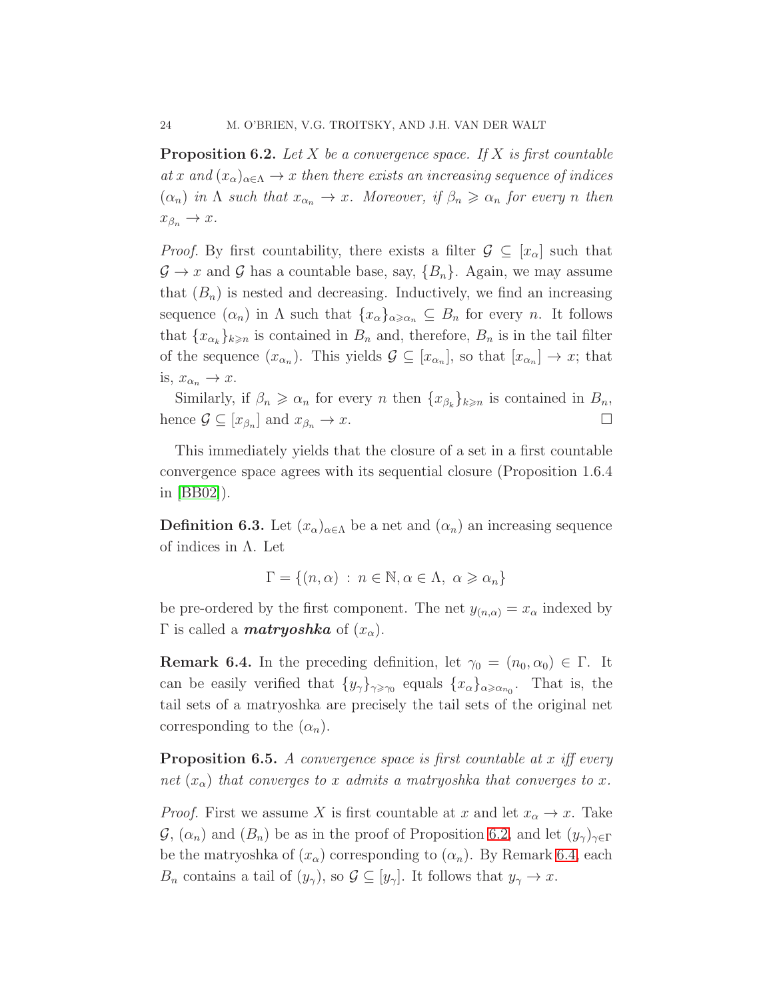**Proposition 6.2.** Let X be a convergence space. If X is first countable at x and  $(x_{\alpha})_{\alpha\in\Lambda}\to x$  then there exists an increasing sequence of indices  $(\alpha_n)$  in  $\Lambda$  such that  $x_{\alpha_n} \to x$ . Moreover, if  $\beta_n \geq \alpha_n$  for every n then  $x_{\beta_n} \to x.$ 

*Proof.* By first countability, there exists a filter  $\mathcal{G} \subseteq [x_\alpha]$  such that  $\mathcal{G} \to x$  and  $\mathcal{G}$  has a countable base, say,  $\{B_n\}$ . Again, we may assume that  $(B_n)$  is nested and decreasing. Inductively, we find an increasing sequence  $(\alpha_n)$  in  $\Lambda$  such that  $\{x_\alpha\}_{\alpha \geq \alpha_n} \subseteq B_n$  for every n. It follows that  ${x_{\alpha_k}}_{k\geq n}$  is contained in  $B_n$  and, therefore,  $B_n$  is in the tail filter of the sequence  $(x_{\alpha_n})$ . This yields  $\mathcal{G} \subseteq [x_{\alpha_n}]$ , so that  $[x_{\alpha_n}] \to x$ ; that is,  $x_{\alpha_n} \to x$ .

Similarly, if  $\beta_n \geq \alpha_n$  for every n then  $\{x_{\beta_k}\}_{k \geq n}$  is contained in  $B_n$ , hence  $\mathcal{G} \subseteq [x_{\beta_n}]$  and  $x_{\beta_n} \to x$ .

This immediately yields that the closure of a set in a first countable convergence space agrees with its sequential closure (Proposition 1.6.4 in [\[BB02\]](#page-48-0)).

**Definition 6.3.** Let  $(x_{\alpha})_{\alpha \in \Lambda}$  be a net and  $(\alpha_n)$  an increasing sequence of indices in Λ. Let

$$
\Gamma = \{(n, \alpha) : n \in \mathbb{N}, \alpha \in \Lambda, \alpha \geq \alpha_n\}
$$

be pre-ordered by the first component. The net  $y_{(n,\alpha)} = x_\alpha$  indexed by  $\Gamma$  is called a **matryoshka** of  $(x_{\alpha})$ .

<span id="page-23-0"></span>**Remark 6.4.** In the preceding definition, let  $\gamma_0 = (n_0, \alpha_0) \in \Gamma$ . It can be easily verified that  $\{y_{\gamma}\}_{\gamma \geq \gamma_0}$  equals  $\{x_{\alpha}\}_{\alpha \geq \alpha_{n_0}}$ . That is, the tail sets of a matryoshka are precisely the tail sets of the original net corresponding to the  $(\alpha_n)$ .

**Proposition 6.5.** A convergence space is first countable at x iff every net  $(x_{\alpha})$  that converges to x admits a matryoshka that converges to x.

*Proof.* First we assume X is first countable at x and let  $x_{\alpha} \to x$ . Take  $\mathcal{G}, (\alpha_n)$  and  $(B_n)$  be as in the proof of Proposition [6.2,](#page-22-0) and let  $(y_\gamma)_{\gamma \in \Gamma}$ be the matryoshka of  $(x_{\alpha})$  corresponding to  $(\alpha_n)$ . By Remark [6.4,](#page-23-0) each  $B_n$  contains a tail of  $(y_\gamma)$ , so  $\mathcal{G} \subseteq [y_\gamma]$ . It follows that  $y_\gamma \to x$ .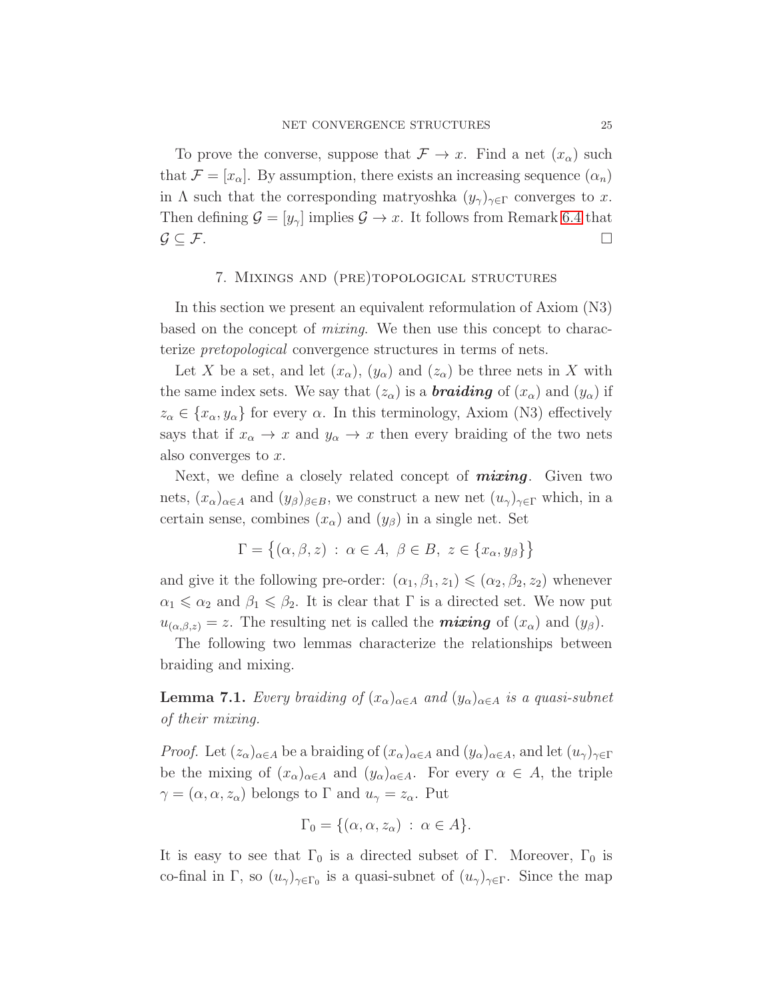To prove the converse, suppose that  $\mathcal{F} \to x$ . Find a net  $(x_{\alpha})$  such that  $\mathcal{F} = [x_{\alpha}]$ . By assumption, there exists an increasing sequence  $(\alpha_n)$ in  $\Lambda$  such that the corresponding matryoshka  $(y_{\gamma})_{\gamma \in \Gamma}$  converges to x. Then defining  $\mathcal{G} = [y_{\gamma}]$  implies  $\mathcal{G} \to x$ . It follows from Remark [6.4](#page-23-0) that  $\mathcal{G} \subseteq \mathcal{F}$ .

## 7. MIXINGS AND (PRE)TOPOLOGICAL STRUCTURES

<span id="page-24-0"></span>In this section we present an equivalent reformulation of Axiom (N3) based on the concept of mixing. We then use this concept to characterize pretopological convergence structures in terms of nets.

Let X be a set, and let  $(x_{\alpha})$ ,  $(y_{\alpha})$  and  $(z_{\alpha})$  be three nets in X with the same index sets. We say that  $(z_{\alpha})$  is a **braiding** of  $(x_{\alpha})$  and  $(y_{\alpha})$  if  $z_{\alpha} \in \{x_{\alpha}, y_{\alpha}\}\$ for every  $\alpha$ . In this terminology, Axiom (N3) effectively says that if  $x_{\alpha} \to x$  and  $y_{\alpha} \to x$  then every braiding of the two nets also converges to x.

Next, we define a closely related concept of *mixing*. Given two nets,  $(x_{\alpha})_{\alpha \in A}$  and  $(y_{\beta})_{\beta \in B}$ , we construct a new net  $(u_{\gamma})_{\gamma \in \Gamma}$  which, in a certain sense, combines  $(x_{\alpha})$  and  $(y_{\beta})$  in a single net. Set

$$
\Gamma = \{ (\alpha, \beta, z) : \alpha \in A, \beta \in B, z \in \{x_{\alpha}, y_{\beta}\} \}
$$

and give it the following pre-order:  $(\alpha_1, \beta_1, z_1) \leq (\alpha_2, \beta_2, z_2)$  whenever  $\alpha_1 \leq \alpha_2$  and  $\beta_1 \leq \beta_2$ . It is clear that  $\Gamma$  is a directed set. We now put  $u_{(\alpha,\beta,z)}=z$ . The resulting net is called the **mixing** of  $(x_\alpha)$  and  $(y_\beta)$ .

The following two lemmas characterize the relationships between braiding and mixing.

**Lemma 7.1.** Every braiding of  $(x_{\alpha})_{\alpha \in A}$  and  $(y_{\alpha})_{\alpha \in A}$  is a quasi-subnet of their mixing.

*Proof.* Let  $(z_\alpha)_{\alpha \in A}$  be a braiding of  $(x_\alpha)_{\alpha \in A}$  and  $(y_\alpha)_{\alpha \in A}$ , and let  $(u_\gamma)_{\gamma \in \Gamma}$ be the mixing of  $(x_{\alpha})_{\alpha \in A}$  and  $(y_{\alpha})_{\alpha \in A}$ . For every  $\alpha \in A$ , the triple  $\gamma = (\alpha, \alpha, z_{\alpha})$  belongs to  $\Gamma$  and  $u_{\gamma} = z_{\alpha}$ . Put

$$
\Gamma_0 = \{(\alpha, \alpha, z_\alpha) : \alpha \in A\}.
$$

It is easy to see that  $\Gamma_0$  is a directed subset of  $\Gamma$ . Moreover,  $\Gamma_0$  is co-final in Γ, so  $(u_\gamma)_{\gamma \in \Gamma_0}$  is a quasi-subnet of  $(u_\gamma)_{\gamma \in \Gamma}$ . Since the map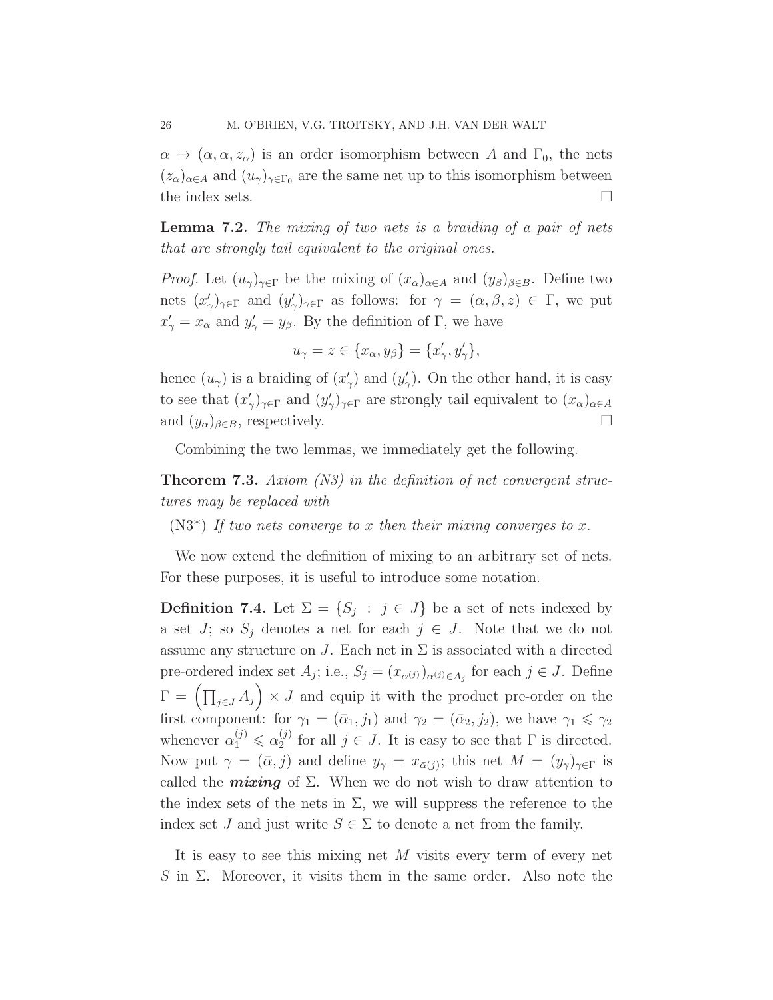$\alpha \mapsto (\alpha, \alpha, z_\alpha)$  is an order isomorphism between A and  $\Gamma_0$ , the nets  $(z_{\alpha})_{\alpha\in A}$  and  $(u_{\gamma})_{\gamma\in\Gamma_0}$  are the same net up to this isomorphism between the index sets.  $\Box$ 

Lemma 7.2. The mixing of two nets is a braiding of a pair of nets that are strongly tail equivalent to the original ones.

*Proof.* Let  $(u_\gamma)_{\gamma \in \Gamma}$  be the mixing of  $(x_\alpha)_{\alpha \in A}$  and  $(y_\beta)_{\beta \in B}$ . Define two nets  $(x)$  $(y'_\gamma)_{\gamma \in \Gamma}$  and  $(y'_\gamma)$  $\langle \rangle_{\gamma \in \Gamma}$  as follows: for  $\gamma = (\alpha, \beta, z) \in \Gamma$ , we put  $x'_{\gamma} = x_{\alpha}$  and  $y'_{\gamma} = y_{\beta}$ . By the definition of  $\Gamma$ , we have

$$
u_{\gamma} = z \in \{x_{\alpha}, y_{\beta}\} = \{x'_{\gamma}, y'_{\gamma}\},\
$$

hence  $(u_\gamma)$  is a braiding of  $(x)$ .  $(y'_\gamma)$  and  $(y'_\gamma)$  $\gamma'$ ). On the other hand, it is easy to see that  $(x)$  $(y'_\gamma)_{\gamma \in \Gamma}$  and  $(y'_\gamma)$  $\langle \rangle_{\gamma}$ <sub> $\gamma$ </sub> $\rangle_{\gamma \in \Gamma}$  are strongly tail equivalent to  $(x_{\alpha})_{\alpha \in A}$ and  $(y_\alpha)_{\beta \in B}$ , respectively.

Combining the two lemmas, we immediately get the following.

**Theorem 7.3.** Axiom (N3) in the definition of net convergent structures may be replaced with

 $(N3^*)$  If two nets converge to x then their mixing converges to x.

<span id="page-25-0"></span>We now extend the definition of mixing to an arbitrary set of nets. For these purposes, it is useful to introduce some notation.

**Definition 7.4.** Let  $\Sigma = \{S_j : j \in J\}$  be a set of nets indexed by a set J; so  $S_j$  denotes a net for each  $j \in J$ . Note that we do not assume any structure on J. Each net in  $\Sigma$  is associated with a directed pre-ordered index set  $A_j$ ; i.e.,  $S_j = (x_{\alpha^{(j)}})_{\alpha^{(j)} \in A_j}$  for each  $j \in J$ . Define  $\Gamma = \left( \prod_{j \in J} A_j \right) \times J$  and equip it with the product pre-order on the first component: for  $\gamma_1 = (\bar{\alpha}_1, j_1)$  and  $\gamma_2 = (\bar{\alpha}_2, j_2)$ , we have  $\gamma_1 \leq \gamma_2$ whenever  $\alpha_1^{(j)} \leq \alpha_2^{(j)}$  $_2^{(j)}$  for all  $j \in J$ . It is easy to see that  $\Gamma$  is directed. Now put  $\gamma = (\bar{\alpha}, j)$  and define  $y_{\gamma} = x_{\bar{\alpha}(j)}$ ; this net  $M = (y_{\gamma})_{\gamma \in \Gamma}$  is called the *mixing* of  $\Sigma$ . When we do not wish to draw attention to the index sets of the nets in  $\Sigma$ , we will suppress the reference to the index set J and just write  $S \in \Sigma$  to denote a net from the family.

It is easy to see this mixing net M visits every term of every net S in Σ. Moreover, it visits them in the same order. Also note the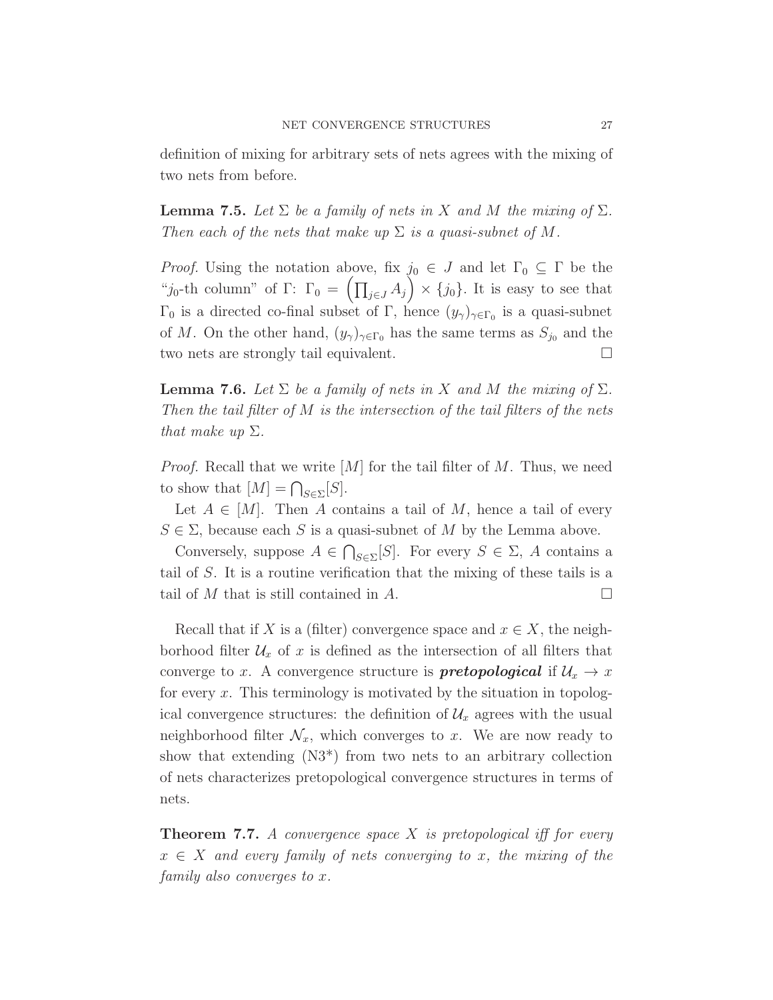definition of mixing for arbitrary sets of nets agrees with the mixing of two nets from before.

**Lemma 7.5.** Let  $\Sigma$  be a family of nets in X and M the mixing of  $\Sigma$ . Then each of the nets that make up  $\Sigma$  is a quasi-subnet of M.

*Proof.* Using the notation above, fix  $j_0 \in J$  and let  $\Gamma_0 \subseteq \Gamma$  be the "j<sub>0</sub>-th column" of Γ:  $\Gamma_0 = \left(\prod_{j\in J} A_j\right) \times \{j_0\}$ . It is easy to see that  $\Gamma_0$  is a directed co-final subset of Γ, hence  $(y_\gamma)_{\gamma \in \Gamma_0}$  is a quasi-subnet of M. On the other hand,  $(y_{\gamma})_{\gamma \in \Gamma_0}$  has the same terms as  $S_{j_0}$  and the two nets are strongly tail equivalent.

**Lemma 7.6.** Let  $\Sigma$  be a family of nets in X and M the mixing of  $\Sigma$ . Then the tail filter of M is the intersection of the tail filters of the nets that make up  $\Sigma$ .

*Proof.* Recall that we write  $[M]$  for the tail filter of M. Thus, we need to show that  $[M] = \bigcap_{S \in \Sigma} [S].$ 

Let  $A \in [M]$ . Then A contains a tail of M, hence a tail of every  $S \in \Sigma$ , because each S is a quasi-subnet of M by the Lemma above.

Conversely, suppose  $A \in \bigcap_{S \in \Sigma} [S]$ . For every  $S \in \Sigma$ , A contains a tail of S. It is a routine verification that the mixing of these tails is a tail of M that is still contained in A.

Recall that if X is a (filter) convergence space and  $x \in X$ , the neighborhood filter  $\mathcal{U}_x$  of x is defined as the intersection of all filters that converge to x. A convergence structure is **pretopological** if  $\mathcal{U}_x \to x$ for every  $x$ . This terminology is motivated by the situation in topological convergence structures: the definition of  $\mathcal{U}_x$  agrees with the usual neighborhood filter  $\mathcal{N}_x$ , which converges to x. We are now ready to show that extending (N3\*) from two nets to an arbitrary collection of nets characterizes pretopological convergence structures in terms of nets.

<span id="page-26-0"></span>**Theorem 7.7.** A convergence space  $X$  is pretopological iff for every  $x \in X$  and every family of nets converging to x, the mixing of the family also converges to x.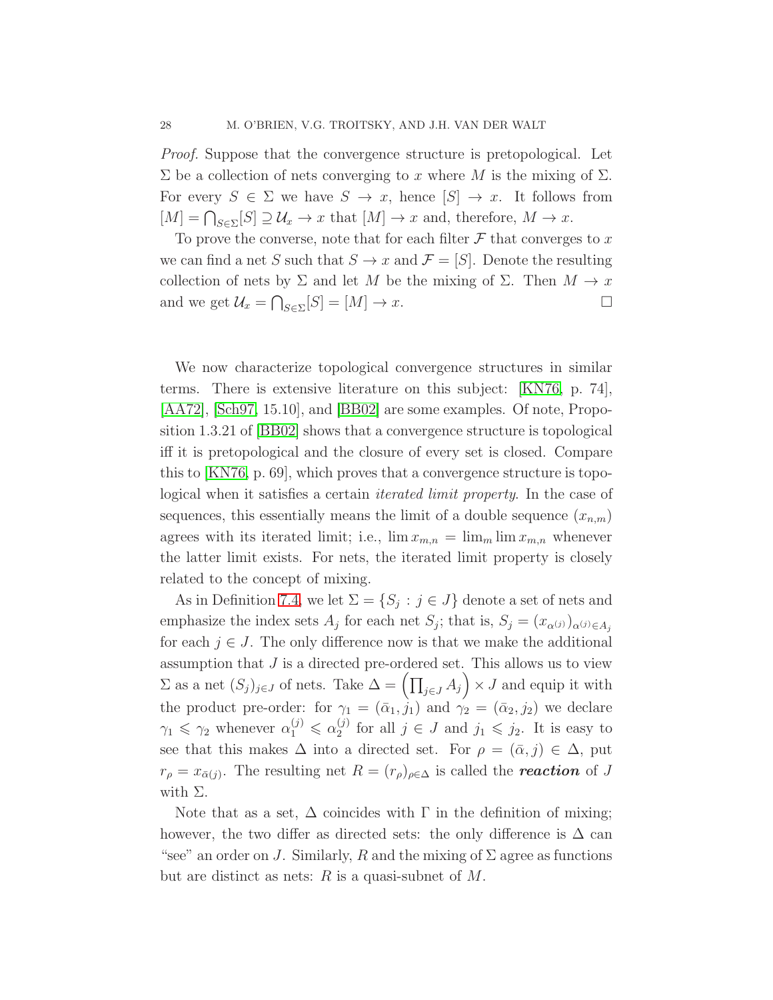Proof. Suppose that the convergence structure is pretopological. Let  $\Sigma$  be a collection of nets converging to x where M is the mixing of  $\Sigma$ . For every  $S \in \Sigma$  we have  $S \to x$ , hence  $[S] \to x$ . It follows from  $[M] = \bigcap_{S \in \Sigma} [S] \supseteq \mathcal{U}_x \to x$  that  $[M] \to x$  and, therefore,  $M \to x$ .

To prove the converse, note that for each filter  $\mathcal F$  that converges to x we can find a net S such that  $S \to x$  and  $\mathcal{F} = [S]$ . Denote the resulting collection of nets by  $\Sigma$  and let M be the mixing of  $\Sigma$ . Then  $M \to x$ and we get  $\mathcal{U}_x = \bigcap_{S \in \Sigma} [S] = [M] \to x.$ 

We now characterize topological convergence structures in similar terms. There is extensive literature on this subject: [\[KN76,](#page-48-7) p. 74], [\[AA72\]](#page-48-3), [\[Sch97,](#page-49-2) 15.10], and [\[BB02\]](#page-48-0) are some examples. Of note, Proposition 1.3.21 of [\[BB02\]](#page-48-0) shows that a convergence structure is topological iff it is pretopological and the closure of every set is closed. Compare this to [\[KN76,](#page-48-7) p. 69], which proves that a convergence structure is topological when it satisfies a certain iterated limit property. In the case of sequences, this essentially means the limit of a double sequence  $(x_{n,m})$ agrees with its iterated limit; i.e.,  $\lim x_{m,n} = \lim_{m \to \infty} \lim_{m \to \infty} x_{m,n}$  whenever the latter limit exists. For nets, the iterated limit property is closely related to the concept of mixing.

As in Definition [7.4,](#page-25-0) we let  $\Sigma = \{S_j : j \in J\}$  denote a set of nets and emphasize the index sets  $A_j$  for each net  $S_j$ ; that is,  $S_j = (x_{\alpha^{(j)}})_{\alpha^{(j)} \in A_j}$ for each  $j \in J$ . The only difference now is that we make the additional assumption that  $J$  is a directed pre-ordered set. This allows us to view  $\Sigma$  as a net  $(S_j)_{j\in J}$  of nets. Take  $\Delta = \left(\prod_{j\in J} A_j\right) \times J$  and equip it with the product pre-order: for  $\gamma_1 = (\bar{\alpha}_1, \hat{j}_1)$  and  $\gamma_2 = (\bar{\alpha}_2, \hat{j}_2)$  we declare  $\gamma_1 \leq \gamma_2$  whenever  $\alpha_1^{(j)} \leq \alpha_2^{(j)}$  $j_2^{(j)}$  for all  $j \in J$  and  $j_1 \leqslant j_2$ . It is easy to see that this makes  $\Delta$  into a directed set. For  $\rho = (\bar{\alpha}, j) \in \Delta$ , put  $r_{\rho} = x_{\bar{\alpha}(j)}$ . The resulting net  $R = (r_{\rho})_{\rho \in \Delta}$  is called the **reaction** of J with  $\Sigma$ .

Note that as a set,  $\Delta$  coincides with  $\Gamma$  in the definition of mixing; however, the two differ as directed sets: the only difference is  $\Delta$  can "see" an order on J. Similarly, R and the mixing of  $\Sigma$  agree as functions but are distinct as nets:  $R$  is a quasi-subnet of  $M$ .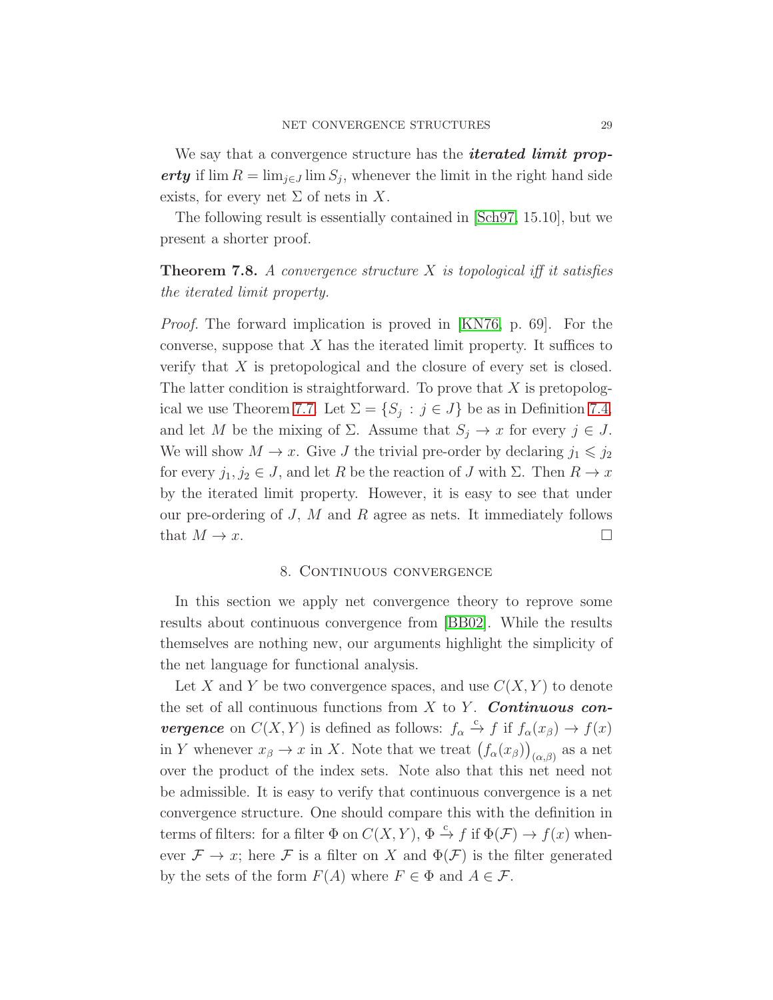We say that a convergence structure has the *iterated limit prop*erty if  $\lim R = \lim_{j \in J} \lim S_j$ , whenever the limit in the right hand side exists, for every net  $\Sigma$  of nets in X.

The following result is essentially contained in [\[Sch97,](#page-49-2) 15.10], but we present a shorter proof.

**Theorem 7.8.** A convergence structure  $X$  is topological iff it satisfies the iterated limit property.

Proof. The forward implication is proved in [\[KN76,](#page-48-7) p. 69]. For the converse, suppose that  $X$  has the iterated limit property. It suffices to verify that X is pretopological and the closure of every set is closed. The latter condition is straightforward. To prove that  $X$  is pretopolog-ical we use Theorem [7.7.](#page-26-0) Let  $\Sigma = \{S_j : j \in J\}$  be as in Definition [7.4,](#page-25-0) and let M be the mixing of  $\Sigma$ . Assume that  $S_j \to x$  for every  $j \in J$ . We will show  $M \to x$ . Give J the trivial pre-order by declaring  $j_1 \leq j_2$ for every  $j_1, j_2 \in J$ , and let R be the reaction of J with  $\Sigma$ . Then  $R \to x$ by the iterated limit property. However, it is easy to see that under our pre-ordering of  $J$ ,  $M$  and  $R$  agree as nets. It immediately follows that  $M \to x$ .

#### 8. Continuous convergence

<span id="page-28-0"></span>In this section we apply net convergence theory to reprove some results about continuous convergence from [\[BB02\]](#page-48-0). While the results themselves are nothing new, our arguments highlight the simplicity of the net language for functional analysis.

Let X and Y be two convergence spaces, and use  $C(X, Y)$  to denote the set of all continuous functions from  $X$  to  $Y$ . **Continuous convergence** on  $C(X, Y)$  is defined as follows:  $f_{\alpha} \stackrel{c}{\rightarrow} f$  if  $f_{\alpha}(x_{\beta}) \rightarrow f(x)$ in Y whenever  $x_{\beta} \to x$  in X. Note that we treat  $(f_{\alpha}(x_{\beta}))_{(\alpha,\beta)}$  as a net over the product of the index sets. Note also that this net need not be admissible. It is easy to verify that continuous convergence is a net convergence structure. One should compare this with the definition in terms of filters: for a filter  $\Phi$  on  $C(X, Y)$ ,  $\Phi \stackrel{c}{\to} f$  if  $\Phi(\mathcal{F}) \to f(x)$  whenever  $\mathcal{F} \to x$ ; here  $\mathcal{F}$  is a filter on X and  $\Phi(\mathcal{F})$  is the filter generated by the sets of the form  $F(A)$  where  $F \in \Phi$  and  $A \in \mathcal{F}$ .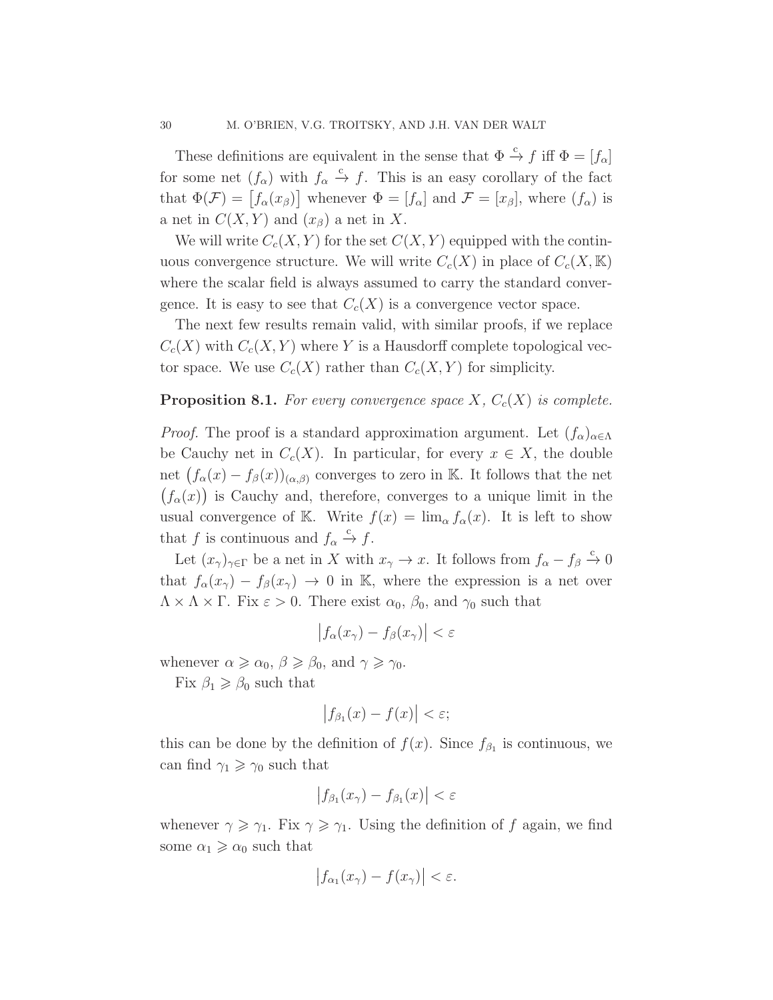These definitions are equivalent in the sense that  $\Phi \stackrel{c}{\to} f$  iff  $\Phi = [f_{\alpha}]$ for some net  $(f_{\alpha})$  with  $f_{\alpha} \stackrel{c}{\rightarrow} f$ . This is an easy corollary of the fact that  $\Phi(\mathcal{F}) = [f_{\alpha}(x_{\beta})]$  whenever  $\Phi = [f_{\alpha}]$  and  $\mathcal{F} = [x_{\beta}]$ , where  $(f_{\alpha})$  is a net in  $C(X, Y)$  and  $(x_{\beta})$  a net in X.

We will write  $C_c(X, Y)$  for the set  $C(X, Y)$  equipped with the continuous convergence structure. We will write  $C_c(X)$  in place of  $C_c(X,\mathbb{K})$ where the scalar field is always assumed to carry the standard convergence. It is easy to see that  $C_c(X)$  is a convergence vector space.

The next few results remain valid, with similar proofs, if we replace  $C_c(X)$  with  $C_c(X, Y)$  where Y is a Hausdorff complete topological vector space. We use  $C_c(X)$  rather than  $C_c(X, Y)$  for simplicity.

## <span id="page-29-0"></span>**Proposition 8.1.** For every convergence space  $X$ ,  $C_c(X)$  is complete.

*Proof.* The proof is a standard approximation argument. Let  $(f_{\alpha})_{\alpha \in \Lambda}$ be Cauchy net in  $C_c(X)$ . In particular, for every  $x \in X$ , the double net  $(f_{\alpha}(x) - f_{\beta}(x))_{(\alpha,\beta)}$  converges to zero in K. It follows that the net  $(f_\alpha(x))$  is Cauchy and, therefore, converges to a unique limit in the usual convergence of K. Write  $f(x) = \lim_{\alpha} f_{\alpha}(x)$ . It is left to show that f is continuous and  $f_{\alpha} \stackrel{c}{\rightarrow} f$ .

Let  $(x_\gamma)_{\gamma \in \Gamma}$  be a net in X with  $x_\gamma \to x$ . It follows from  $f_\alpha - f_\beta \stackrel{c}{\to} 0$ that  $f_{\alpha}(x_{\gamma}) - f_{\beta}(x_{\gamma}) \rightarrow 0$  in K, where the expression is a net over  $\Lambda \times \Lambda \times \Gamma$ . Fix  $\varepsilon > 0$ . There exist  $\alpha_0$ ,  $\beta_0$ , and  $\gamma_0$  such that

$$
\left|f_{\alpha}(x_{\gamma})-f_{\beta}(x_{\gamma})\right|<\varepsilon
$$

whenever  $\alpha \geq \alpha_0$ ,  $\beta \geq \beta_0$ , and  $\gamma \geq \gamma_0$ .

Fix  $\beta_1 \geq \beta_0$  such that

$$
\left|f_{\beta_1}(x)-f(x)\right|<\varepsilon;
$$

this can be done by the definition of  $f(x)$ . Since  $f_{\beta_1}$  is continuous, we can find  $\gamma_1 \geq \gamma_0$  such that

$$
\left|f_{\beta_1}(x_\gamma) - f_{\beta_1}(x)\right| < \varepsilon
$$

whenever  $\gamma \geq \gamma_1$ . Fix  $\gamma \geq \gamma_1$ . Using the definition of f again, we find some  $\alpha_1 \geq \alpha_0$  such that

$$
\left|f_{\alpha_1}(x_\gamma) - f(x_\gamma)\right| < \varepsilon.
$$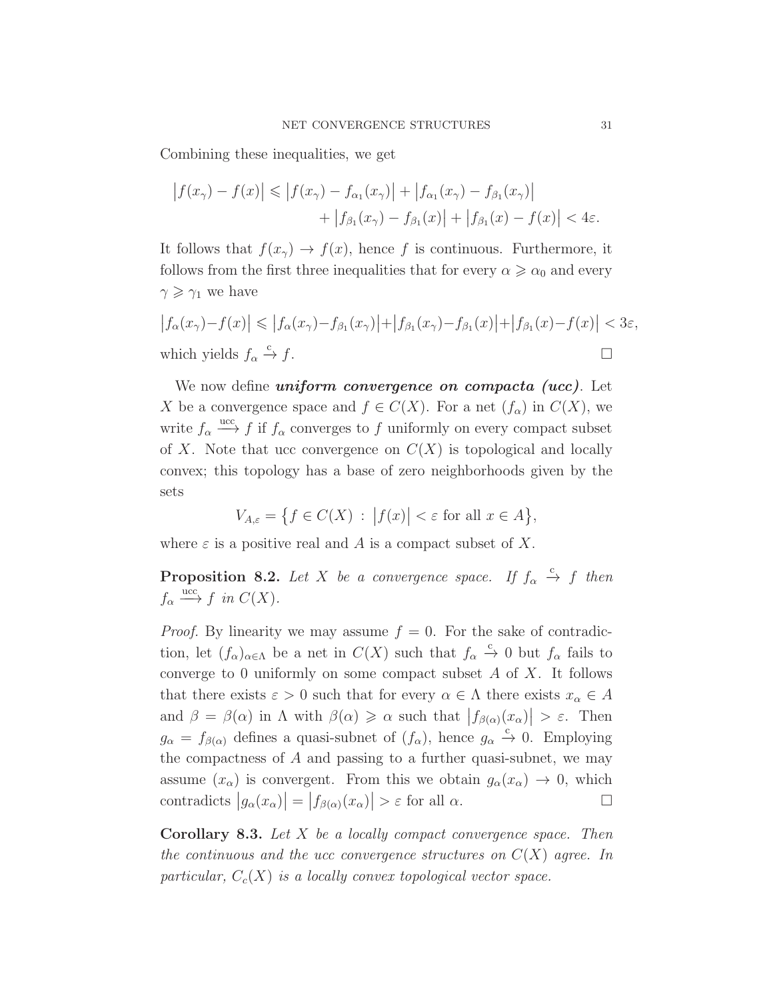Combining these inequalities, we get

$$
\left| f(x_{\gamma}) - f(x) \right| \leq \left| f(x_{\gamma}) - f_{\alpha_1}(x_{\gamma}) \right| + \left| f_{\alpha_1}(x_{\gamma}) - f_{\beta_1}(x_{\gamma}) \right| + \left| f_{\beta_1}(x_{\gamma}) - f_{\beta_1}(x) \right| + \left| f_{\beta_1}(x) - f(x) \right| < 4\varepsilon.
$$

It follows that  $f(x_\gamma) \to f(x)$ , hence f is continuous. Furthermore, it follows from the first three inequalities that for every  $\alpha \geq \alpha_0$  and every  $\gamma \geq \gamma_1$  we have

$$
|f_{\alpha}(x_{\gamma})-f(x)| \leq |f_{\alpha}(x_{\gamma})-f_{\beta_{1}}(x_{\gamma})|+|f_{\beta_{1}}(x_{\gamma})-f_{\beta_{1}}(x)|+|f_{\beta_{1}}(x)-f(x)| < 3\varepsilon,
$$
  
which yields  $f_{\alpha} \xrightarrow{c} f$ .

We now define *uniform convergence on compacta (ucc)*. Let X be a convergence space and  $f \in C(X)$ . For a net  $(f_{\alpha})$  in  $C(X)$ , we write  $f_{\alpha} \stackrel{\text{ucc}}{\longrightarrow} f$  if  $f_{\alpha}$  converges to f uniformly on every compact subset of X. Note that ucc convergence on  $C(X)$  is topological and locally convex; this topology has a base of zero neighborhoods given by the sets

$$
V_{A,\varepsilon} = \{ f \in C(X) : |f(x)| < \varepsilon \text{ for all } x \in A \},
$$

where  $\varepsilon$  is a positive real and A is a compact subset of X.

**Proposition 8.2.** Let X be a convergence space. If  $f_{\alpha} \stackrel{c}{\rightarrow} f$  then  $f_{\alpha} \stackrel{\text{ucc}}{\longrightarrow} f$  in  $C(X)$ .

*Proof.* By linearity we may assume  $f = 0$ . For the sake of contradiction, let  $(f_\alpha)_{\alpha\in\Lambda}$  be a net in  $C(X)$  such that  $f_\alpha \stackrel{c}{\to} 0$  but  $f_\alpha$  fails to converge to 0 uniformly on some compact subset  $A$  of  $X$ . It follows that there exists  $\varepsilon > 0$  such that for every  $\alpha \in \Lambda$  there exists  $x_{\alpha} \in A$ and  $\beta = \beta(\alpha)$  in  $\Lambda$  with  $\beta(\alpha) \ge \alpha$  such that  $|f_{\beta(\alpha)}(x_{\alpha})| > \varepsilon$ . Then  $g_{\alpha} = f_{\beta(\alpha)}$  defines a quasi-subnet of  $(f_{\alpha})$ , hence  $g_{\alpha} \stackrel{c}{\rightarrow} 0$ . Employing the compactness of  $A$  and passing to a further quasi-subnet, we may assume  $(x_{\alpha})$  is convergent. From this we obtain  $g_{\alpha}(x_{\alpha}) \rightarrow 0$ , which contradicts  $|g_{\alpha}(x_{\alpha})| = |f_{\beta(\alpha)}(x_{\alpha})| > \varepsilon$  for all  $\alpha$ .

<span id="page-30-0"></span>Corollary 8.3. Let X be a locally compact convergence space. Then the continuous and the ucc convergence structures on  $C(X)$  agree. In particular,  $C_c(X)$  is a locally convex topological vector space.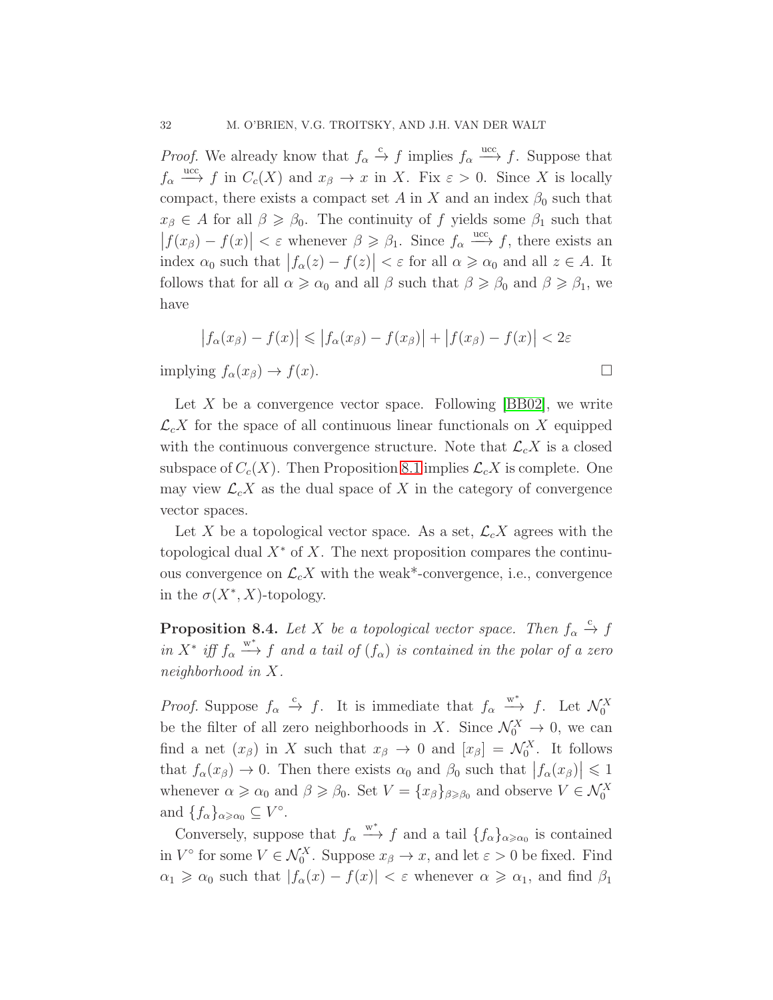*Proof.* We already know that  $f_{\alpha} \stackrel{c}{\rightarrow} f$  implies  $f_{\alpha} \stackrel{ucc}{\rightarrow} f$ . Suppose that  $f_{\alpha} \stackrel{\text{ucc}}{\longrightarrow} f$  in  $C_c(X)$  and  $x_{\beta} \to x$  in X. Fix  $\varepsilon > 0$ . Since X is locally compact, there exists a compact set A in X and an index  $\beta_0$  such that  $x_{\beta} \in A$  for all  $\beta \geq \beta_0$ . The continuity of f yields some  $\beta_1$  such that  $|f(x_\beta) - f(x)| < \varepsilon$  whenever  $\beta \geq \beta_1$ . Since  $f_\alpha \xrightarrow{\text{ucc}} f$ , there exists an index  $\alpha_0$  such that  $|f_\alpha(z) - f(z)| < \varepsilon$  for all  $\alpha \ge \alpha_0$  and all  $z \in A$ . It follows that for all  $\alpha \geq \alpha_0$  and all  $\beta$  such that  $\beta \geq \beta_0$  and  $\beta \geq \beta_1$ , we have

$$
\left|f_{\alpha}(x_{\beta}) - f(x)\right| \leqslant \left|f_{\alpha}(x_{\beta}) - f(x_{\beta})\right| + \left|f(x_{\beta}) - f(x)\right| < 2\varepsilon
$$

implying  $f_{\alpha}(x_{\beta}) \rightarrow f(x)$ .

Let X be a convergence vector space. Following  $[BB02]$ , we write  $\mathcal{L}_c X$  for the space of all continuous linear functionals on X equipped with the continuous convergence structure. Note that  $\mathcal{L}_c X$  is a closed subspace of  $C_c(X)$ . Then Proposition [8.1](#page-29-0) implies  $\mathcal{L}_c X$  is complete. One may view  $\mathcal{L}_c X$  as the dual space of X in the category of convergence vector spaces.

Let X be a topological vector space. As a set,  $\mathcal{L}_c X$  agrees with the topological dual  $X^*$  of X. The next proposition compares the continuous convergence on  $\mathcal{L}_c X$  with the weak\*-convergence, i.e., convergence in the  $\sigma(X^*, X)$ -topology.

<span id="page-31-0"></span>**Proposition 8.4.** Let X be a topological vector space. Then  $f_{\alpha} \stackrel{c}{\rightarrow} f$ in  $X^*$  iff  $f_\alpha \stackrel{w^*}{\longrightarrow} f$  and a tail of  $(f_\alpha)$  is contained in the polar of a zero neighborhood in X.

*Proof.* Suppose  $f_{\alpha} \stackrel{c}{\rightarrow} f$ . It is immediate that  $f_{\alpha} \stackrel{w^*}{\rightarrow} f$ . Let  $\mathcal{N}_0^X$ be the filter of all zero neighborhoods in X. Since  $\mathcal{N}_0^X \to 0$ , we can find a net  $(x_\beta)$  in X such that  $x_\beta \to 0$  and  $[x_\beta] = \mathcal{N}_0^X$ . It follows that  $f_{\alpha}(x_{\beta}) \to 0$ . Then there exists  $\alpha_0$  and  $\beta_0$  such that  $|f_{\alpha}(x_{\beta})| \leq 1$ whenever  $\alpha \geq \alpha_0$  and  $\beta \geq \beta_0$ . Set  $V = \{x_\beta\}_{\beta \geq \beta_0}$  and observe  $V \in \mathcal{N}_0^X$ and  $\{f_{\alpha}\}_{{\alpha}\geqslant{{\alpha}}_0}\subseteq V^{\circ}$ .

Conversely, suppose that  $f_{\alpha} \xrightarrow{w^*} f$  and a tail  $\{f_{\alpha}\}_{{\alpha \geq \alpha_0}}$  is contained in  $V^{\circ}$  for some  $V \in \mathcal{N}_0^X$ . Suppose  $x_{\beta} \to x$ , and let  $\varepsilon > 0$  be fixed. Find  $\alpha_1 \geq \alpha_0$  such that  $|f_\alpha(x) - f(x)| < \varepsilon$  whenever  $\alpha \geq \alpha_1$ , and find  $\beta_1$ 

$$
\Box
$$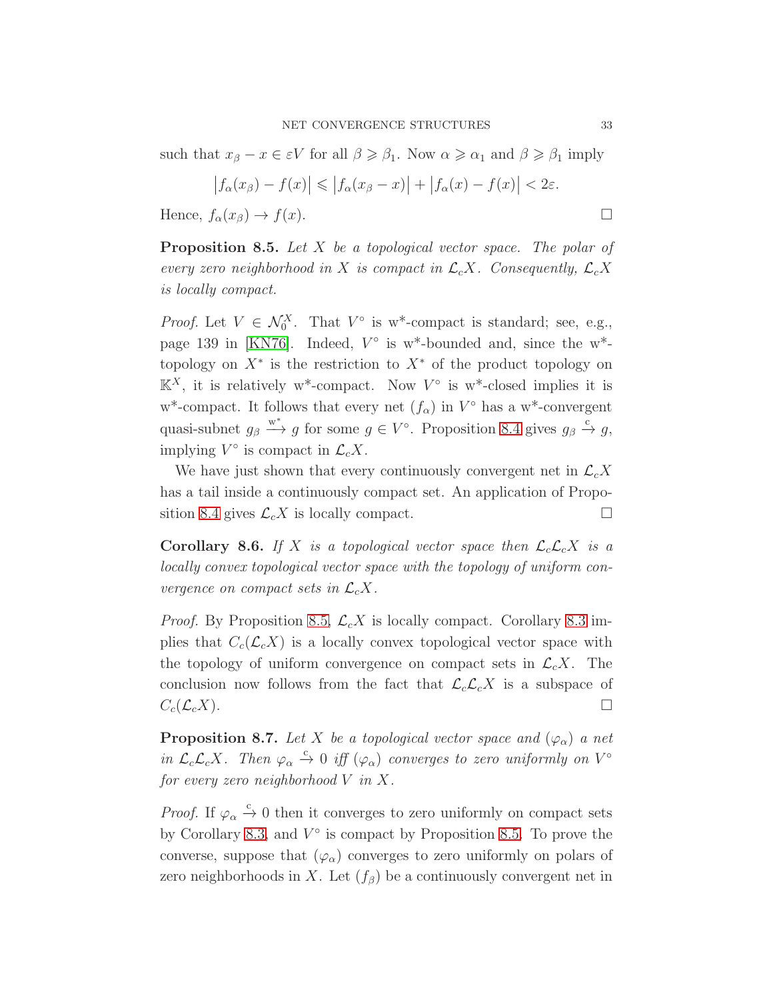such that  $x_{\beta} - x \in \varepsilon V$  for all  $\beta \geq \beta_1$ . Now  $\alpha \geq \alpha_1$  and  $\beta \geq \beta_1$  imply

$$
\left|f_{\alpha}(x_{\beta}) - f(x)\right| \leqslant \left|f_{\alpha}(x_{\beta} - x)\right| + \left|f_{\alpha}(x) - f(x)\right| < 2\varepsilon.
$$

<span id="page-32-0"></span>Hence,  $f_{\alpha}(x_{\beta}) \rightarrow f(x)$ .

**Proposition 8.5.** Let  $X$  be a topological vector space. The polar of every zero neighborhood in X is compact in  $\mathcal{L}_c X$ . Consequently,  $\mathcal{L}_c X$ is locally compact.

*Proof.* Let  $V \in \mathcal{N}_0^X$ . That  $V^{\circ}$  is w\*-compact is standard; see, e.g., page 139 in [\[KN76\]](#page-48-7). Indeed,  $V^{\circ}$  is w<sup>\*</sup>-bounded and, since the w<sup>\*</sup>topology on  $X^*$  is the restriction to  $X^*$  of the product topology on  $\mathbb{K}^X$ , it is relatively w<sup>\*</sup>-compact. Now  $V^{\circ}$  is w<sup>\*</sup>-closed implies it is w<sup>\*</sup>-compact. It follows that every net  $(f_{\alpha})$  in  $V^{\circ}$  has a w<sup>\*</sup>-convergent quasi-subnet  $g_\beta \stackrel{w^*}{\longrightarrow} g$  for some  $g \in V^\circ$ . Proposition [8.4](#page-31-0) gives  $g_\beta \stackrel{c}{\rightarrow} g$ , implying  $V^{\circ}$  is compact in  $\mathcal{L}_c X$ .

We have just shown that every continuously convergent net in  $\mathcal{L}_c X$ has a tail inside a continuously compact set. An application of Propo-sition [8.4](#page-31-0) gives  $\mathcal{L}_c X$  is locally compact.

<span id="page-32-1"></span>**Corollary 8.6.** If X is a topological vector space then  $\mathcal{L}_c\mathcal{L}_cX$  is a locally convex topological vector space with the topology of uniform convergence on compact sets in  $\mathcal{L}_c X$ .

*Proof.* By Proposition [8.5,](#page-32-0)  $\mathcal{L}_c X$  is locally compact. Corollary [8.3](#page-30-0) implies that  $C_c(\mathcal{L}_c X)$  is a locally convex topological vector space with the topology of uniform convergence on compact sets in  $\mathcal{L}_c X$ . The conclusion now follows from the fact that  $\mathcal{L}_c\mathcal{L}_cX$  is a subspace of  $C_c(\mathcal{L}_c X)$ .

<span id="page-32-2"></span>**Proposition 8.7.** Let X be a topological vector space and  $(\varphi_{\alpha})$  a net in  $\mathcal{L}_c\mathcal{L}_cX$ . Then  $\varphi_\alpha \stackrel{c}{\to} 0$  iff  $(\varphi_\alpha)$  converges to zero uniformly on  $V^\circ$ for every zero neighborhood  $V$  in  $X$ .

*Proof.* If  $\varphi_{\alpha} \xrightarrow{c} 0$  then it converges to zero uniformly on compact sets by Corollary [8.3,](#page-30-0) and  $V^{\circ}$  is compact by Proposition [8.5.](#page-32-0) To prove the converse, suppose that  $(\varphi_{\alpha})$  converges to zero uniformly on polars of zero neighborhoods in X. Let  $(f_\beta)$  be a continuously convergent net in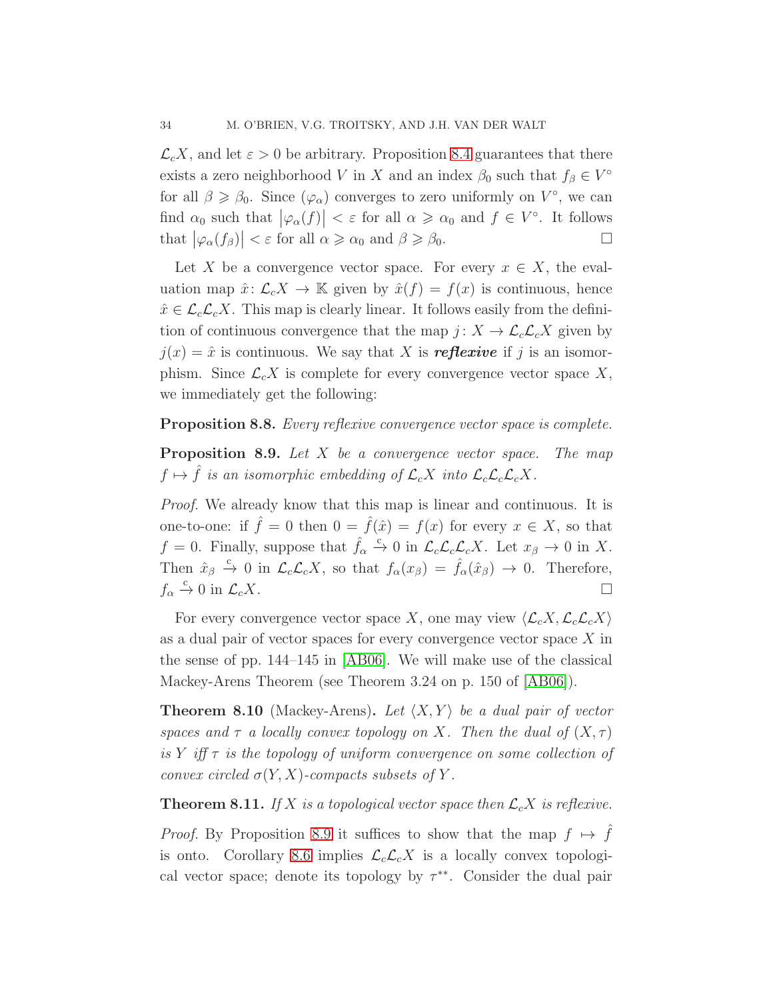$\mathcal{L}_c X$ , and let  $\varepsilon > 0$  be arbitrary. Proposition [8.4](#page-31-0) guarantees that there exists a zero neighborhood V in X and an index  $\beta_0$  such that  $f_\beta \in V^\circ$ for all  $\beta \geq \beta_0$ . Since  $(\varphi_\alpha)$  converges to zero uniformly on  $V^{\circ}$ , we can find  $\alpha_0$  such that  $|\varphi_\alpha(f)| < \varepsilon$  for all  $\alpha \geqslant \alpha_0$  and  $f \in V^\circ$ . It follows that  $|\varphi_{\alpha}(f_{\beta})| < \varepsilon$  for all  $\alpha \ge \alpha_0$  and  $\beta \ge \beta_0$ .

Let X be a convergence vector space. For every  $x \in X$ , the evaluation map  $\hat{x} \colon \mathcal{L}_c X \to \mathbb{K}$  given by  $\hat{x}(f) = f(x)$  is continuous, hence  $\hat{x} \in \mathcal{L}_c \mathcal{L}_c X$ . This map is clearly linear. It follows easily from the definition of continuous convergence that the map  $j: X \to \mathcal{L}_c \mathcal{L}_c X$  given by  $j(x) = \hat{x}$  is continuous. We say that X is **reflexive** if j is an isomorphism. Since  $\mathcal{L}_c X$  is complete for every convergence vector space X, we immediately get the following:

### <span id="page-33-0"></span>Proposition 8.8. Every reflexive convergence vector space is complete.

**Proposition 8.9.** Let  $X$  be a convergence vector space. The map  $f \mapsto \hat{f}$  is an isomorphic embedding of  $\mathcal{L}_c X$  into  $\mathcal{L}_c\mathcal{L}_c\mathcal{L}_c X$ .

Proof. We already know that this map is linear and continuous. It is one-to-one: if  $\hat{f} = 0$  then  $0 = \hat{f}(\hat{x}) = f(x)$  for every  $x \in X$ , so that  $f = 0$ . Finally, suppose that  $\hat{f}_{\alpha} \xrightarrow{c} 0$  in  $\mathcal{L}_c \mathcal{L}_c \mathcal{L}_c X$ . Let  $x_{\beta} \to 0$  in X. Then  $\hat{x}_{\beta} \stackrel{c}{\rightarrow} 0$  in  $\mathcal{L}_c\mathcal{L}_cX$ , so that  $f_{\alpha}(x_{\beta}) = \hat{f}_{\alpha}(\hat{x}_{\beta}) \rightarrow 0$ . Therefore,  $f_{\alpha} \xrightarrow{c} 0$  in  $\mathcal{L}_c X$ .

For every convergence vector space X, one may view  $\langle \mathcal{L}_c X, \mathcal{L}_c \mathcal{L}_c X \rangle$ as a dual pair of vector spaces for every convergence vector space  $X$  in the sense of pp. 144–145 in [\[AB06\]](#page-48-8). We will make use of the classical Mackey-Arens Theorem (see Theorem 3.24 on p. 150 of [\[AB06\]](#page-48-8)).

**Theorem 8.10** (Mackey-Arens). Let  $\langle X, Y \rangle$  be a dual pair of vector spaces and  $\tau$  a locally convex topology on X. Then the dual of  $(X, \tau)$ is Y iff  $\tau$  is the topology of uniform convergence on some collection of convex circled  $\sigma(Y, X)$ -compacts subsets of Y.

<span id="page-33-1"></span>**Theorem 8.11.** If X is a topological vector space then  $\mathcal{L}_c X$  is reflexive.

*Proof.* By Proposition [8.9](#page-33-0) it suffices to show that the map  $f \mapsto \hat{f}$ is onto. Corollary [8.6](#page-32-1) implies  $\mathcal{L}_c \mathcal{L}_c X$  is a locally convex topological vector space; denote its topology by  $\tau^{**}$ . Consider the dual pair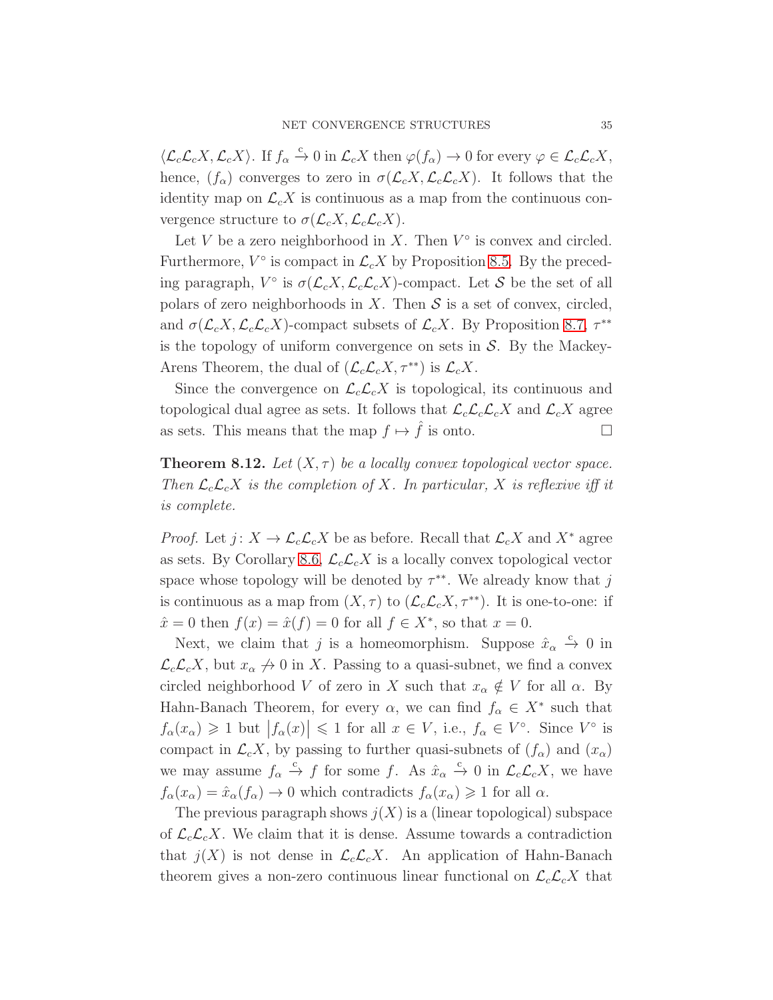$\langle \mathcal{L}_c \mathcal{L}_c X, \mathcal{L}_c X \rangle$ . If  $f_\alpha \stackrel{c}{\rightarrow} 0$  in  $\mathcal{L}_c X$  then  $\varphi(f_\alpha) \rightarrow 0$  for every  $\varphi \in \mathcal{L}_c \mathcal{L}_c X$ , hence,  $(f_{\alpha})$  converges to zero in  $\sigma(\mathcal{L}_{c}X,\mathcal{L}_{c}\mathcal{L}_{c}X)$ . It follows that the identity map on  $\mathcal{L}_c X$  is continuous as a map from the continuous convergence structure to  $\sigma(\mathcal{L}_c X, \mathcal{L}_c \mathcal{L}_c X)$ .

Let V be a zero neighborhood in X. Then  $V^{\circ}$  is convex and circled. Furthermore,  $V^{\circ}$  is compact in  $\mathcal{L}_c X$  by Proposition [8.5.](#page-32-0) By the preceding paragraph,  $V^{\circ}$  is  $\sigma(\mathcal{L}_c X, \mathcal{L}_c \mathcal{L}_c X)$ -compact. Let S be the set of all polars of zero neighborhoods in X. Then  $S$  is a set of convex, circled, and  $\sigma(\mathcal{L}_c X, \mathcal{L}_c \mathcal{L}_c X)$ -compact subsets of  $\mathcal{L}_c X$ . By Proposition [8.7,](#page-32-2)  $\tau^{**}$ is the topology of uniform convergence on sets in  $S$ . By the Mackey-Arens Theorem, the dual of  $(\mathcal{L}_c\mathcal{L}_cX, \tau^{**})$  is  $\mathcal{L}_cX$ .

Since the convergence on  $\mathcal{L}_c\mathcal{L}_cX$  is topological, its continuous and topological dual agree as sets. It follows that  $\mathcal{L}_c\mathcal{L}_c\mathcal{L}_cX$  and  $\mathcal{L}_cX$  agree as sets. This means that the map  $f \mapsto \hat{f}$  is onto.

**Theorem 8.12.** Let  $(X, \tau)$  be a locally convex topological vector space. Then  $\mathcal{L}_c\mathcal{L}_cX$  is the completion of X. In particular, X is reflexive iff it is complete.

*Proof.* Let  $j: X \to \mathcal{L}_c \mathcal{L}_c X$  be as before. Recall that  $\mathcal{L}_c X$  and  $X^*$  agree as sets. By Corollary [8.6,](#page-32-1)  $\mathcal{L}_c\mathcal{L}_cX$  is a locally convex topological vector space whose topology will be denoted by  $\tau^{**}$ . We already know that j is continuous as a map from  $(X, \tau)$  to  $(\mathcal{L}_c \mathcal{L}_c X, \tau^{**})$ . It is one-to-one: if  $\hat{x} = 0$  then  $f(x) = \hat{x}(f) = 0$  for all  $f \in X^*$ , so that  $x = 0$ .

Next, we claim that j is a homeomorphism. Suppose  $\hat{x}_{\alpha} \stackrel{c}{\rightarrow} 0$  in  $\mathcal{L}_c\mathcal{L}_cX$ , but  $x_\alpha \not\rightarrow 0$  in X. Passing to a quasi-subnet, we find a convex circled neighborhood V of zero in X such that  $x_{\alpha} \notin V$  for all  $\alpha$ . By Hahn-Banach Theorem, for every  $\alpha$ , we can find  $f_{\alpha} \in X^*$  such that  $f_{\alpha}(x_{\alpha}) \geq 1$  but  $|f_{\alpha}(x)| \leq 1$  for all  $x \in V$ , i.e.,  $f_{\alpha} \in V^{\circ}$ . Since  $V^{\circ}$  is compact in  $\mathcal{L}_c X$ , by passing to further quasi-subnets of  $(f_\alpha)$  and  $(x_\alpha)$ we may assume  $f_{\alpha} \stackrel{c}{\rightarrow} f$  for some f. As  $\hat{x}_{\alpha} \stackrel{c}{\rightarrow} 0$  in  $\mathcal{L}_c\mathcal{L}_cX$ , we have  $f_{\alpha}(x_{\alpha}) = \hat{x}_{\alpha}(f_{\alpha}) \rightarrow 0$  which contradicts  $f_{\alpha}(x_{\alpha}) \geq 1$  for all  $\alpha$ .

The previous paragraph shows  $j(X)$  is a (linear topological) subspace of  $\mathcal{L}_c\mathcal{L}_cX$ . We claim that it is dense. Assume towards a contradiction that  $j(X)$  is not dense in  $\mathcal{L}_c\mathcal{L}_cX$ . An application of Hahn-Banach theorem gives a non-zero continuous linear functional on  $\mathcal{L}_c\mathcal{L}_cX$  that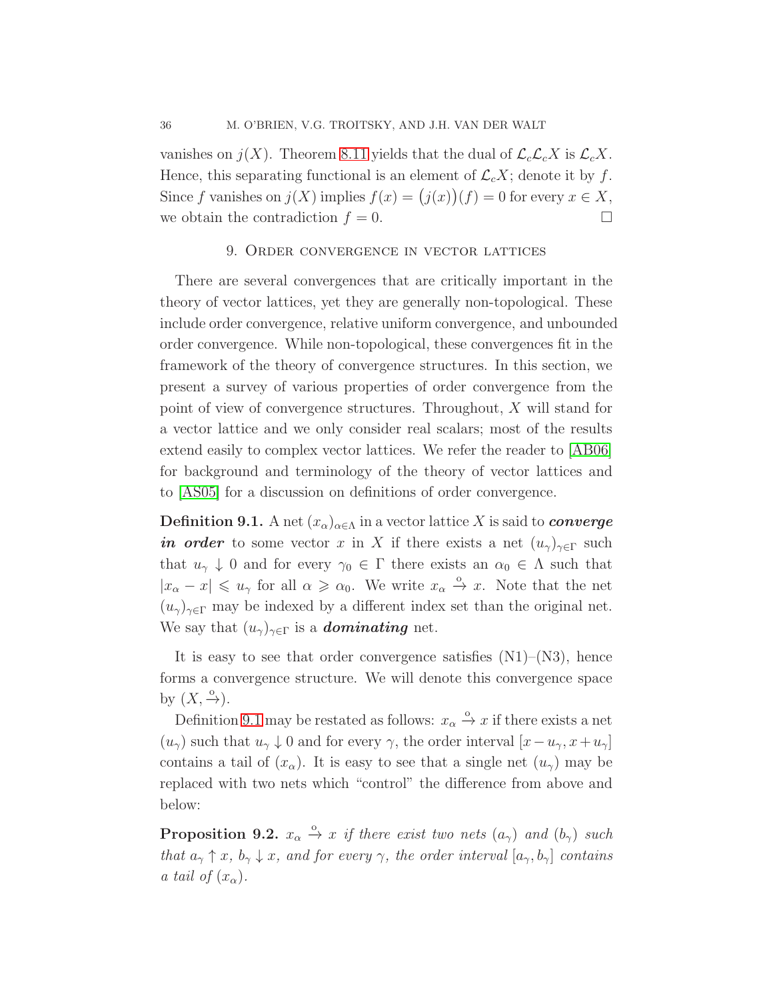vanishes on  $j(X)$ . Theorem [8.11](#page-33-1) yields that the dual of  $\mathcal{L}_c\mathcal{L}_cX$  is  $\mathcal{L}_cX$ . Hence, this separating functional is an element of  $\mathcal{L}_c X$ ; denote it by f. Since f vanishes on  $j(X)$  implies  $f(x) = (j(x))(f) = 0$  for every  $x \in X$ , we obtain the contradiction  $f = 0$ .

## 9. Order convergence in vector lattices

<span id="page-35-0"></span>There are several convergences that are critically important in the theory of vector lattices, yet they are generally non-topological. These include order convergence, relative uniform convergence, and unbounded order convergence. While non-topological, these convergences fit in the framework of the theory of convergence structures. In this section, we present a survey of various properties of order convergence from the point of view of convergence structures. Throughout, X will stand for a vector lattice and we only consider real scalars; most of the results extend easily to complex vector lattices. We refer the reader to [\[AB06\]](#page-48-8) for background and terminology of the theory of vector lattices and to [\[AS05\]](#page-48-9) for a discussion on definitions of order convergence.

<span id="page-35-1"></span>**Definition 9.1.** A net  $(x_{\alpha})_{\alpha \in \Lambda}$  in a vector lattice X is said to *converge* in order to some vector x in X if there exists a net  $(u_{\gamma})_{\gamma \in \Gamma}$  such that  $u_{\gamma} \downarrow 0$  and for every  $\gamma_0 \in \Gamma$  there exists an  $\alpha_0 \in \Lambda$  such that  $|x_{\alpha}-x| \leq u_{\gamma}$  for all  $\alpha \geq \alpha_0$ . We write  $x_{\alpha} \stackrel{\circ}{\rightarrow} x$ . Note that the net  $(u_{\gamma})_{\gamma \in \Gamma}$  may be indexed by a different index set than the original net. We say that  $(u_{\gamma})_{\gamma \in \Gamma}$  is a **dominating** net.

It is easy to see that order convergence satisfies  $(N1)$ – $(N3)$ , hence forms a convergence structure. We will denote this convergence space by  $(X, \frac{0}{\rightarrow})$ .

Definition [9.1](#page-35-1) may be restated as follows:  $x_{\alpha} \stackrel{\circ}{\rightarrow} x$  if there exists a net  $(u_{\gamma})$  such that  $u_{\gamma} \downarrow 0$  and for every  $\gamma$ , the order interval  $[x-u_{\gamma}, x+u_{\gamma}]$ contains a tail of  $(x_\alpha)$ . It is easy to see that a single net  $(u_\gamma)$  may be replaced with two nets which "control" the difference from above and below:

<span id="page-35-2"></span>**Proposition 9.2.**  $x_{\alpha} \stackrel{\circ}{\rightarrow} x$  if there exist two nets  $(a_{\gamma})$  and  $(b_{\gamma})$  such that  $a_{\gamma} \uparrow x$ ,  $b_{\gamma} \downarrow x$ , and for every  $\gamma$ , the order interval  $[a_{\gamma}, b_{\gamma}]$  contains a tail of  $(x_\alpha)$ .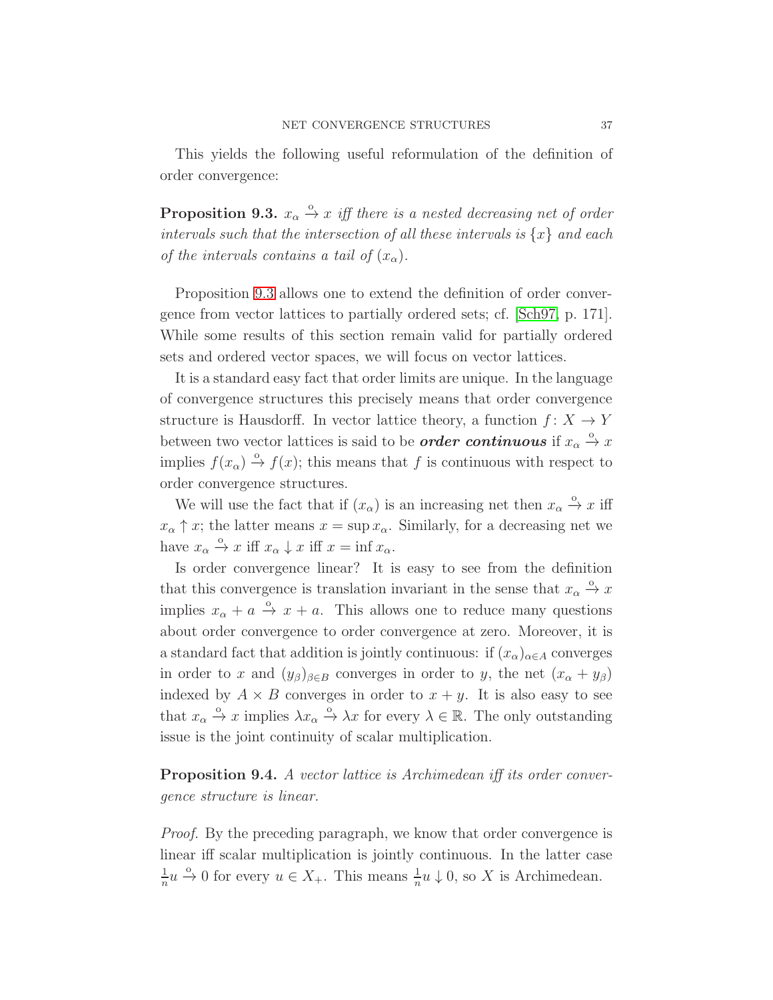<span id="page-36-0"></span>This yields the following useful reformulation of the definition of order convergence:

**Proposition 9.3.**  $x_{\alpha} \stackrel{\circ}{\rightarrow} x$  iff there is a nested decreasing net of order intervals such that the intersection of all these intervals is  $\{x\}$  and each of the intervals contains a tail of  $(x_{\alpha})$ .

Proposition [9.3](#page-36-0) allows one to extend the definition of order convergence from vector lattices to partially ordered sets; cf. [\[Sch97,](#page-49-2) p. 171]. While some results of this section remain valid for partially ordered sets and ordered vector spaces, we will focus on vector lattices.

It is a standard easy fact that order limits are unique. In the language of convergence structures this precisely means that order convergence structure is Hausdorff. In vector lattice theory, a function  $f: X \to Y$ between two vector lattices is said to be *order continuous* if  $x_{\alpha} \stackrel{\circ}{\rightarrow} x$ implies  $f(x_\alpha) \stackrel{\circ}{\rightarrow} f(x)$ ; this means that f is continuous with respect to order convergence structures.

We will use the fact that if  $(x_{\alpha})$  is an increasing net then  $x_{\alpha} \stackrel{\circ}{\rightarrow} x$  iff  $x_{\alpha} \uparrow x$ ; the latter means  $x = \sup x_{\alpha}$ . Similarly, for a decreasing net we have  $x_{\alpha} \stackrel{\circ}{\rightarrow} x$  iff  $x_{\alpha} \downarrow x$  iff  $x = \inf x_{\alpha}$ .

Is order convergence linear? It is easy to see from the definition that this convergence is translation invariant in the sense that  $x_{\alpha} \xrightarrow{\alpha} x$ implies  $x_{\alpha} + a \stackrel{\circ}{\rightarrow} x + a$ . This allows one to reduce many questions about order convergence to order convergence at zero. Moreover, it is a standard fact that addition is jointly continuous: if  $(x_{\alpha})_{\alpha \in A}$  converges in order to x and  $(y_\beta)_{\beta \in B}$  converges in order to y, the net  $(x_\alpha + y_\beta)$ indexed by  $A \times B$  converges in order to  $x + y$ . It is also easy to see that  $x_{\alpha} \stackrel{\circ}{\to} x$  implies  $\lambda x_{\alpha} \stackrel{\circ}{\to} \lambda x$  for every  $\lambda \in \mathbb{R}$ . The only outstanding issue is the joint continuity of scalar multiplication.

Proposition 9.4. A vector lattice is Archimedean iff its order convergence structure is linear.

Proof. By the preceding paragraph, we know that order convergence is linear iff scalar multiplication is jointly continuous. In the latter case 1  $\frac{1}{n}u \stackrel{\circ}{\rightarrow} 0$  for every  $u \in X_+$ . This means  $\frac{1}{n}u \downarrow 0$ , so X is Archimedean.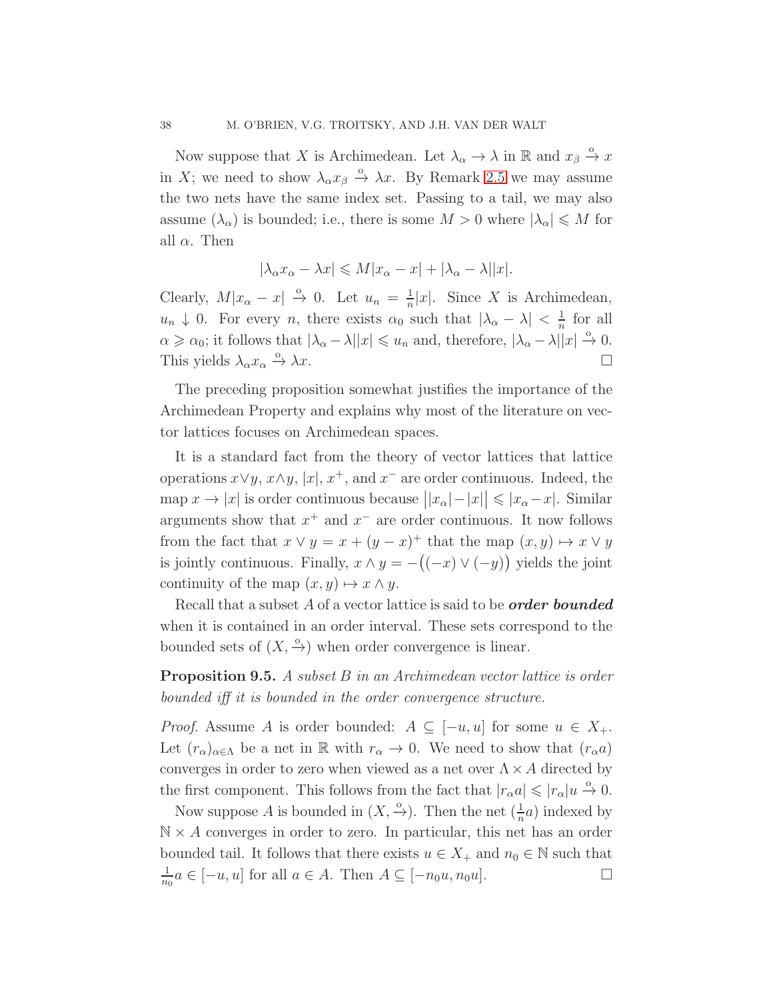Now suppose that X is Archimedean. Let  $\lambda_{\alpha} \to \lambda$  in R and  $x_{\beta} \xrightarrow{\alpha} x$ in X; we need to show  $\lambda_{\alpha} x_{\beta} \stackrel{\circ}{\rightarrow} \lambda x$ . By Remark [2.5](#page-6-1) we may assume the two nets have the same index set. Passing to a tail, we may also assume  $(\lambda_{\alpha})$  is bounded; i.e., there is some  $M > 0$  where  $|\lambda_{\alpha}| \leqslant M$  for all  $\alpha$ . Then

$$
|\lambda_\alpha x_\alpha-\lambda x|\leqslant M|x_\alpha-x|+|\lambda_\alpha-\lambda||x|.
$$

Clearly,  $M|x_{\alpha}-x| \stackrel{\circ}{\rightarrow} 0$ . Let  $u_n = \frac{1}{n}$  $\frac{1}{n}|x|$ . Since X is Archimedean,  $u_n \downarrow 0$ . For every n, there exists  $\alpha_0$  such that  $|\lambda_{\alpha} - \lambda| < \frac{1}{n}$  $\frac{1}{n}$  for all  $\alpha \geqslant \alpha_0$ ; it follows that  $|\lambda_{\alpha} - \lambda||x| \leqslant u_n$  and, therefore,  $|\lambda_{\alpha} - \lambda||x| \stackrel{\circ}{\rightarrow} 0$ . This yields  $\lambda_{\alpha} x_{\alpha} \xrightarrow{\circ} \lambda x$ .  $\stackrel{\circ}{\to} \lambda x.$ 

The preceding proposition somewhat justifies the importance of the Archimedean Property and explains why most of the literature on vector lattices focuses on Archimedean spaces.

It is a standard fact from the theory of vector lattices that lattice operations  $x \vee y$ ,  $x \wedge y$ ,  $|x|$ ,  $x^+$ , and  $x^-$  are order continuous. Indeed, the map  $x \to |x|$  is order continuous because  $||x_\alpha| - |x|| \leq |x_\alpha - x|$ . Similar arguments show that  $x^+$  and  $x^-$  are order continuous. It now follows from the fact that  $x \vee y = x + (y - x)^{+}$  that the map  $(x, y) \mapsto x \vee y$ is jointly continuous. Finally,  $x \wedge y = -((-x) \vee (-y))$  yields the joint continuity of the map  $(x, y) \mapsto x \wedge y$ .

Recall that a subset  $A$  of a vector lattice is said to be *order* bounded when it is contained in an order interval. These sets correspond to the bounded sets of  $(X, \frac{\circ}{\cdot})$  when order convergence is linear.

<span id="page-37-0"></span>**Proposition 9.5.** A subset B in an Archimedean vector lattice is order bounded iff it is bounded in the order convergence structure.

*Proof.* Assume A is order bounded:  $A \subseteq [-u, u]$  for some  $u \in X_+$ . Let  $(r_{\alpha})_{\alpha\in\Lambda}$  be a net in R with  $r_{\alpha}\to 0$ . We need to show that  $(r_{\alpha}a)$ converges in order to zero when viewed as a net over  $\Lambda \times A$  directed by the first component. This follows from the fact that  $|r_{\alpha}a| \leq r_{\alpha}|u| \stackrel{\circ}{\rightarrow} 0$ .

Now suppose A is bounded in  $(X, \frac{\circ}{\cdot})$ . Then the net  $(\frac{1}{n}a)$  indexed by  $\mathbb{N} \times A$  converges in order to zero. In particular, this net has an order bounded tail. It follows that there exists  $u \in X_+$  and  $n_0 \in \mathbb{N}$  such that 1  $\frac{1}{n_0}a \in [-u, u]$  for all  $a \in A$ . Then  $A \subseteq [-n_0u, n_0u]$ .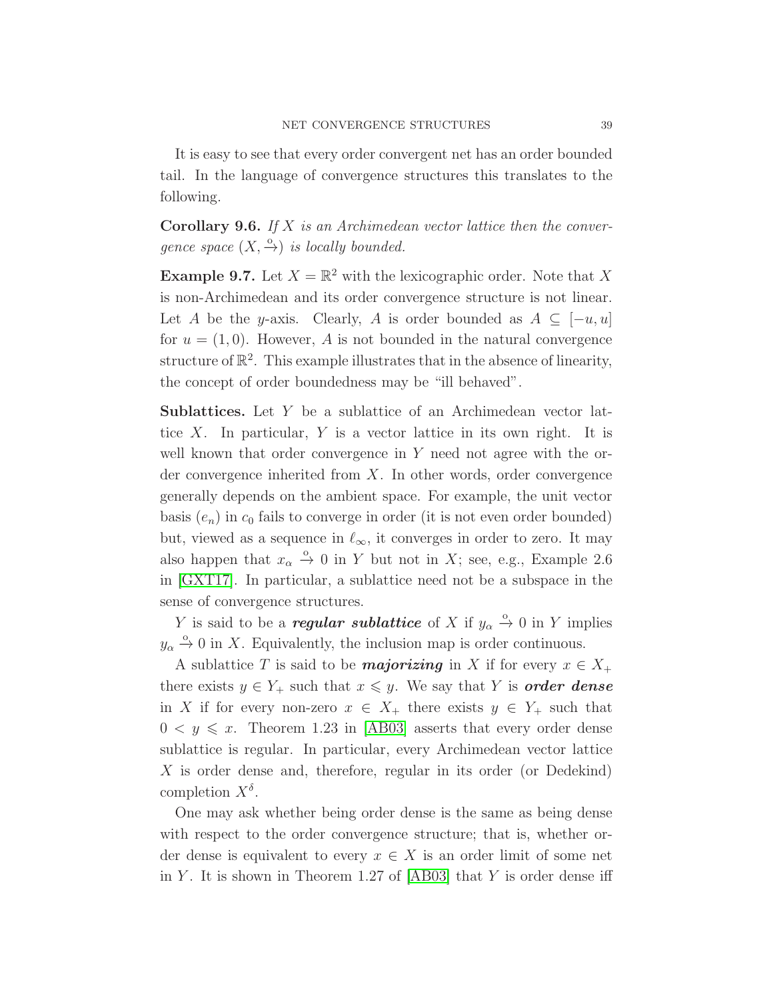It is easy to see that every order convergent net has an order bounded tail. In the language of convergence structures this translates to the following.

<span id="page-38-0"></span>**Corollary 9.6.** If  $X$  is an Archimedean vector lattice then the convergence space  $(X, \xrightarrow{\circ})$  is locally bounded.

**Example 9.7.** Let  $X = \mathbb{R}^2$  with the lexicographic order. Note that X is non-Archimedean and its order convergence structure is not linear. Let A be the y-axis. Clearly, A is order bounded as  $A \subseteq [-u, u]$ for  $u = (1, 0)$ . However, A is not bounded in the natural convergence structure of  $\mathbb{R}^2$ . This example illustrates that in the absence of linearity, the concept of order boundedness may be "ill behaved".

Sublattices. Let Y be a sublattice of an Archimedean vector lattice X. In particular,  $Y$  is a vector lattice in its own right. It is well known that order convergence in Y need not agree with the order convergence inherited from X. In other words, order convergence generally depends on the ambient space. For example, the unit vector basis  $(e_n)$  in  $c_0$  fails to converge in order (it is not even order bounded) but, viewed as a sequence in  $\ell_{\infty}$ , it converges in order to zero. It may also happen that  $x_{\alpha} \stackrel{\circ}{\rightarrow} 0$  in Y but not in X; see, e.g., Example 2.6 in [\[GXT17\]](#page-48-10). In particular, a sublattice need not be a subspace in the sense of convergence structures.

Y is said to be a *regular sublattice* of X if  $y_\alpha \overset{\circ}{\rightarrow} 0$  in Y implies  $y_{\alpha} \stackrel{\circ}{\rightarrow} 0$  in X. Equivalently, the inclusion map is order continuous.

A sublattice T is said to be **majorizing** in X if for every  $x \in X_+$ there exists  $y \in Y_+$  such that  $x \leq y$ . We say that Y is **order dense** in X if for every non-zero  $x \in X_+$  there exists  $y \in Y_+$  such that  $0 \lt y \leq x$ . Theorem 1.23 in [\[AB03\]](#page-48-11) asserts that every order dense sublattice is regular. In particular, every Archimedean vector lattice X is order dense and, therefore, regular in its order (or Dedekind) completion  $X^{\delta}$ .

One may ask whether being order dense is the same as being dense with respect to the order convergence structure; that is, whether order dense is equivalent to every  $x \in X$  is an order limit of some net in Y. It is shown in Theorem 1.27 of  $[AB03]$  that Y is order dense iff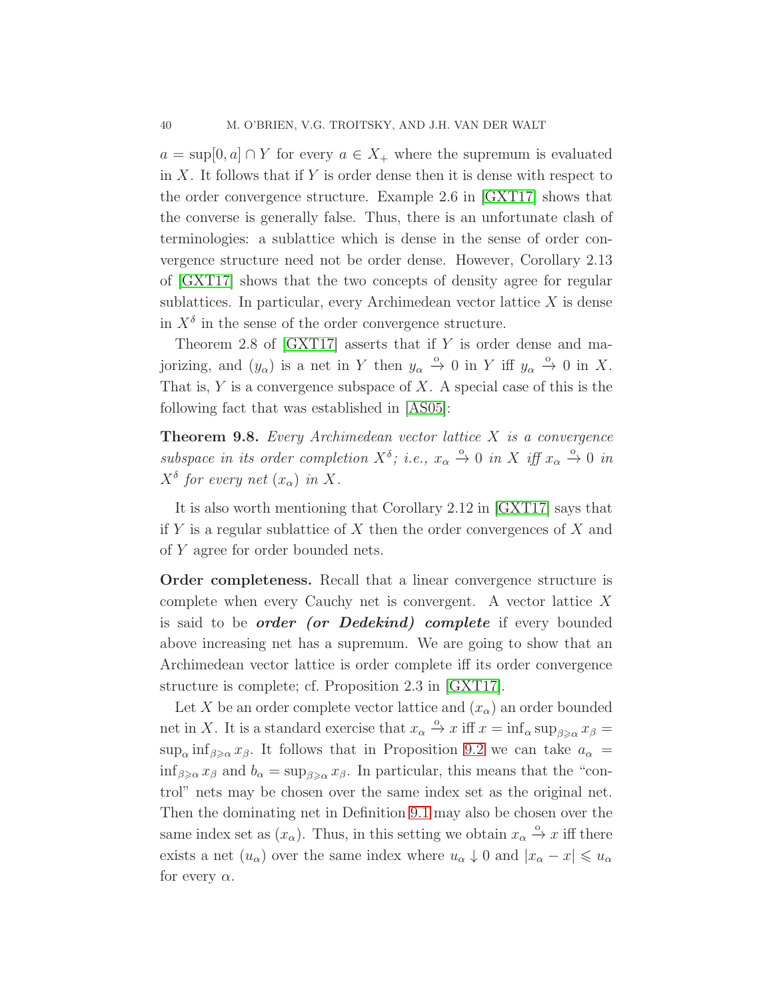$a = \sup[0, a] \cap Y$  for every  $a \in X_+$  where the supremum is evaluated in  $X$ . It follows that if Y is order dense then it is dense with respect to the order convergence structure. Example 2.6 in [\[GXT17\]](#page-48-10) shows that the converse is generally false. Thus, there is an unfortunate clash of terminologies: a sublattice which is dense in the sense of order convergence structure need not be order dense. However, Corollary 2.13 of [\[GXT17\]](#page-48-10) shows that the two concepts of density agree for regular sublattices. In particular, every Archimedean vector lattice  $X$  is dense in  $X^{\delta}$  in the sense of the order convergence structure.

Theorem 2.8 of  $[GXT17]$  asserts that if Y is order dense and majorizing, and  $(y_\alpha)$  is a net in Y then  $y_\alpha \stackrel{\circ}{\to} 0$  in Y iff  $y_\alpha \stackrel{\circ}{\to} 0$  in X. That is,  $Y$  is a convergence subspace of  $X$ . A special case of this is the following fact that was established in [\[AS05\]](#page-48-9):

<span id="page-39-0"></span>**Theorem 9.8.** Every Archimedean vector lattice  $X$  is a convergence subspace in its order completion  $X^{\delta}$ ; i.e.,  $x_{\alpha} \stackrel{\circ}{\rightarrow} 0$  in X iff  $x_{\alpha} \stackrel{\circ}{\rightarrow} 0$  in  $X^{\delta}$  for every net  $(x_{\alpha})$  in X.

It is also worth mentioning that Corollary 2.12 in [\[GXT17\]](#page-48-10) says that if Y is a regular sublattice of X then the order convergences of X and of Y agree for order bounded nets.

Order completeness. Recall that a linear convergence structure is complete when every Cauchy net is convergent. A vector lattice X is said to be *order (or Dedekind)* complete if every bounded above increasing net has a supremum. We are going to show that an Archimedean vector lattice is order complete iff its order convergence structure is complete; cf. Proposition 2.3 in [\[GXT17\]](#page-48-10).

Let X be an order complete vector lattice and  $(x_{\alpha})$  an order bounded net in X. It is a standard exercise that  $x_{\alpha} \stackrel{\circ}{\to} x$  iff  $x = \inf_{\alpha} \sup_{\beta \geq \alpha} x_{\beta} =$  $\sup_{\alpha} \inf_{\beta \geq \alpha} x_{\beta}$ . It follows that in Proposition [9.2](#page-35-2) we can take  $a_{\alpha} =$  $\inf_{\beta \geq \alpha} x_{\beta}$  and  $b_{\alpha} = \sup_{\beta \geq \alpha} x_{\beta}$ . In particular, this means that the "control" nets may be chosen over the same index set as the original net. Then the dominating net in Definition [9.1](#page-35-1) may also be chosen over the same index set as  $(x_{\alpha})$ . Thus, in this setting we obtain  $x_{\alpha} \stackrel{\circ}{\rightarrow} x$  iff there exists a net  $(u_{\alpha})$  over the same index where  $u_{\alpha} \downarrow 0$  and  $|x_{\alpha} - x| \leq u_{\alpha}$ for every  $\alpha$ .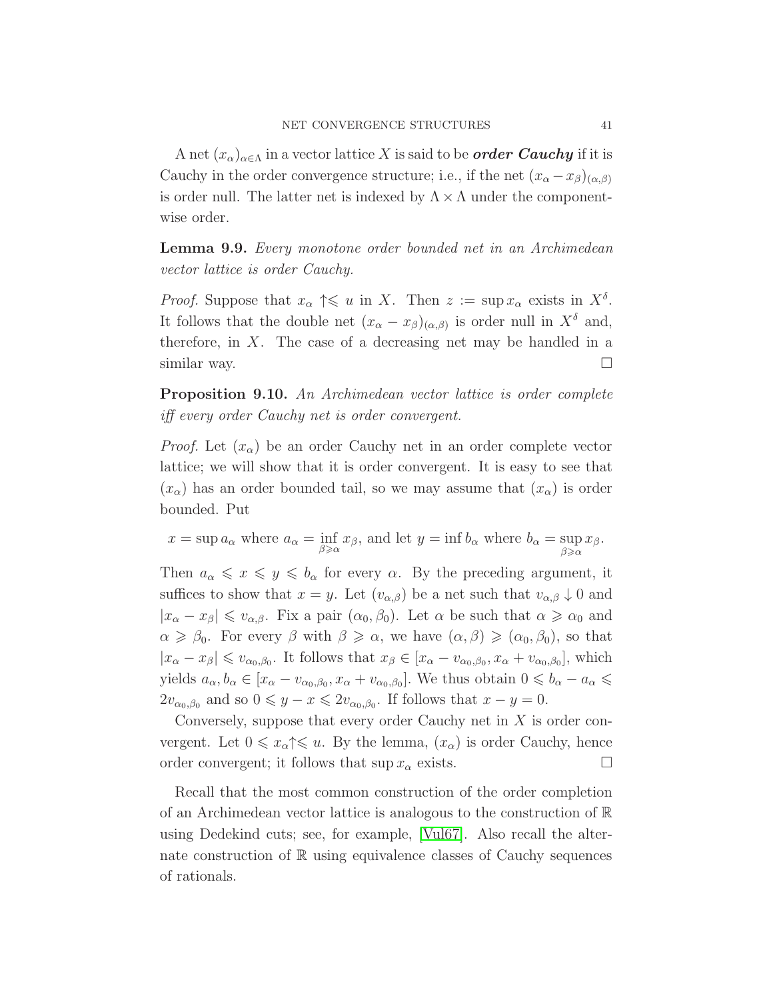A net  $(x_{\alpha})_{\alpha\in\Lambda}$  in a vector lattice X is said to be *order Cauchy* if it is Cauchy in the order convergence structure; i.e., if the net  $(x_{\alpha}-x_{\beta})_{(\alpha,\beta)}$ is order null. The latter net is indexed by  $\Lambda \times \Lambda$  under the componentwise order.

Lemma 9.9. Every monotone order bounded net in an Archimedean vector lattice is order Cauchy.

*Proof.* Suppose that  $x_{\alpha} \uparrow \leq u$  in X. Then  $z := \sup x_{\alpha}$  exists in  $X^{\delta}$ . It follows that the double net  $(x_{\alpha}-x_{\beta})_{(\alpha,\beta)}$  is order null in  $X^{\delta}$  and, therefore, in  $X$ . The case of a decreasing net may be handled in a similar way.  $\Box$ 

Proposition 9.10. An Archimedean vector lattice is order complete iff every order Cauchy net is order convergent.

*Proof.* Let  $(x_{\alpha})$  be an order Cauchy net in an order complete vector lattice; we will show that it is order convergent. It is easy to see that  $(x_{\alpha})$  has an order bounded tail, so we may assume that  $(x_{\alpha})$  is order bounded. Put

$$
x = \sup a_{\alpha}
$$
 where  $a_{\alpha} = \inf_{\beta \ge \alpha} x_{\beta}$ , and let  $y = \inf b_{\alpha}$  where  $b_{\alpha} = \sup_{\beta \ge \alpha} x_{\beta}$ .

Then  $a_{\alpha} \leq x \leq y \leq b_{\alpha}$  for every  $\alpha$ . By the preceding argument, it suffices to show that  $x = y$ . Let  $(v_{\alpha,\beta})$  be a net such that  $v_{\alpha,\beta} \downarrow 0$  and  $|x_{\alpha}-x_{\beta}| \leq v_{\alpha,\beta}$ . Fix a pair  $(\alpha_0,\beta_0)$ . Let  $\alpha$  be such that  $\alpha \geq \alpha_0$  and  $\alpha \geq \beta_0$ . For every  $\beta$  with  $\beta \geq \alpha$ , we have  $(\alpha, \beta) \geq (\alpha_0, \beta_0)$ , so that  $|x_{\alpha}-x_{\beta}| \leq v_{\alpha_0,\beta_0}$ . It follows that  $x_{\beta} \in [x_{\alpha}-v_{\alpha_0,\beta_0},x_{\alpha}+v_{\alpha_0,\beta_0}],$  which yields  $a_{\alpha}, b_{\alpha} \in [x_{\alpha} - v_{\alpha_0, \beta_0}, x_{\alpha} + v_{\alpha_0, \beta_0}]$ . We thus obtain  $0 \leq b_{\alpha} - a_{\alpha} \leq$  $2v_{\alpha_0,\beta_0}$  and so  $0 \leq y - x \leq 2v_{\alpha_0,\beta_0}$ . If follows that  $x - y = 0$ .

Conversely, suppose that every order Cauchy net in X is order convergent. Let  $0 \leq x_\alpha \leq u$ . By the lemma,  $(x_\alpha)$  is order Cauchy, hence order convergent; it follows that  $\sup x_\alpha$  exists.

Recall that the most common construction of the order completion of an Archimedean vector lattice is analogous to the construction of  $\mathbb R$ using Dedekind cuts; see, for example, [\[Vul67\]](#page-49-4). Also recall the alternate construction of R using equivalence classes of Cauchy sequences of rationals.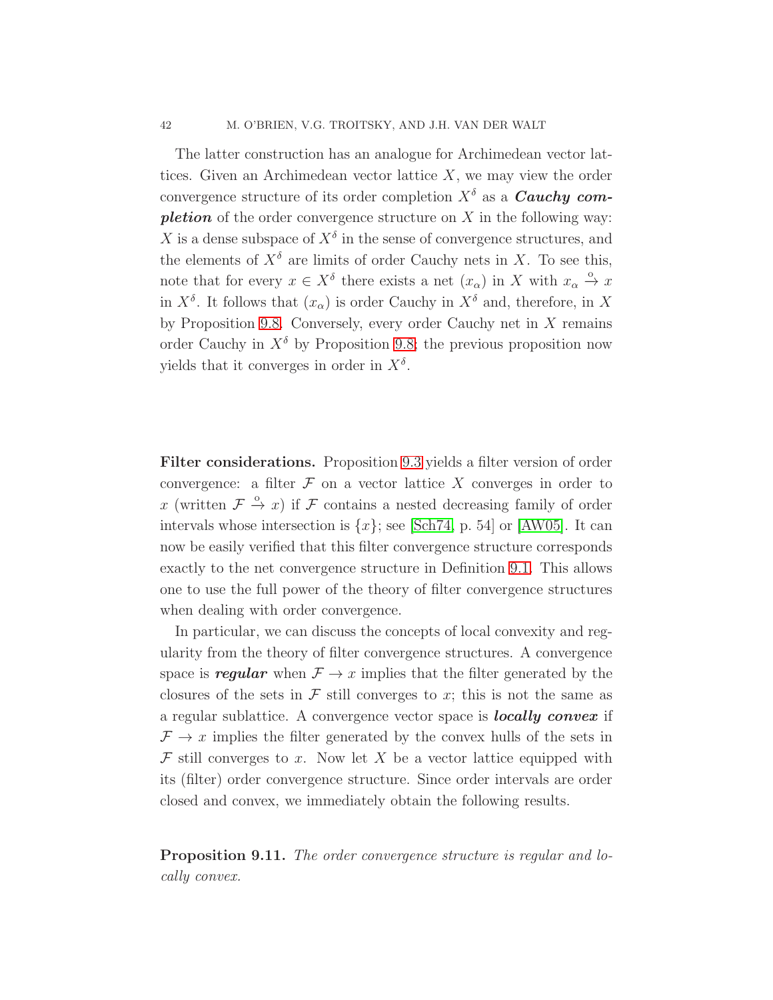The latter construction has an analogue for Archimedean vector lattices. Given an Archimedean vector lattice  $X$ , we may view the order convergence structure of its order completion  $X^{\delta}$  as a **Cauchy completion** of the order convergence structure on  $X$  in the following way: X is a dense subspace of  $X^{\delta}$  in the sense of convergence structures, and the elements of  $X^{\delta}$  are limits of order Cauchy nets in X. To see this, note that for every  $x \in X^{\delta}$  there exists a net  $(x_{\alpha})$  in X with  $x_{\alpha} \stackrel{\circ}{\rightarrow} x$ in  $X^{\delta}$ . It follows that  $(x_{\alpha})$  is order Cauchy in  $X^{\delta}$  and, therefore, in X by Proposition [9.8.](#page-39-0) Conversely, every order Cauchy net in  $X$  remains order Cauchy in  $X^{\delta}$  by Proposition [9.8;](#page-39-0) the previous proposition now yields that it converges in order in  $X^{\delta}$ .

Filter considerations. Proposition [9.3](#page-36-0) yields a filter version of order convergence: a filter  $\mathcal F$  on a vector lattice X converges in order to x (written  $\mathcal{F} \stackrel{\circ}{\rightarrow} x$ ) if  $\mathcal F$  contains a nested decreasing family of order intervals whose intersection is  $\{x\}$ ; see [\[Sch74,](#page-49-5) p. 54] or [\[AW05\]](#page-48-12). It can now be easily verified that this filter convergence structure corresponds exactly to the net convergence structure in Definition [9.1.](#page-35-1) This allows one to use the full power of the theory of filter convergence structures when dealing with order convergence.

In particular, we can discuss the concepts of local convexity and regularity from the theory of filter convergence structures. A convergence space is *regular* when  $\mathcal{F} \to x$  implies that the filter generated by the closures of the sets in  $\mathcal F$  still converges to x; this is not the same as a regular sublattice. A convergence vector space is locally convex if  $\mathcal{F} \to x$  implies the filter generated by the convex hulls of the sets in  $\mathcal F$  still converges to x. Now let X be a vector lattice equipped with its (filter) order convergence structure. Since order intervals are order closed and convex, we immediately obtain the following results.

Proposition 9.11. The order convergence structure is regular and locally convex.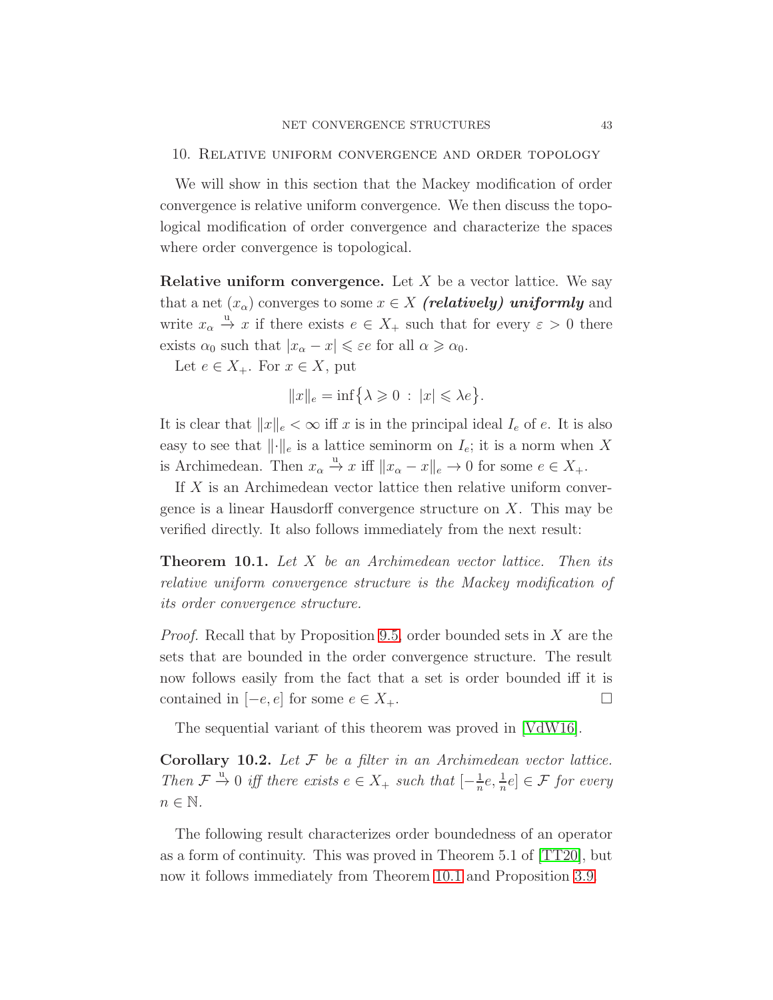## <span id="page-42-0"></span>10. Relative uniform convergence and order topology

We will show in this section that the Mackey modification of order convergence is relative uniform convergence. We then discuss the topological modification of order convergence and characterize the spaces where order convergence is topological.

**Relative uniform convergence.** Let  $X$  be a vector lattice. We say that a net  $(x_{\alpha})$  converges to some  $x \in X$  (relatively) uniformly and write  $x_{\alpha} \stackrel{u}{\rightarrow} x$  if there exists  $e \in X_+$  such that for every  $\varepsilon > 0$  there exists  $\alpha_0$  such that  $|x_\alpha - x| \leqslant \varepsilon e$  for all  $\alpha \geqslant \alpha_0$ .

Let  $e \in X_+$ . For  $x \in X$ , put

$$
||x||_e = \inf \{ \lambda \geq 0 \, : \, |x| \leq \lambda e \}.
$$

It is clear that  $||x||_e < \infty$  iff x is in the principal ideal  $I_e$  of e. It is also easy to see that  $\lVert \cdot \rVert_e$  is a lattice seminorm on  $I_e$ ; it is a norm when X is Archimedean. Then  $x_{\alpha} \stackrel{u}{\rightarrow} x$  iff  $||x_{\alpha} - x||_e \rightarrow 0$  for some  $e \in X_+$ .

If X is an Archimedean vector lattice then relative uniform convergence is a linear Hausdorff convergence structure on X. This may be verified directly. It also follows immediately from the next result:

<span id="page-42-1"></span>**Theorem 10.1.** Let X be an Archimedean vector lattice. Then its relative uniform convergence structure is the Mackey modification of its order convergence structure.

Proof. Recall that by Proposition [9.5,](#page-37-0) order bounded sets in X are the sets that are bounded in the order convergence structure. The result now follows easily from the fact that a set is order bounded iff it is contained in  $[-e, e]$  for some  $e \in X_+$ .  $\Box$ 

The sequential variant of this theorem was proved in [\[VdW16\]](#page-49-6).

**Corollary 10.2.** Let  $F$  be a filter in an Archimedean vector lattice. Then  $\mathcal{F} \stackrel{u}{\rightarrow} 0$  iff there exists  $e \in X_+$  such that  $\left[-\frac{1}{n}\right]$  $\frac{1}{n}e, \frac{1}{n}e] \in \mathcal{F}$  for every  $n \in \mathbb{N}$ .

The following result characterizes order boundedness of an operator as a form of continuity. This was proved in Theorem 5.1 of [\[TT20\]](#page-49-7), but now it follows immediately from Theorem [10.1](#page-42-1) and Proposition [3.9.](#page-14-4)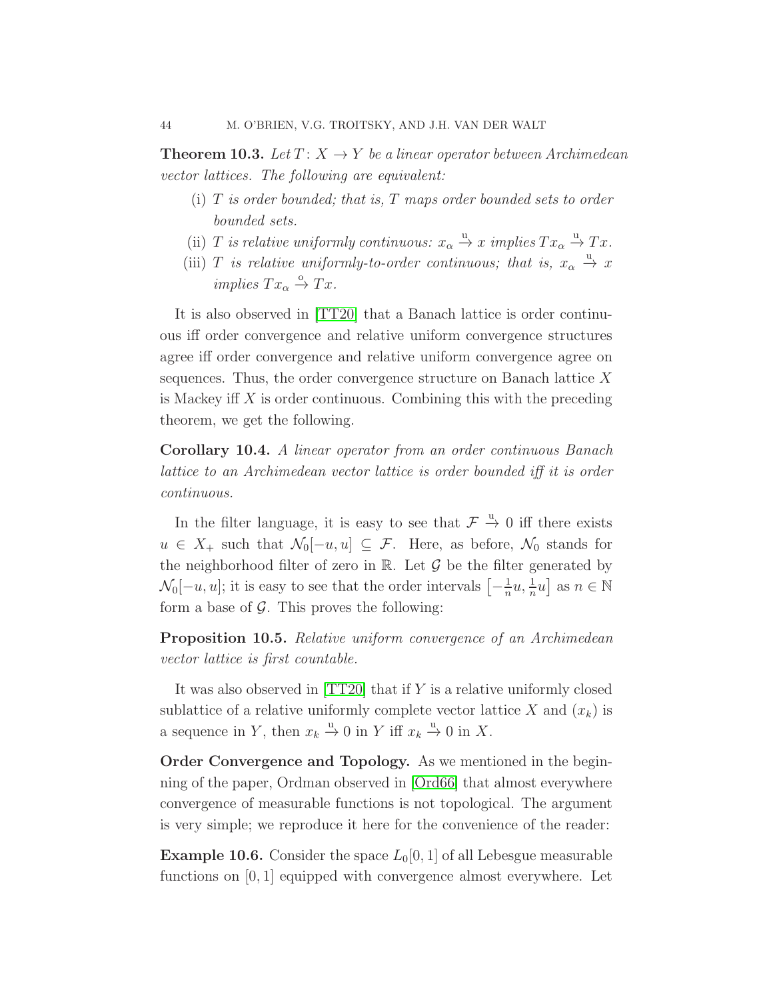**Theorem 10.3.** Let  $T: X \rightarrow Y$  be a linear operator between Archimedean vector lattices. The following are equivalent:

- $(i)$  T is order bounded; that is, T maps order bounded sets to order bounded sets.
- (ii) T is relative uniformly continuous:  $x_{\alpha} \stackrel{u}{\rightarrow} x$  implies  $Tx_{\alpha} \stackrel{u}{\rightarrow} Tx$ .
- (iii) T is relative uniformly-to-order continuous; that is,  $x_{\alpha} \stackrel{u}{\rightarrow} x$ implies  $Tx_\alpha \stackrel{\circ}{\rightarrow} Tx$ .

It is also observed in [\[TT20\]](#page-49-7) that a Banach lattice is order continuous iff order convergence and relative uniform convergence structures agree iff order convergence and relative uniform convergence agree on sequences. Thus, the order convergence structure on Banach lattice  $X$ is Mackey iff  $X$  is order continuous. Combining this with the preceding theorem, we get the following.

Corollary 10.4. A linear operator from an order continuous Banach lattice to an Archimedean vector lattice is order bounded iff it is order continuous.

In the filter language, it is easy to see that  $\mathcal{F} \stackrel{u}{\rightarrow} 0$  iff there exists  $u \in X_+$  such that  $\mathcal{N}_0[-u, u] \subseteq \mathcal{F}$ . Here, as before,  $\mathcal{N}_0$  stands for the neighborhood filter of zero in  $\mathbb R$ . Let  $\mathcal G$  be the filter generated by  $\mathcal{N}_0[-u, u];$  it is easy to see that the order intervals  $\left[-\frac{1}{n}\right]$  $\frac{1}{n}u, \frac{1}{n}u$  as  $n \in \mathbb{N}$ form a base of  $\mathcal G$ . This proves the following:

Proposition 10.5. Relative uniform convergence of an Archimedean vector lattice is first countable.

It was also observed in [\[TT20\]](#page-49-7) that if Y is a relative uniformly closed sublattice of a relative uniformly complete vector lattice X and  $(x_k)$  is a sequence in Y, then  $x_k \stackrel{u}{\rightarrow} 0$  in Y iff  $x_k \stackrel{u}{\rightarrow} 0$  in X.

Order Convergence and Topology. As we mentioned in the beginning of the paper, Ordman observed in [\[Ord66\]](#page-49-0) that almost everywhere convergence of measurable functions is not topological. The argument is very simple; we reproduce it here for the convenience of the reader:

**Example 10.6.** Consider the space  $L_0[0, 1]$  of all Lebesgue measurable functions on [0, 1] equipped with convergence almost everywhere. Let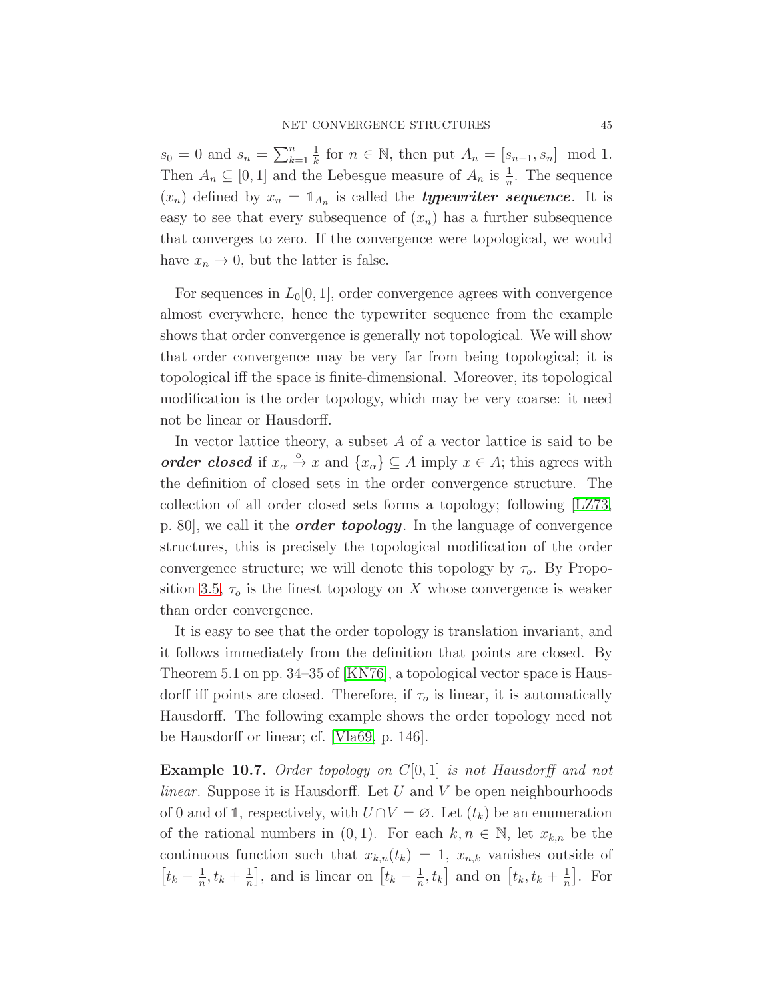$s_0 = 0$  and  $s_n = \sum_{k=1}^n$ 1  $\frac{1}{k}$  for  $n \in \mathbb{N}$ , then put  $A_n = [s_{n-1}, s_n] \mod 1$ . Then  $A_n \subseteq [0,1]$  and the Lebesgue measure of  $A_n$  is  $\frac{1}{n}$ . The sequence  $(x_n)$  defined by  $x_n = \mathbb{1}_{A_n}$  is called the **typewriter sequence**. It is easy to see that every subsequence of  $(x_n)$  has a further subsequence that converges to zero. If the convergence were topological, we would have  $x_n \to 0$ , but the latter is false.

For sequences in  $L_0[0,1]$ , order convergence agrees with convergence almost everywhere, hence the typewriter sequence from the example shows that order convergence is generally not topological. We will show that order convergence may be very far from being topological; it is topological iff the space is finite-dimensional. Moreover, its topological modification is the order topology, which may be very coarse: it need not be linear or Hausdorff.

In vector lattice theory, a subset  $A$  of a vector lattice is said to be order closed if  $x_{\alpha} \stackrel{\circ}{\rightarrow} x$  and  $\{x_{\alpha}\}\subseteq A$  imply  $x \in A$ ; this agrees with the definition of closed sets in the order convergence structure. The collection of all order closed sets forms a topology; following [\[LZ73,](#page-48-13) p. 80, we call it the *order topology*. In the language of convergence structures, this is precisely the topological modification of the order convergence structure; we will denote this topology by  $\tau_o$ . By Propo-sition [3.5,](#page-11-1)  $\tau_o$  is the finest topology on X whose convergence is weaker than order convergence.

It is easy to see that the order topology is translation invariant, and it follows immediately from the definition that points are closed. By Theorem 5.1 on pp. 34–35 of [\[KN76\]](#page-48-7), a topological vector space is Hausdorff iff points are closed. Therefore, if  $\tau_o$  is linear, it is automatically Hausdorff. The following example shows the order topology need not be Hausdorff or linear; cf. [\[Vla69,](#page-49-8) p. 146].

<span id="page-44-0"></span>**Example 10.7.** Order topology on  $C[0, 1]$  is not Hausdorff and not *linear.* Suppose it is Hausdorff. Let  $U$  and  $V$  be open neighbourhoods of 0 and of 1, respectively, with  $U \cap V = \emptyset$ . Let  $(t_k)$  be an enumeration of the rational numbers in  $(0, 1)$ . For each  $k, n \in \mathbb{N}$ , let  $x_{k,n}$  be the continuous function such that  $x_{k,n}(t_k) = 1$ ,  $x_{n,k}$  vanishes outside of  $\left[t_k-\frac{1}{n}\right]$  $\frac{1}{n}, t_k + \frac{1}{n}$  $\frac{1}{n}$ , and is linear on  $\left[t_k - \frac{1}{n}\right]$  $\left[\frac{1}{n}, t_k\right]$  and on  $\left[t_k, t_k + \frac{1}{n}\right]$  $\frac{1}{n}$ . For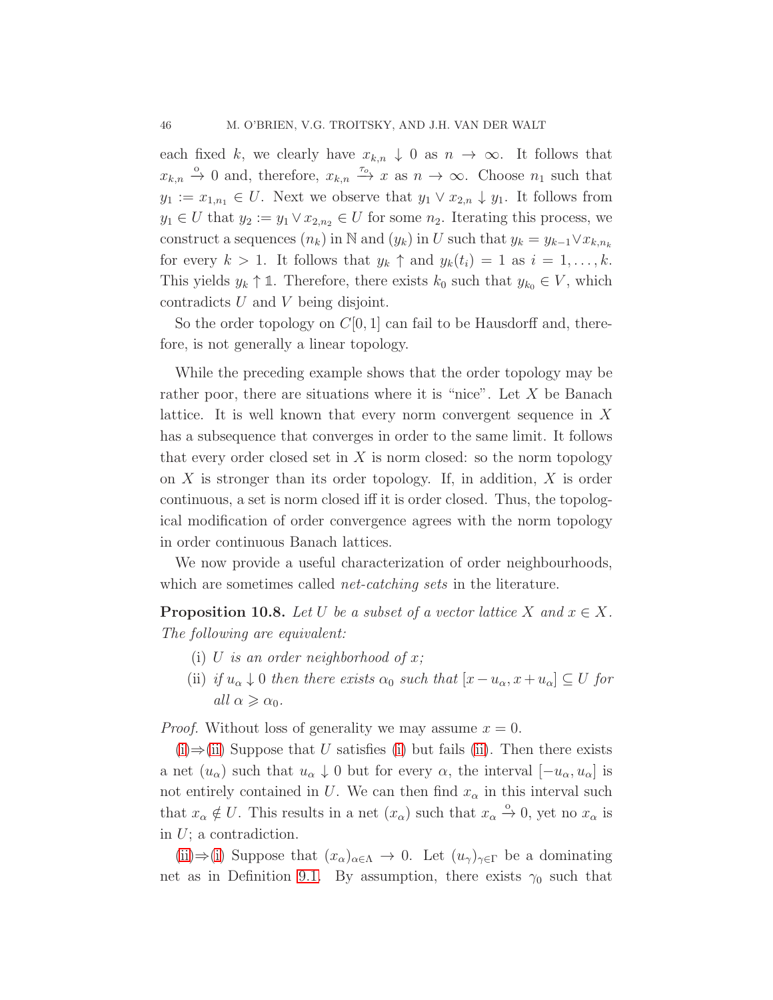each fixed k, we clearly have  $x_{k,n} \downarrow 0$  as  $n \to \infty$ . It follows that  $x_{k,n} \stackrel{\circ}{\rightarrow} 0$  and, therefore,  $x_{k,n} \stackrel{\tau_o}{\rightarrow} x$  as  $n \rightarrow \infty$ . Choose  $n_1$  such that  $y_1 := x_{1,n_1} \in U$ . Next we observe that  $y_1 \vee x_{2,n} \downarrow y_1$ . It follows from  $y_1 \in U$  that  $y_2 := y_1 \vee x_{2,n_2} \in U$  for some  $n_2$ . Iterating this process, we construct a sequences  $(n_k)$  in N and  $(y_k)$  in U such that  $y_k = y_{k-1} \vee x_{k,n_k}$ for every  $k > 1$ . It follows that  $y_k \uparrow$  and  $y_k(t_i) = 1$  as  $i = 1, \ldots, k$ . This yields  $y_k \uparrow \mathbb{1}$ . Therefore, there exists  $k_0$  such that  $y_{k_0} \in V$ , which contradicts U and V being disjoint.

So the order topology on  $C[0, 1]$  can fail to be Hausdorff and, therefore, is not generally a linear topology.

While the preceding example shows that the order topology may be rather poor, there are situations where it is "nice". Let  $X$  be Banach lattice. It is well known that every norm convergent sequence in X has a subsequence that converges in order to the same limit. It follows that every order closed set in  $X$  is norm closed: so the norm topology on  $X$  is stronger than its order topology. If, in addition,  $X$  is order continuous, a set is norm closed iff it is order closed. Thus, the topological modification of order convergence agrees with the norm topology in order continuous Banach lattices.

We now provide a useful characterization of order neighbourhoods, which are sometimes called *net-catching sets* in the literature.

<span id="page-45-0"></span>**Proposition 10.8.** Let U be a subset of a vector lattice X and  $x \in X$ . The following are equivalent:

- <span id="page-45-1"></span>(i) U is an order neighborhood of x;
- (ii) if  $u_{\alpha} \downarrow 0$  then there exists  $\alpha_0$  such that  $[x u_{\alpha}, x + u_{\alpha}] \subseteq U$  for all  $\alpha \geqslant \alpha_0$ .

*Proof.* Without loss of generality we may assume  $x = 0$ .

 $(i) \Rightarrow (ii)$  $(i) \Rightarrow (ii)$  $(i) \Rightarrow (ii)$  Suppose that U satisfies [\(i\)](#page-45-0) but fails [\(ii\)](#page-45-1). Then there exists a net  $(u_\alpha)$  such that  $u_\alpha \downarrow 0$  but for every  $\alpha$ , the interval  $[-u_\alpha, u_\alpha]$  is not entirely contained in U. We can then find  $x_{\alpha}$  in this interval such that  $x_{\alpha} \notin U$ . This results in a net  $(x_{\alpha})$  such that  $x_{\alpha} \stackrel{\circ}{\to} 0$ , yet no  $x_{\alpha}$  is in  $U$ ; a contradiction.

[\(ii\)](#page-45-1)⇒[\(i\)](#page-45-0) Suppose that  $(x_\alpha)_{\alpha\in\Lambda}$  → 0. Let  $(u_\gamma)_{\gamma\in\Gamma}$  be a dominating net as in Definition [9.1.](#page-35-1) By assumption, there exists  $\gamma_0$  such that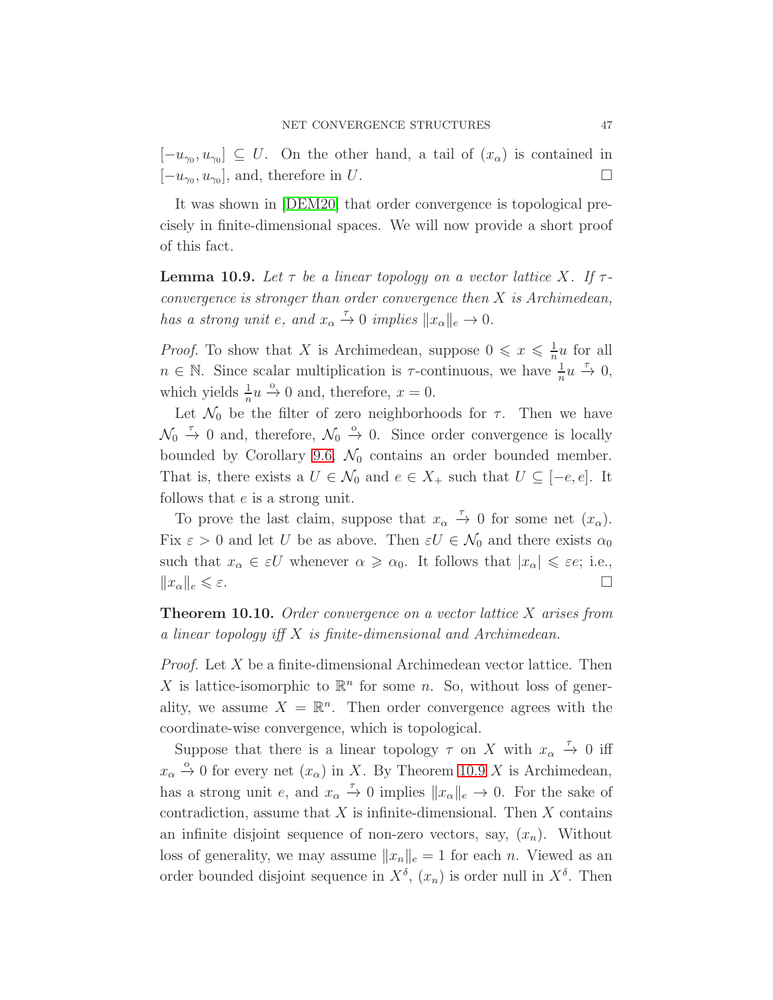$[-u_{\gamma_0}, u_{\gamma_0}] \subseteq U$ . On the other hand, a tail of  $(x_{\alpha})$  is contained in  $[-u_{\gamma_0}, u_{\gamma_0}],$  and, therefore in U.

<span id="page-46-0"></span>It was shown in [\[DEM20\]](#page-48-14) that order convergence is topological precisely in finite-dimensional spaces. We will now provide a short proof of this fact.

**Lemma 10.9.** Let  $\tau$  be a linear topology on a vector lattice X. If  $\tau$ convergence is stronger than order convergence then  $X$  is Archimedean, has a strong unit e, and  $x_{\alpha} \stackrel{\tau}{\rightarrow} 0$  implies  $||x_{\alpha}||_e \rightarrow 0$ .

*Proof.* To show that X is Archimedean, suppose  $0 \leq x \leq \frac{1}{n}$  $\frac{1}{n}u$  for all  $n \in \mathbb{N}$ . Since scalar multiplication is  $\tau$ -continuous, we have  $\frac{1}{n}u \stackrel{\tau}{\to} 0$ , which yields  $\frac{1}{n}u \xrightarrow{\circ} 0$  and, therefore,  $x = 0$ .

Let  $\mathcal{N}_0$  be the filter of zero neighborhoods for  $\tau$ . Then we have  $\mathcal{N}_0 \stackrel{\tau}{\rightarrow} 0$  and, therefore,  $\mathcal{N}_0 \stackrel{\circ}{\rightarrow} 0$ . Since order convergence is locally bounded by Corollary [9.6,](#page-38-0)  $\mathcal{N}_0$  contains an order bounded member. That is, there exists a  $U \in \mathcal{N}_0$  and  $e \in X_+$  such that  $U \subseteq [-e, e]$ . It follows that e is a strong unit.

To prove the last claim, suppose that  $x_{\alpha} \stackrel{\tau}{\rightarrow} 0$  for some net  $(x_{\alpha})$ . Fix  $\varepsilon > 0$  and let U be as above. Then  $\varepsilon U \in \mathcal{N}_0$  and there exists  $\alpha_0$ such that  $x_{\alpha} \in \varepsilon U$  whenever  $\alpha \geqslant \alpha_0$ . It follows that  $|x_{\alpha}| \leqslant \varepsilon \varepsilon$ ; i.e.,  $||x_{\alpha}||_e \leqslant \varepsilon.$ 

<span id="page-46-1"></span>**Theorem 10.10.** Order convergence on a vector lattice  $X$  arises from a linear topology iff X is finite-dimensional and Archimedean.

Proof. Let X be a finite-dimensional Archimedean vector lattice. Then X is lattice-isomorphic to  $\mathbb{R}^n$  for some n. So, without loss of generality, we assume  $X = \mathbb{R}^n$ . Then order convergence agrees with the coordinate-wise convergence, which is topological.

Suppose that there is a linear topology  $\tau$  on X with  $x_{\alpha} \stackrel{\tau}{\rightarrow} 0$  iff  $x_{\alpha} \stackrel{\circ}{\rightarrow} 0$  for every net  $(x_{\alpha})$  in X. By Theorem [10.9](#page-46-0) X is Archimedean, has a strong unit e, and  $x_{\alpha} \stackrel{\tau}{\rightarrow} 0$  implies  $||x_{\alpha}||_e \rightarrow 0$ . For the sake of contradiction, assume that  $X$  is infinite-dimensional. Then  $X$  contains an infinite disjoint sequence of non-zero vectors, say,  $(x_n)$ . Without loss of generality, we may assume  $||x_n||_e = 1$  for each n. Viewed as an order bounded disjoint sequence in  $X^{\delta}$ ,  $(x_n)$  is order null in  $X^{\delta}$ . Then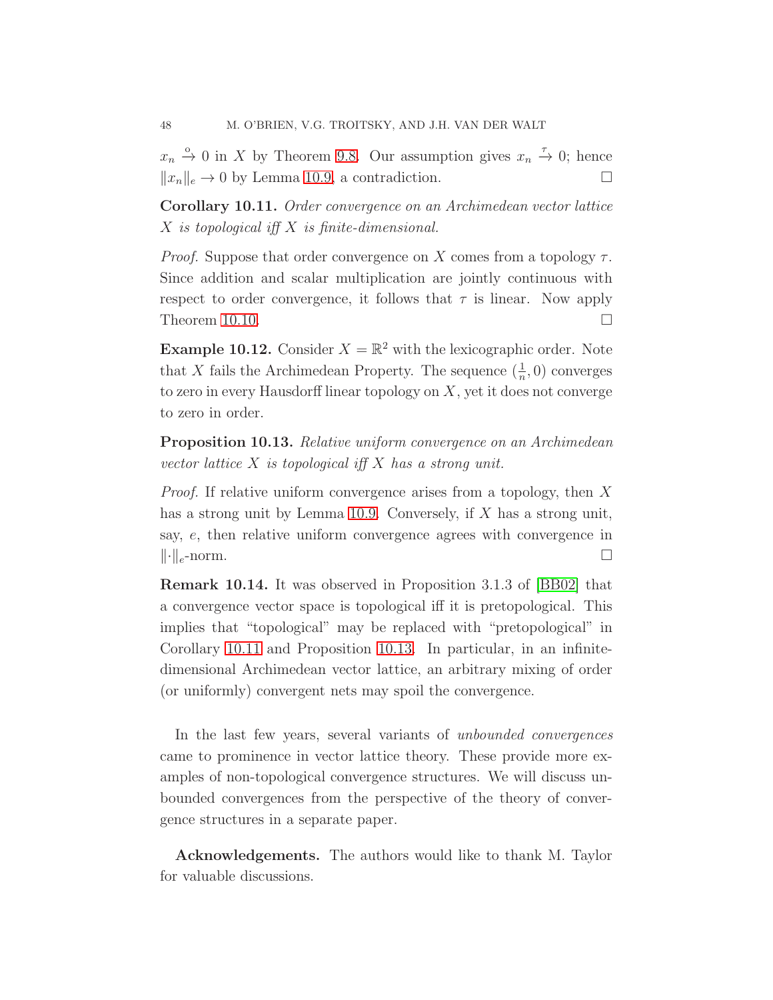$x_n \stackrel{\circ}{\to} 0$  in X by Theorem [9.8.](#page-39-0) Our assumption gives  $x_n \stackrel{\tau}{\to} 0$ ; hence  $||x_n||_e \rightarrow 0$  by Lemma [10.9,](#page-46-0) a contradiction.

<span id="page-47-0"></span>Corollary 10.11. Order convergence on an Archimedean vector lattice X is topological iff X is finite-dimensional.

*Proof.* Suppose that order convergence on X comes from a topology  $\tau$ . Since addition and scalar multiplication are jointly continuous with respect to order convergence, it follows that  $\tau$  is linear. Now apply Theorem [10.10.](#page-46-1)  $\Box$ 

**Example 10.12.** Consider  $X = \mathbb{R}^2$  with the lexicographic order. Note that X fails the Archimedean Property. The sequence  $(\frac{1}{n},0)$  converges to zero in every Hausdorff linear topology on  $X$ , yet it does not converge to zero in order.

<span id="page-47-1"></span>Proposition 10.13. Relative uniform convergence on an Archimedean vector lattice  $X$  is topological iff  $X$  has a strong unit.

Proof. If relative uniform convergence arises from a topology, then X has a strong unit by Lemma [10.9.](#page-46-0) Conversely, if X has a strong unit, say, e, then relative uniform convergence agrees with convergence in  $\lVert \cdot \rVert_e$ -norm.

Remark 10.14. It was observed in Proposition 3.1.3 of [\[BB02\]](#page-48-0) that a convergence vector space is topological iff it is pretopological. This implies that "topological" may be replaced with "pretopological" in Corollary [10.11](#page-47-0) and Proposition [10.13.](#page-47-1) In particular, in an infinitedimensional Archimedean vector lattice, an arbitrary mixing of order (or uniformly) convergent nets may spoil the convergence.

In the last few years, several variants of unbounded convergences came to prominence in vector lattice theory. These provide more examples of non-topological convergence structures. We will discuss unbounded convergences from the perspective of the theory of convergence structures in a separate paper.

Acknowledgements. The authors would like to thank M. Taylor for valuable discussions.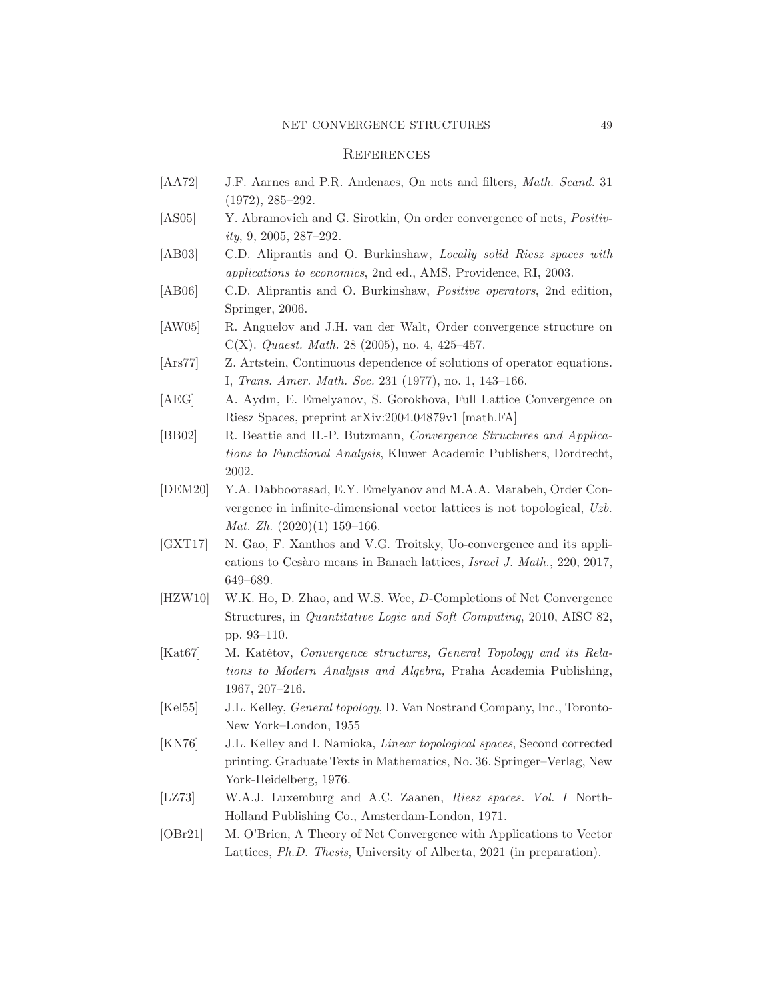#### NET CONVERGENCE STRUCTURES 49

### **REFERENCES**

- <span id="page-48-3"></span>[AA72] J.F. Aarnes and P.R. Andenaes, On nets and filters, *Math. Scand.* 31 (1972), 285–292.
- <span id="page-48-9"></span>[AS05] Y. Abramovich and G. Sirotkin, On order convergence of nets, *Positiv*ity, 9, 2005, 287–292.
- <span id="page-48-11"></span>[AB03] C.D. Aliprantis and O. Burkinshaw, *Locally solid Riesz spaces with* applications to economics, 2nd ed., AMS, Providence, RI, 2003.
- <span id="page-48-8"></span>[AB06] C.D. Aliprantis and O. Burkinshaw, Positive operators, 2nd edition, Springer, 2006.
- <span id="page-48-12"></span>[AW05] R. Anguelov and J.H. van der Walt, Order convergence structure on C(X). Quaest. Math. 28 (2005), no. 4, 425–457.
- <span id="page-48-4"></span>[Ars77] Z. Artstein, Continuous dependence of solutions of operator equations. I, Trans. Amer. Math. Soc. 231 (1977), no. 1, 143–166.
- <span id="page-48-6"></span>[AEG] A. Aydın, E. Emelyanov, S. Gorokhova, Full Lattice Convergence on Riesz Spaces, preprint arXiv:2004.04879v1 [math.FA]
- <span id="page-48-0"></span>[BB02] R. Beattie and H.-P. Butzmann, Convergence Structures and Applications to Functional Analysis, Kluwer Academic Publishers, Dordrecht, 2002.
- <span id="page-48-14"></span>[DEM20] Y.A. Dabboorasad, E.Y. Emelyanov and M.A.A. Marabeh, Order Convergence in infinite-dimensional vector lattices is not topological, Uzb. *Mat. Zh.*  $(2020)(1)$  159-166.
- <span id="page-48-10"></span>[GXT17] N. Gao, F. Xanthos and V.G. Troitsky, Uo-convergence and its applications to Cesàro means in Banach lattices, Israel J. Math., 220, 2017, 649–689.
- <span id="page-48-5"></span>[HZW10] W.K. Ho, D. Zhao, and W.S. Wee, D-Completions of Net Convergence Structures, in Quantitative Logic and Soft Computing, 2010, AISC 82, pp. 93–110.
- <span id="page-48-2"></span>[Kat67] M. Katětov, Convergence structures, General Topology and its Relations to Modern Analysis and Algebra, Praha Academia Publishing, 1967, 207–216.
- <span id="page-48-1"></span>[Kel55] J.L. Kelley, General topology, D. Van Nostrand Company, Inc., Toronto-New York–London, 1955
- <span id="page-48-7"></span>[KN76] J.L. Kelley and I. Namioka, Linear topological spaces, Second corrected printing. Graduate Texts in Mathematics, No. 36. Springer–Verlag, New York-Heidelberg, 1976.
- <span id="page-48-13"></span>[LZ73] W.A.J. Luxemburg and A.C. Zaanen, Riesz spaces. Vol. I North-Holland Publishing Co., Amsterdam-London, 1971.
- [OBr21] M. O'Brien, A Theory of Net Convergence with Applications to Vector Lattices, Ph.D. Thesis, University of Alberta, 2021 (in preparation).